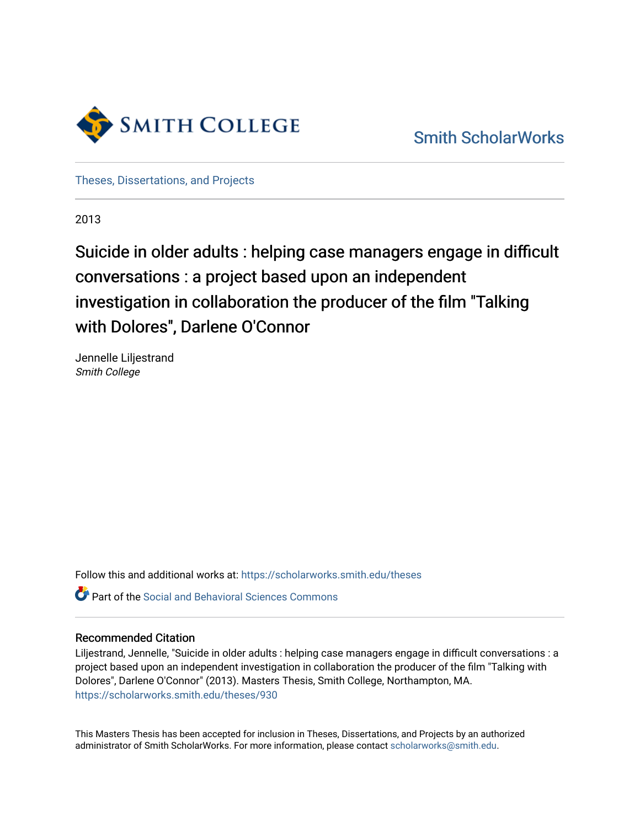

[Smith ScholarWorks](https://scholarworks.smith.edu/) 

[Theses, Dissertations, and Projects](https://scholarworks.smith.edu/theses) 

2013

Suicide in older adults : helping case managers engage in difficult conversations : a project based upon an independent investigation in collaboration the producer of the film "Talking with Dolores", Darlene O'Connor

Jennelle Liljestrand Smith College

Follow this and additional works at: [https://scholarworks.smith.edu/theses](https://scholarworks.smith.edu/theses?utm_source=scholarworks.smith.edu%2Ftheses%2F930&utm_medium=PDF&utm_campaign=PDFCoverPages) 

Part of the [Social and Behavioral Sciences Commons](http://network.bepress.com/hgg/discipline/316?utm_source=scholarworks.smith.edu%2Ftheses%2F930&utm_medium=PDF&utm_campaign=PDFCoverPages) 

#### Recommended Citation

Liljestrand, Jennelle, "Suicide in older adults : helping case managers engage in difficult conversations : a project based upon an independent investigation in collaboration the producer of the film "Talking with Dolores", Darlene O'Connor" (2013). Masters Thesis, Smith College, Northampton, MA. [https://scholarworks.smith.edu/theses/930](https://scholarworks.smith.edu/theses/930?utm_source=scholarworks.smith.edu%2Ftheses%2F930&utm_medium=PDF&utm_campaign=PDFCoverPages) 

This Masters Thesis has been accepted for inclusion in Theses, Dissertations, and Projects by an authorized administrator of Smith ScholarWorks. For more information, please contact [scholarworks@smith.edu](mailto:scholarworks@smith.edu).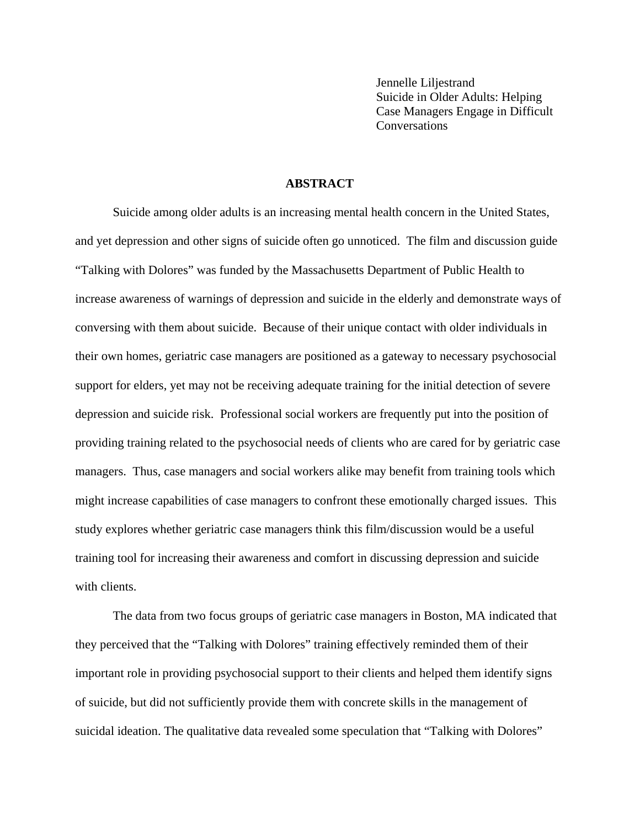Jennelle Liljestrand Suicide in Older Adults: Helping Case Managers Engage in Difficult Conversations

### **ABSTRACT**

Suicide among older adults is an increasing mental health concern in the United States, and yet depression and other signs of suicide often go unnoticed. The film and discussion guide "Talking with Dolores" was funded by the Massachusetts Department of Public Health to increase awareness of warnings of depression and suicide in the elderly and demonstrate ways of conversing with them about suicide. Because of their unique contact with older individuals in their own homes, geriatric case managers are positioned as a gateway to necessary psychosocial support for elders, yet may not be receiving adequate training for the initial detection of severe depression and suicide risk. Professional social workers are frequently put into the position of providing training related to the psychosocial needs of clients who are cared for by geriatric case managers. Thus, case managers and social workers alike may benefit from training tools which might increase capabilities of case managers to confront these emotionally charged issues. This study explores whether geriatric case managers think this film/discussion would be a useful training tool for increasing their awareness and comfort in discussing depression and suicide with clients.

The data from two focus groups of geriatric case managers in Boston, MA indicated that they perceived that the "Talking with Dolores" training effectively reminded them of their important role in providing psychosocial support to their clients and helped them identify signs of suicide, but did not sufficiently provide them with concrete skills in the management of suicidal ideation. The qualitative data revealed some speculation that "Talking with Dolores"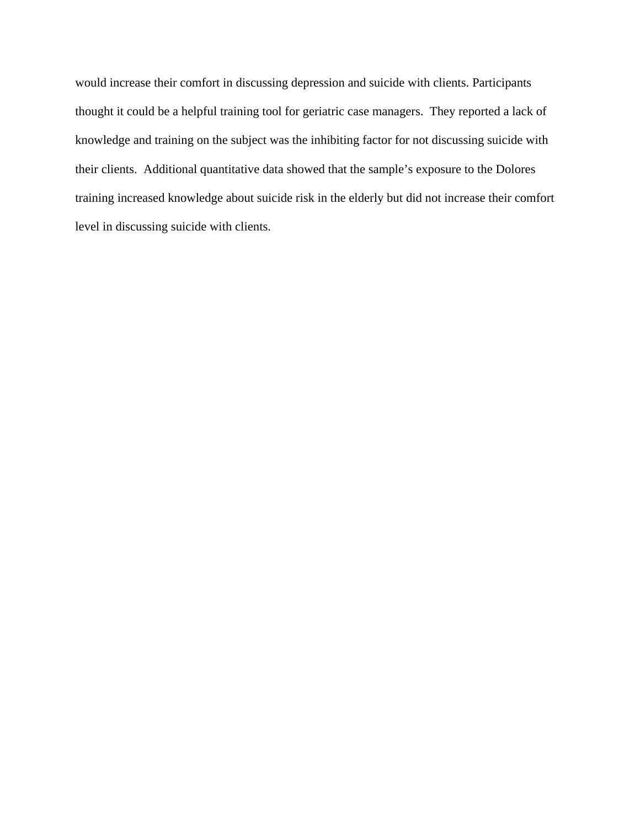would increase their comfort in discussing depression and suicide with clients. Participants thought it could be a helpful training tool for geriatric case managers. They reported a lack of knowledge and training on the subject was the inhibiting factor for not discussing suicide with their clients. Additional quantitative data showed that the sample's exposure to the Dolores training increased knowledge about suicide risk in the elderly but did not increase their comfort level in discussing suicide with clients.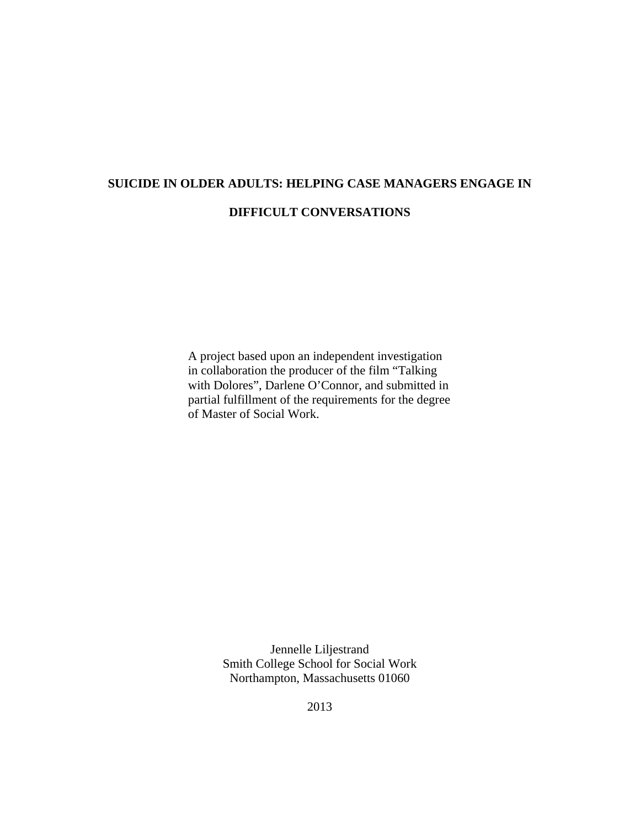# **SUICIDE IN OLDER ADULTS: HELPING CASE MANAGERS ENGAGE IN DIFFICULT CONVERSATIONS**

A project based upon an independent investigation in collaboration the producer of the film "Talking with Dolores", Darlene O'Connor, and submitted in partial fulfillment of the requirements for the degree of Master of Social Work.

> Jennelle Liljestrand Smith College School for Social Work Northampton, Massachusetts 01060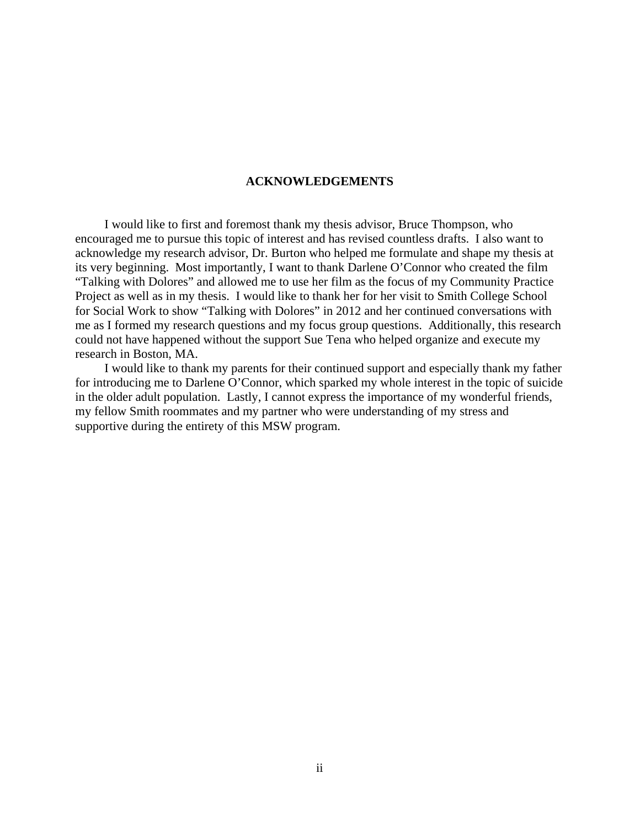#### **ACKNOWLEDGEMENTS**

 I would like to first and foremost thank my thesis advisor, Bruce Thompson, who encouraged me to pursue this topic of interest and has revised countless drafts. I also want to acknowledge my research advisor, Dr. Burton who helped me formulate and shape my thesis at its very beginning. Most importantly, I want to thank Darlene O'Connor who created the film "Talking with Dolores" and allowed me to use her film as the focus of my Community Practice Project as well as in my thesis. I would like to thank her for her visit to Smith College School for Social Work to show "Talking with Dolores" in 2012 and her continued conversations with me as I formed my research questions and my focus group questions. Additionally, this research could not have happened without the support Sue Tena who helped organize and execute my research in Boston, MA.

 I would like to thank my parents for their continued support and especially thank my father for introducing me to Darlene O'Connor, which sparked my whole interest in the topic of suicide in the older adult population. Lastly, I cannot express the importance of my wonderful friends, my fellow Smith roommates and my partner who were understanding of my stress and supportive during the entirety of this MSW program.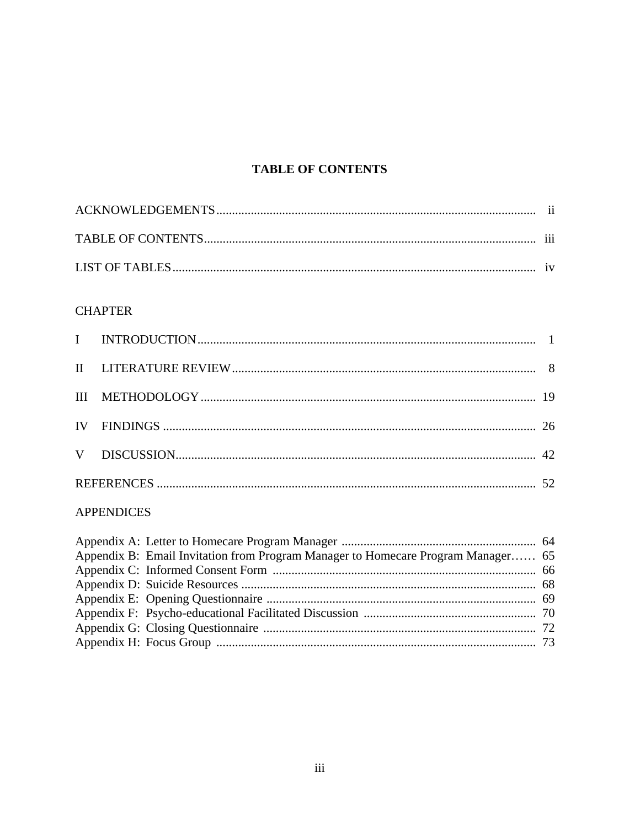# **TABLE OF CONTENTS**

# **CHAPTER**

# **APPENDICES**

| Appendix B: Email Invitation from Program Manager to Homecare Program Manager 65 |
|----------------------------------------------------------------------------------|
|                                                                                  |
|                                                                                  |
|                                                                                  |
|                                                                                  |
|                                                                                  |
|                                                                                  |
|                                                                                  |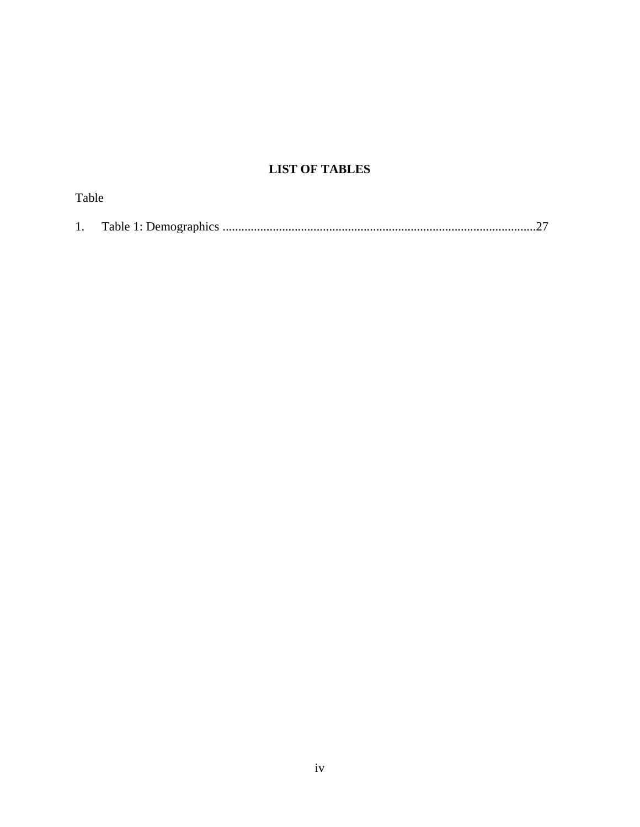# **LIST OF TABLES**

| Table |  |
|-------|--|
|       |  |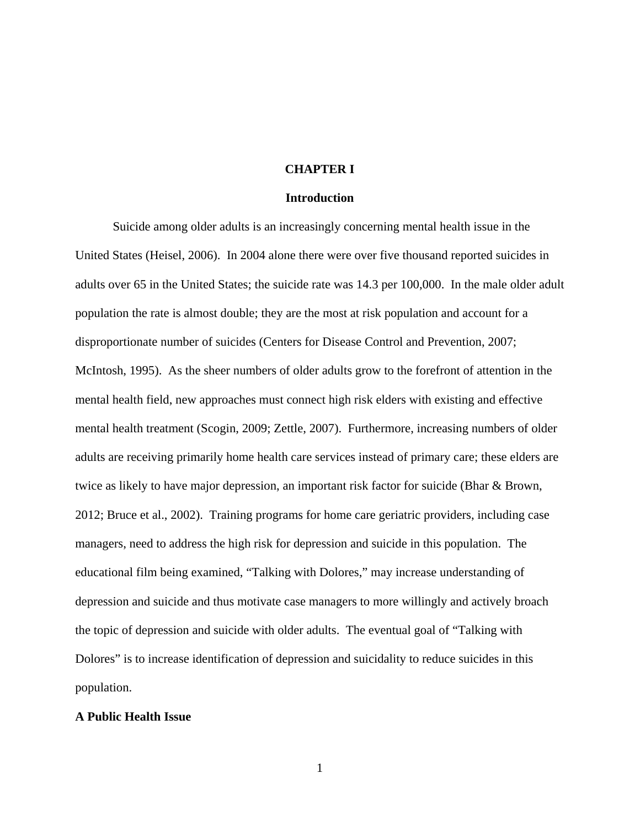#### **CHAPTER I**

#### **Introduction**

Suicide among older adults is an increasingly concerning mental health issue in the United States (Heisel, 2006). In 2004 alone there were over five thousand reported suicides in adults over 65 in the United States; the suicide rate was 14.3 per 100,000. In the male older adult population the rate is almost double; they are the most at risk population and account for a disproportionate number of suicides (Centers for Disease Control and Prevention, 2007; McIntosh, 1995). As the sheer numbers of older adults grow to the forefront of attention in the mental health field, new approaches must connect high risk elders with existing and effective mental health treatment (Scogin, 2009; Zettle, 2007). Furthermore, increasing numbers of older adults are receiving primarily home health care services instead of primary care; these elders are twice as likely to have major depression, an important risk factor for suicide (Bhar & Brown, 2012; Bruce et al., 2002). Training programs for home care geriatric providers, including case managers, need to address the high risk for depression and suicide in this population. The educational film being examined, "Talking with Dolores," may increase understanding of depression and suicide and thus motivate case managers to more willingly and actively broach the topic of depression and suicide with older adults. The eventual goal of "Talking with Dolores" is to increase identification of depression and suicidality to reduce suicides in this population.

#### **A Public Health Issue**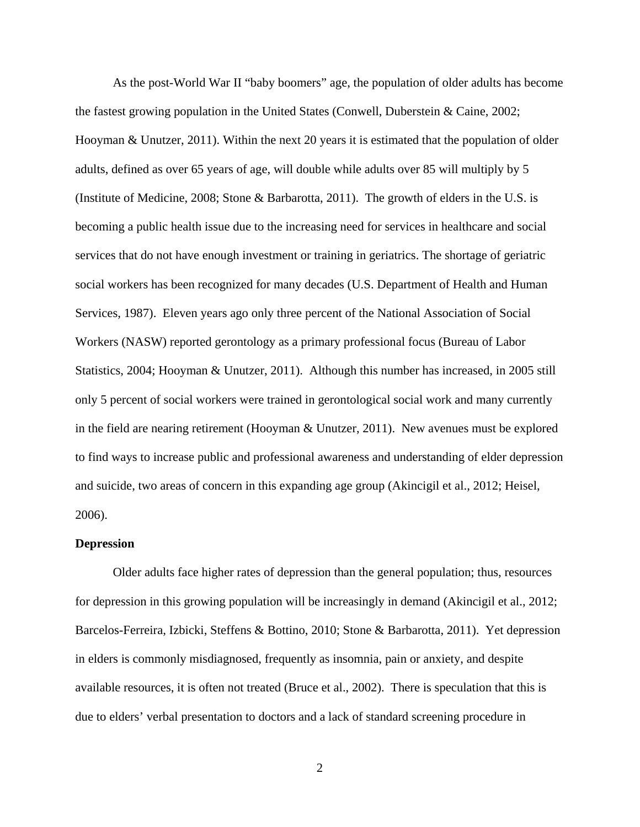As the post-World War II "baby boomers" age, the population of older adults has become the fastest growing population in the United States (Conwell, Duberstein & Caine, 2002; Hooyman & Unutzer, 2011). Within the next 20 years it is estimated that the population of older adults, defined as over 65 years of age, will double while adults over 85 will multiply by 5 (Institute of Medicine, 2008; Stone & Barbarotta, 2011). The growth of elders in the U.S. is becoming a public health issue due to the increasing need for services in healthcare and social services that do not have enough investment or training in geriatrics. The shortage of geriatric social workers has been recognized for many decades (U.S. Department of Health and Human Services, 1987). Eleven years ago only three percent of the National Association of Social Workers (NASW) reported gerontology as a primary professional focus (Bureau of Labor Statistics, 2004; Hooyman & Unutzer, 2011). Although this number has increased, in 2005 still only 5 percent of social workers were trained in gerontological social work and many currently in the field are nearing retirement (Hooyman & Unutzer, 2011). New avenues must be explored to find ways to increase public and professional awareness and understanding of elder depression and suicide, two areas of concern in this expanding age group (Akincigil et al., 2012; Heisel, 2006).

#### **Depression**

Older adults face higher rates of depression than the general population; thus, resources for depression in this growing population will be increasingly in demand (Akincigil et al., 2012; Barcelos-Ferreira, Izbicki, Steffens & Bottino, 2010; Stone & Barbarotta, 2011). Yet depression in elders is commonly misdiagnosed, frequently as insomnia, pain or anxiety, and despite available resources, it is often not treated (Bruce et al., 2002). There is speculation that this is due to elders' verbal presentation to doctors and a lack of standard screening procedure in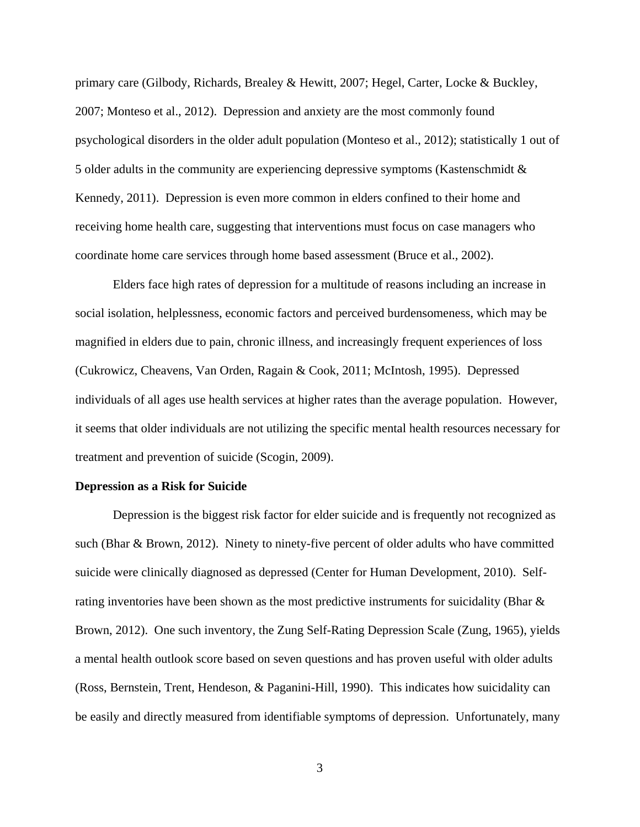primary care (Gilbody, Richards, Brealey & Hewitt, 2007; Hegel, Carter, Locke & Buckley, 2007; Monteso et al., 2012). Depression and anxiety are the most commonly found psychological disorders in the older adult population (Monteso et al., 2012); statistically 1 out of 5 older adults in the community are experiencing depressive symptoms (Kastenschmidt & Kennedy, 2011). Depression is even more common in elders confined to their home and receiving home health care, suggesting that interventions must focus on case managers who coordinate home care services through home based assessment (Bruce et al., 2002).

Elders face high rates of depression for a multitude of reasons including an increase in social isolation, helplessness, economic factors and perceived burdensomeness, which may be magnified in elders due to pain, chronic illness, and increasingly frequent experiences of loss (Cukrowicz, Cheavens, Van Orden, Ragain & Cook, 2011; McIntosh, 1995). Depressed individuals of all ages use health services at higher rates than the average population. However, it seems that older individuals are not utilizing the specific mental health resources necessary for treatment and prevention of suicide (Scogin, 2009).

#### **Depression as a Risk for Suicide**

Depression is the biggest risk factor for elder suicide and is frequently not recognized as such (Bhar & Brown, 2012). Ninety to ninety-five percent of older adults who have committed suicide were clinically diagnosed as depressed (Center for Human Development, 2010). Selfrating inventories have been shown as the most predictive instruments for suicidality (Bhar & Brown, 2012). One such inventory, the Zung Self-Rating Depression Scale (Zung, 1965), yields a mental health outlook score based on seven questions and has proven useful with older adults (Ross, Bernstein, Trent, Hendeson, & Paganini-Hill, 1990). This indicates how suicidality can be easily and directly measured from identifiable symptoms of depression. Unfortunately, many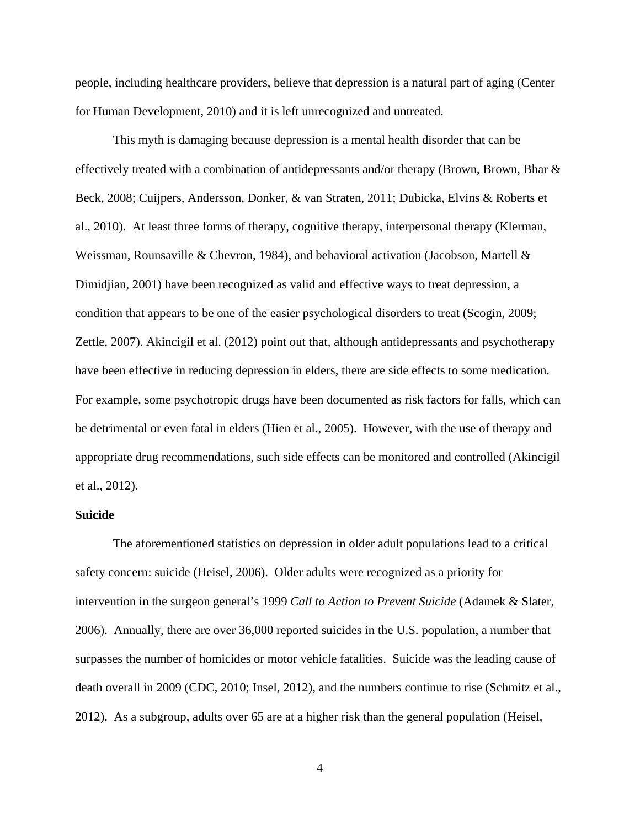people, including healthcare providers, believe that depression is a natural part of aging (Center for Human Development, 2010) and it is left unrecognized and untreated.

This myth is damaging because depression is a mental health disorder that can be effectively treated with a combination of antidepressants and/or therapy (Brown, Brown, Bhar & Beck, 2008; Cuijpers, Andersson, Donker, & van Straten, 2011; Dubicka, Elvins & Roberts et al., 2010). At least three forms of therapy, cognitive therapy, interpersonal therapy (Klerman, Weissman, Rounsaville & Chevron, 1984), and behavioral activation (Jacobson, Martell  $\&$ Dimidjian, 2001) have been recognized as valid and effective ways to treat depression, a condition that appears to be one of the easier psychological disorders to treat (Scogin, 2009; Zettle, 2007). Akincigil et al. (2012) point out that, although antidepressants and psychotherapy have been effective in reducing depression in elders, there are side effects to some medication. For example, some psychotropic drugs have been documented as risk factors for falls, which can be detrimental or even fatal in elders (Hien et al., 2005). However, with the use of therapy and appropriate drug recommendations, such side effects can be monitored and controlled (Akincigil et al., 2012).

#### **Suicide**

The aforementioned statistics on depression in older adult populations lead to a critical safety concern: suicide (Heisel, 2006). Older adults were recognized as a priority for intervention in the surgeon general's 1999 *Call to Action to Prevent Suicide* (Adamek & Slater, 2006). Annually, there are over 36,000 reported suicides in the U.S. population, a number that surpasses the number of homicides or motor vehicle fatalities. Suicide was the leading cause of death overall in 2009 (CDC, 2010; Insel, 2012), and the numbers continue to rise (Schmitz et al., 2012). As a subgroup, adults over 65 are at a higher risk than the general population (Heisel,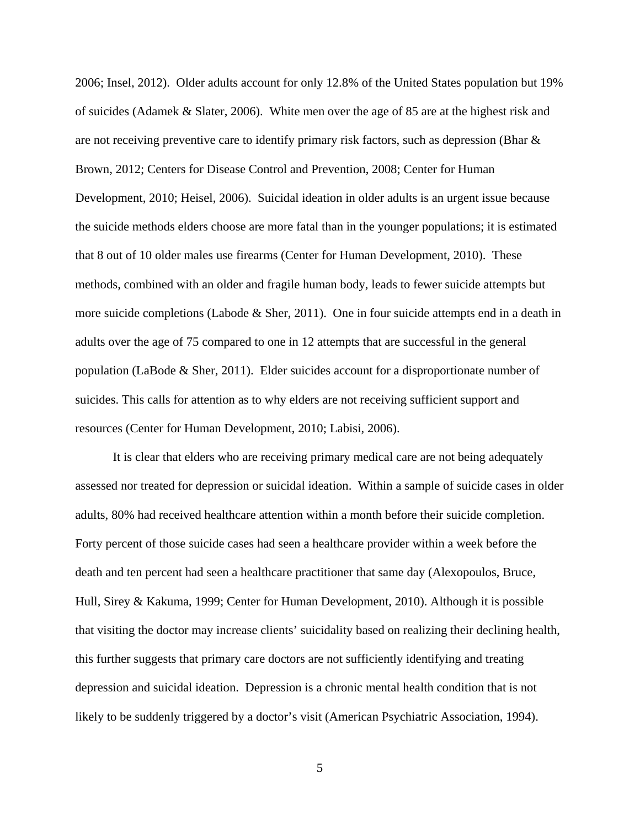2006; Insel, 2012). Older adults account for only 12.8% of the United States population but 19% of suicides (Adamek & Slater, 2006). White men over the age of 85 are at the highest risk and are not receiving preventive care to identify primary risk factors, such as depression (Bhar & Brown, 2012; Centers for Disease Control and Prevention, 2008; Center for Human Development, 2010; Heisel, 2006). Suicidal ideation in older adults is an urgent issue because the suicide methods elders choose are more fatal than in the younger populations; it is estimated that 8 out of 10 older males use firearms (Center for Human Development, 2010). These methods, combined with an older and fragile human body, leads to fewer suicide attempts but more suicide completions (Labode & Sher, 2011). One in four suicide attempts end in a death in adults over the age of 75 compared to one in 12 attempts that are successful in the general population (LaBode & Sher, 2011). Elder suicides account for a disproportionate number of suicides. This calls for attention as to why elders are not receiving sufficient support and resources (Center for Human Development, 2010; Labisi, 2006).

It is clear that elders who are receiving primary medical care are not being adequately assessed nor treated for depression or suicidal ideation. Within a sample of suicide cases in older adults, 80% had received healthcare attention within a month before their suicide completion. Forty percent of those suicide cases had seen a healthcare provider within a week before the death and ten percent had seen a healthcare practitioner that same day (Alexopoulos, Bruce, Hull, Sirey & Kakuma, 1999; Center for Human Development, 2010). Although it is possible that visiting the doctor may increase clients' suicidality based on realizing their declining health, this further suggests that primary care doctors are not sufficiently identifying and treating depression and suicidal ideation. Depression is a chronic mental health condition that is not likely to be suddenly triggered by a doctor's visit (American Psychiatric Association, 1994).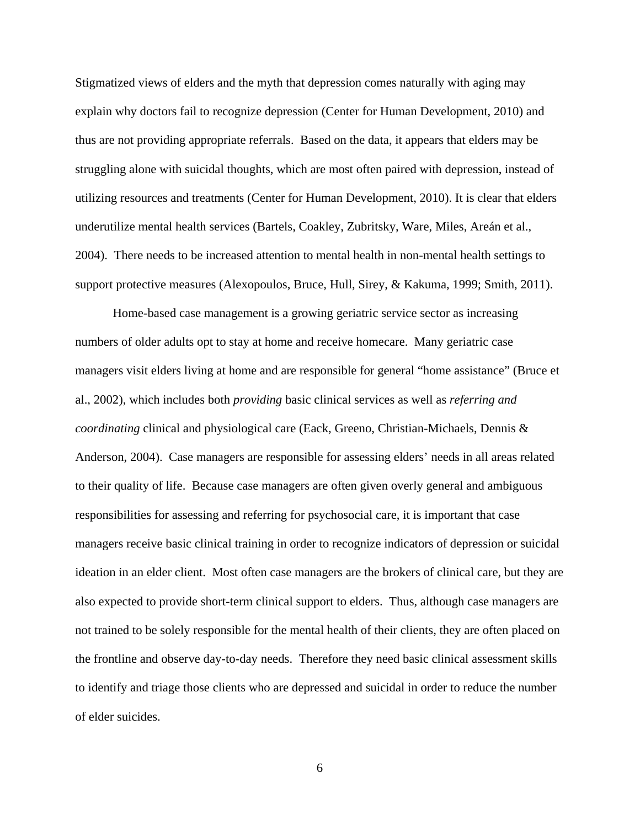Stigmatized views of elders and the myth that depression comes naturally with aging may explain why doctors fail to recognize depression (Center for Human Development, 2010) and thus are not providing appropriate referrals. Based on the data, it appears that elders may be struggling alone with suicidal thoughts, which are most often paired with depression, instead of utilizing resources and treatments (Center for Human Development, 2010). It is clear that elders underutilize mental health services (Bartels, Coakley, Zubritsky, Ware, Miles, Areán et al., 2004). There needs to be increased attention to mental health in non-mental health settings to support protective measures (Alexopoulos, Bruce, Hull, Sirey, & Kakuma, 1999; Smith, 2011).

Home-based case management is a growing geriatric service sector as increasing numbers of older adults opt to stay at home and receive homecare. Many geriatric case managers visit elders living at home and are responsible for general "home assistance" (Bruce et al., 2002), which includes both *providing* basic clinical services as well as *referring and coordinating* clinical and physiological care (Eack, Greeno, Christian-Michaels, Dennis & Anderson, 2004). Case managers are responsible for assessing elders' needs in all areas related to their quality of life. Because case managers are often given overly general and ambiguous responsibilities for assessing and referring for psychosocial care, it is important that case managers receive basic clinical training in order to recognize indicators of depression or suicidal ideation in an elder client. Most often case managers are the brokers of clinical care, but they are also expected to provide short-term clinical support to elders. Thus, although case managers are not trained to be solely responsible for the mental health of their clients, they are often placed on the frontline and observe day-to-day needs. Therefore they need basic clinical assessment skills to identify and triage those clients who are depressed and suicidal in order to reduce the number of elder suicides.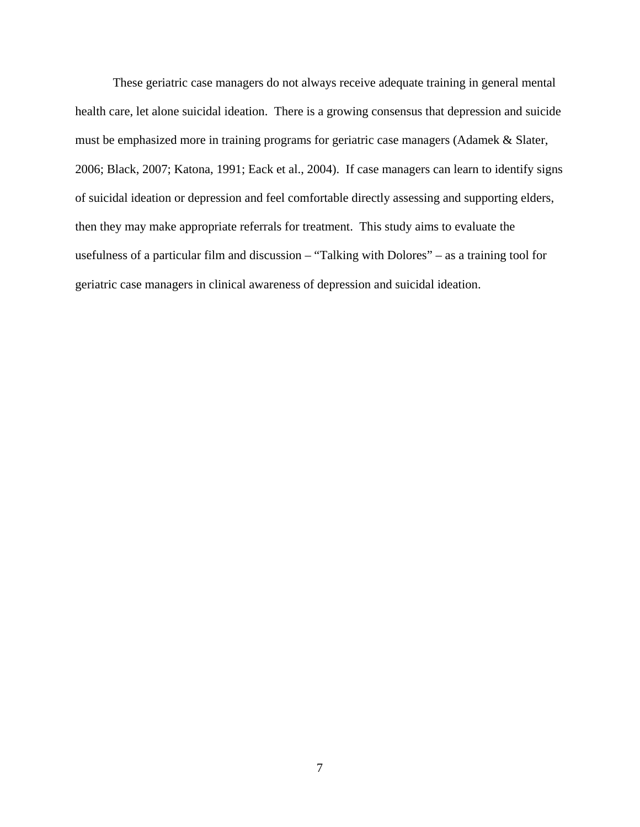These geriatric case managers do not always receive adequate training in general mental health care, let alone suicidal ideation. There is a growing consensus that depression and suicide must be emphasized more in training programs for geriatric case managers (Adamek & Slater, 2006; Black, 2007; Katona, 1991; Eack et al., 2004). If case managers can learn to identify signs of suicidal ideation or depression and feel comfortable directly assessing and supporting elders, then they may make appropriate referrals for treatment. This study aims to evaluate the usefulness of a particular film and discussion – "Talking with Dolores" – as a training tool for geriatric case managers in clinical awareness of depression and suicidal ideation.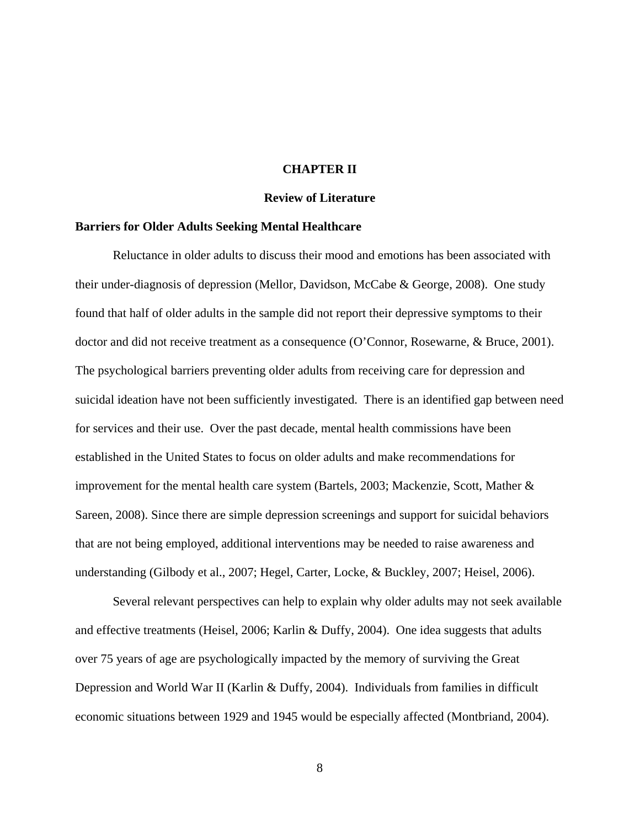#### **CHAPTER II**

#### **Review of Literature**

#### **Barriers for Older Adults Seeking Mental Healthcare**

Reluctance in older adults to discuss their mood and emotions has been associated with their under-diagnosis of depression (Mellor, Davidson, McCabe & George, 2008). One study found that half of older adults in the sample did not report their depressive symptoms to their doctor and did not receive treatment as a consequence (O'Connor, Rosewarne, & Bruce, 2001). The psychological barriers preventing older adults from receiving care for depression and suicidal ideation have not been sufficiently investigated. There is an identified gap between need for services and their use. Over the past decade, mental health commissions have been established in the United States to focus on older adults and make recommendations for improvement for the mental health care system (Bartels, 2003; Mackenzie, Scott, Mather & Sareen, 2008). Since there are simple depression screenings and support for suicidal behaviors that are not being employed, additional interventions may be needed to raise awareness and understanding (Gilbody et al., 2007; Hegel, Carter, Locke, & Buckley, 2007; Heisel, 2006).

Several relevant perspectives can help to explain why older adults may not seek available and effective treatments (Heisel, 2006; Karlin & Duffy, 2004). One idea suggests that adults over 75 years of age are psychologically impacted by the memory of surviving the Great Depression and World War II (Karlin & Duffy, 2004). Individuals from families in difficult economic situations between 1929 and 1945 would be especially affected (Montbriand, 2004).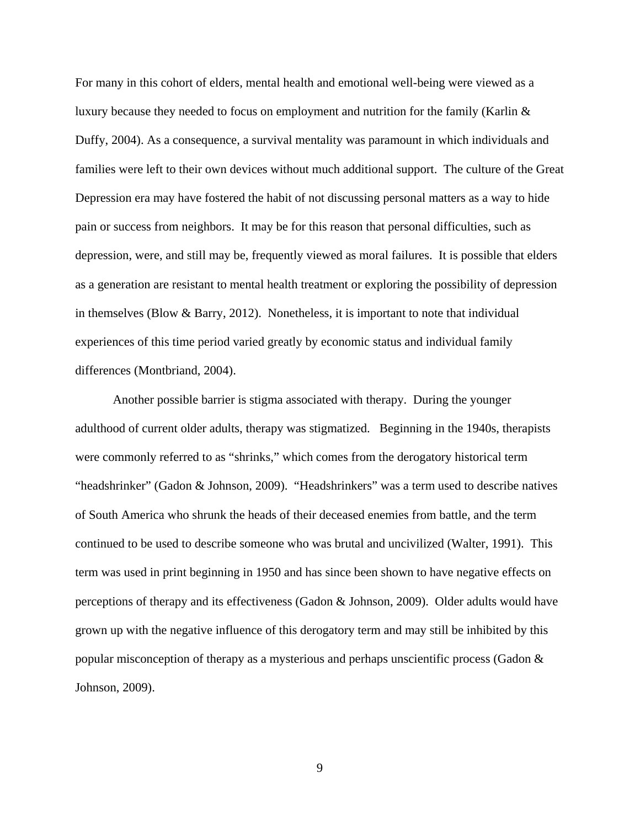For many in this cohort of elders, mental health and emotional well-being were viewed as a luxury because they needed to focus on employment and nutrition for the family (Karlin & Duffy, 2004). As a consequence, a survival mentality was paramount in which individuals and families were left to their own devices without much additional support. The culture of the Great Depression era may have fostered the habit of not discussing personal matters as a way to hide pain or success from neighbors. It may be for this reason that personal difficulties, such as depression, were, and still may be, frequently viewed as moral failures. It is possible that elders as a generation are resistant to mental health treatment or exploring the possibility of depression in themselves (Blow  $\&$  Barry, 2012). Nonetheless, it is important to note that individual experiences of this time period varied greatly by economic status and individual family differences (Montbriand, 2004).

Another possible barrier is stigma associated with therapy. During the younger adulthood of current older adults, therapy was stigmatized. Beginning in the 1940s, therapists were commonly referred to as "shrinks," which comes from the derogatory historical term "headshrinker" (Gadon & Johnson, 2009). "Headshrinkers" was a term used to describe natives of South America who shrunk the heads of their deceased enemies from battle, and the term continued to be used to describe someone who was brutal and uncivilized (Walter, 1991). This term was used in print beginning in 1950 and has since been shown to have negative effects on perceptions of therapy and its effectiveness (Gadon & Johnson, 2009). Older adults would have grown up with the negative influence of this derogatory term and may still be inhibited by this popular misconception of therapy as a mysterious and perhaps unscientific process (Gadon & Johnson, 2009).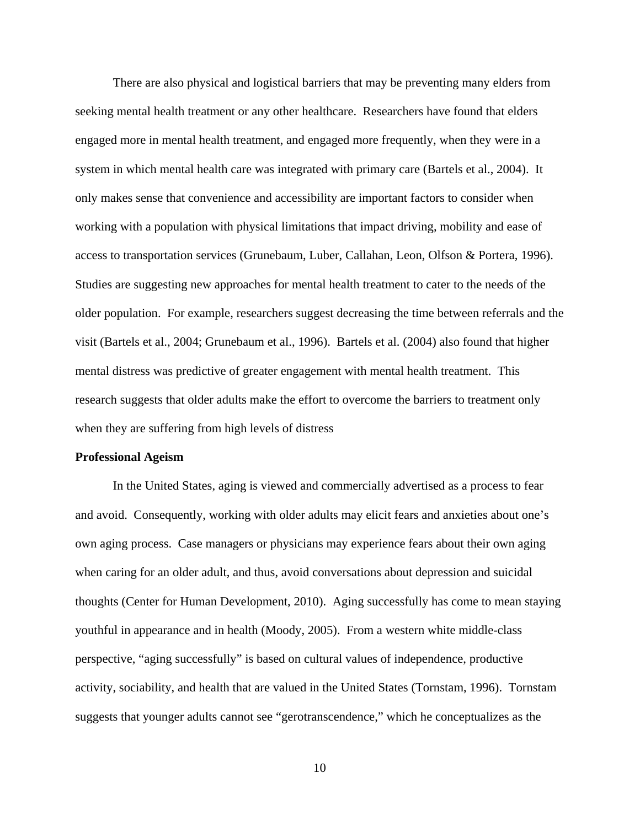There are also physical and logistical barriers that may be preventing many elders from seeking mental health treatment or any other healthcare. Researchers have found that elders engaged more in mental health treatment, and engaged more frequently, when they were in a system in which mental health care was integrated with primary care (Bartels et al., 2004). It only makes sense that convenience and accessibility are important factors to consider when working with a population with physical limitations that impact driving, mobility and ease of access to transportation services (Grunebaum, Luber, Callahan, Leon, Olfson & Portera, 1996). Studies are suggesting new approaches for mental health treatment to cater to the needs of the older population. For example, researchers suggest decreasing the time between referrals and the visit (Bartels et al., 2004; Grunebaum et al., 1996). Bartels et al. (2004) also found that higher mental distress was predictive of greater engagement with mental health treatment. This research suggests that older adults make the effort to overcome the barriers to treatment only when they are suffering from high levels of distress

#### **Professional Ageism**

 In the United States, aging is viewed and commercially advertised as a process to fear and avoid. Consequently, working with older adults may elicit fears and anxieties about one's own aging process. Case managers or physicians may experience fears about their own aging when caring for an older adult, and thus, avoid conversations about depression and suicidal thoughts (Center for Human Development, 2010). Aging successfully has come to mean staying youthful in appearance and in health (Moody, 2005). From a western white middle-class perspective, "aging successfully" is based on cultural values of independence, productive activity, sociability, and health that are valued in the United States (Tornstam, 1996). Tornstam suggests that younger adults cannot see "gerotranscendence," which he conceptualizes as the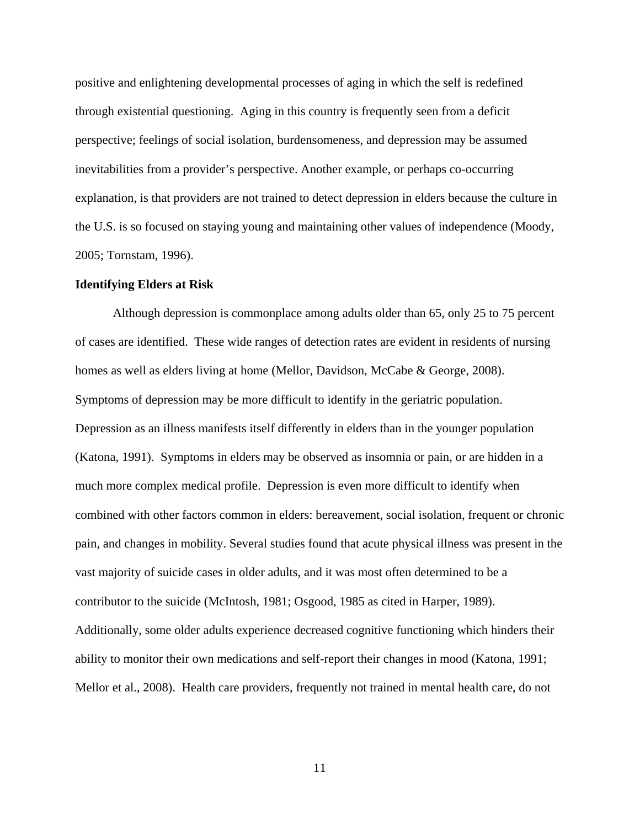positive and enlightening developmental processes of aging in which the self is redefined through existential questioning. Aging in this country is frequently seen from a deficit perspective; feelings of social isolation, burdensomeness, and depression may be assumed inevitabilities from a provider's perspective. Another example, or perhaps co-occurring explanation, is that providers are not trained to detect depression in elders because the culture in the U.S. is so focused on staying young and maintaining other values of independence (Moody, 2005; Tornstam, 1996).

#### **Identifying Elders at Risk**

Although depression is commonplace among adults older than 65, only 25 to 75 percent of cases are identified. These wide ranges of detection rates are evident in residents of nursing homes as well as elders living at home (Mellor, Davidson, McCabe & George, 2008). Symptoms of depression may be more difficult to identify in the geriatric population. Depression as an illness manifests itself differently in elders than in the younger population (Katona, 1991). Symptoms in elders may be observed as insomnia or pain, or are hidden in a much more complex medical profile. Depression is even more difficult to identify when combined with other factors common in elders: bereavement, social isolation, frequent or chronic pain, and changes in mobility. Several studies found that acute physical illness was present in the vast majority of suicide cases in older adults, and it was most often determined to be a contributor to the suicide (McIntosh, 1981; Osgood, 1985 as cited in Harper, 1989). Additionally, some older adults experience decreased cognitive functioning which hinders their ability to monitor their own medications and self-report their changes in mood (Katona, 1991; Mellor et al., 2008). Health care providers, frequently not trained in mental health care, do not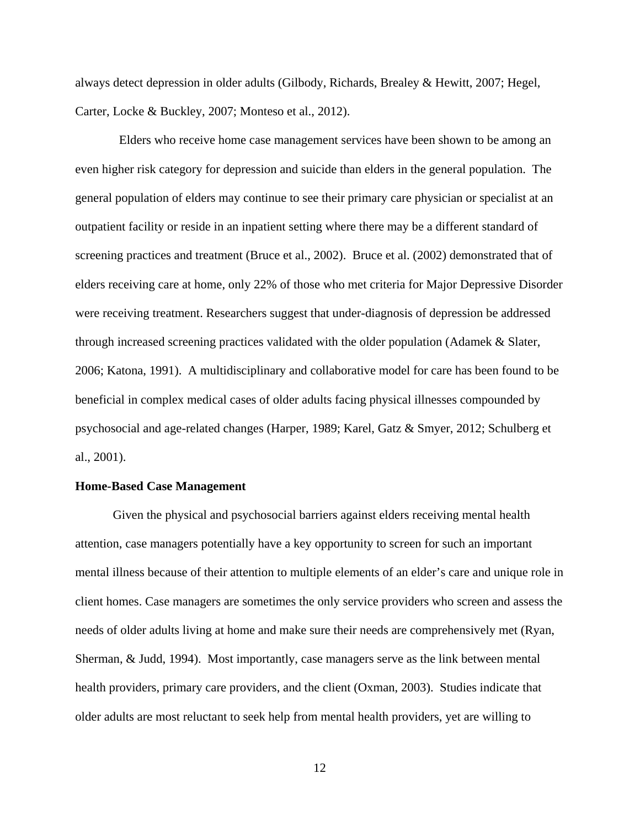always detect depression in older adults (Gilbody, Richards, Brealey & Hewitt, 2007; Hegel, Carter, Locke & Buckley, 2007; Monteso et al., 2012).

 Elders who receive home case management services have been shown to be among an even higher risk category for depression and suicide than elders in the general population. The general population of elders may continue to see their primary care physician or specialist at an outpatient facility or reside in an inpatient setting where there may be a different standard of screening practices and treatment (Bruce et al., 2002). Bruce et al. (2002) demonstrated that of elders receiving care at home, only 22% of those who met criteria for Major Depressive Disorder were receiving treatment. Researchers suggest that under-diagnosis of depression be addressed through increased screening practices validated with the older population (Adamek & Slater, 2006; Katona, 1991). A multidisciplinary and collaborative model for care has been found to be beneficial in complex medical cases of older adults facing physical illnesses compounded by psychosocial and age-related changes (Harper, 1989; Karel, Gatz & Smyer, 2012; Schulberg et al., 2001).

#### **Home-Based Case Management**

Given the physical and psychosocial barriers against elders receiving mental health attention, case managers potentially have a key opportunity to screen for such an important mental illness because of their attention to multiple elements of an elder's care and unique role in client homes. Case managers are sometimes the only service providers who screen and assess the needs of older adults living at home and make sure their needs are comprehensively met (Ryan, Sherman, & Judd, 1994). Most importantly, case managers serve as the link between mental health providers, primary care providers, and the client (Oxman, 2003). Studies indicate that older adults are most reluctant to seek help from mental health providers, yet are willing to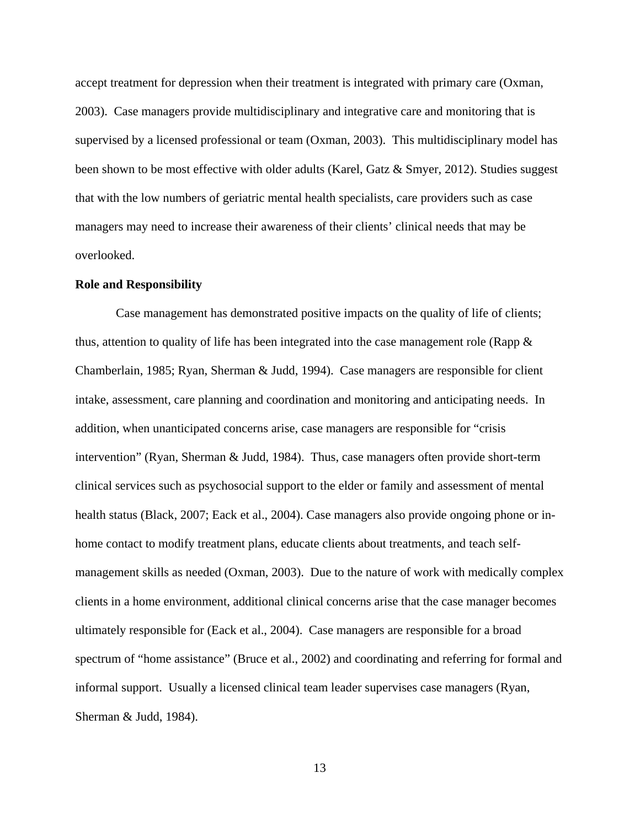accept treatment for depression when their treatment is integrated with primary care (Oxman, 2003). Case managers provide multidisciplinary and integrative care and monitoring that is supervised by a licensed professional or team (Oxman, 2003). This multidisciplinary model has been shown to be most effective with older adults (Karel, Gatz & Smyer, 2012). Studies suggest that with the low numbers of geriatric mental health specialists, care providers such as case managers may need to increase their awareness of their clients' clinical needs that may be overlooked.

#### **Role and Responsibility**

 Case management has demonstrated positive impacts on the quality of life of clients; thus, attention to quality of life has been integrated into the case management role (Rapp  $\&$ Chamberlain, 1985; Ryan, Sherman & Judd, 1994). Case managers are responsible for client intake, assessment, care planning and coordination and monitoring and anticipating needs. In addition, when unanticipated concerns arise, case managers are responsible for "crisis intervention" (Ryan, Sherman & Judd, 1984). Thus, case managers often provide short-term clinical services such as psychosocial support to the elder or family and assessment of mental health status (Black, 2007; Eack et al., 2004). Case managers also provide ongoing phone or inhome contact to modify treatment plans, educate clients about treatments, and teach selfmanagement skills as needed (Oxman, 2003). Due to the nature of work with medically complex clients in a home environment, additional clinical concerns arise that the case manager becomes ultimately responsible for (Eack et al., 2004). Case managers are responsible for a broad spectrum of "home assistance" (Bruce et al., 2002) and coordinating and referring for formal and informal support. Usually a licensed clinical team leader supervises case managers (Ryan, Sherman & Judd, 1984).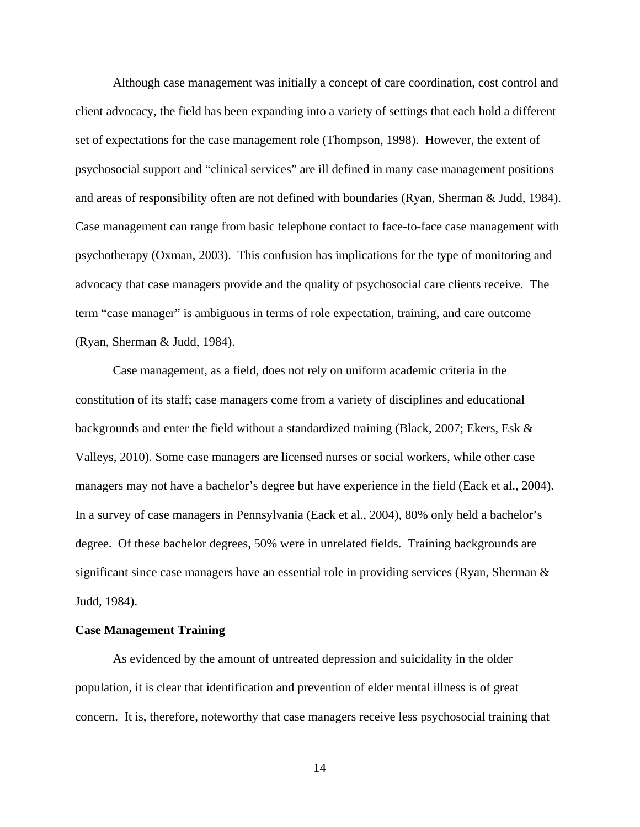Although case management was initially a concept of care coordination, cost control and client advocacy, the field has been expanding into a variety of settings that each hold a different set of expectations for the case management role (Thompson, 1998). However, the extent of psychosocial support and "clinical services" are ill defined in many case management positions and areas of responsibility often are not defined with boundaries (Ryan, Sherman & Judd, 1984). Case management can range from basic telephone contact to face-to-face case management with psychotherapy (Oxman, 2003). This confusion has implications for the type of monitoring and advocacy that case managers provide and the quality of psychosocial care clients receive. The term "case manager" is ambiguous in terms of role expectation, training, and care outcome (Ryan, Sherman & Judd, 1984).

Case management, as a field, does not rely on uniform academic criteria in the constitution of its staff; case managers come from a variety of disciplines and educational backgrounds and enter the field without a standardized training (Black, 2007; Ekers, Esk & Valleys, 2010). Some case managers are licensed nurses or social workers, while other case managers may not have a bachelor's degree but have experience in the field (Eack et al., 2004). In a survey of case managers in Pennsylvania (Eack et al., 2004), 80% only held a bachelor's degree. Of these bachelor degrees, 50% were in unrelated fields. Training backgrounds are significant since case managers have an essential role in providing services (Ryan, Sherman & Judd, 1984).

#### **Case Management Training**

As evidenced by the amount of untreated depression and suicidality in the older population, it is clear that identification and prevention of elder mental illness is of great concern. It is, therefore, noteworthy that case managers receive less psychosocial training that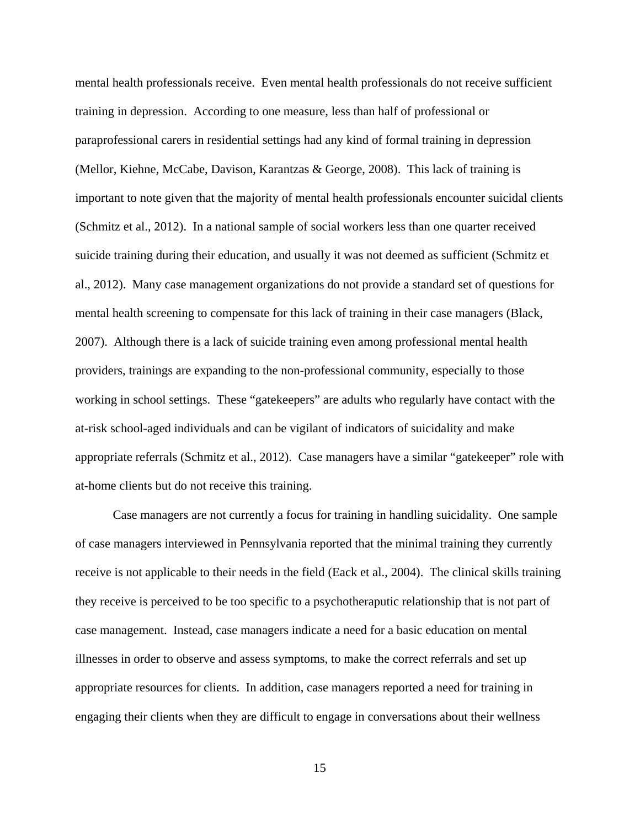mental health professionals receive. Even mental health professionals do not receive sufficient training in depression. According to one measure, less than half of professional or paraprofessional carers in residential settings had any kind of formal training in depression (Mellor, Kiehne, McCabe, Davison, Karantzas & George, 2008). This lack of training is important to note given that the majority of mental health professionals encounter suicidal clients (Schmitz et al., 2012). In a national sample of social workers less than one quarter received suicide training during their education, and usually it was not deemed as sufficient (Schmitz et al., 2012). Many case management organizations do not provide a standard set of questions for mental health screening to compensate for this lack of training in their case managers (Black, 2007). Although there is a lack of suicide training even among professional mental health providers, trainings are expanding to the non-professional community, especially to those working in school settings. These "gatekeepers" are adults who regularly have contact with the at-risk school-aged individuals and can be vigilant of indicators of suicidality and make appropriate referrals (Schmitz et al., 2012). Case managers have a similar "gatekeeper" role with at-home clients but do not receive this training.

Case managers are not currently a focus for training in handling suicidality. One sample of case managers interviewed in Pennsylvania reported that the minimal training they currently receive is not applicable to their needs in the field (Eack et al., 2004). The clinical skills training they receive is perceived to be too specific to a psychotheraputic relationship that is not part of case management. Instead, case managers indicate a need for a basic education on mental illnesses in order to observe and assess symptoms, to make the correct referrals and set up appropriate resources for clients. In addition, case managers reported a need for training in engaging their clients when they are difficult to engage in conversations about their wellness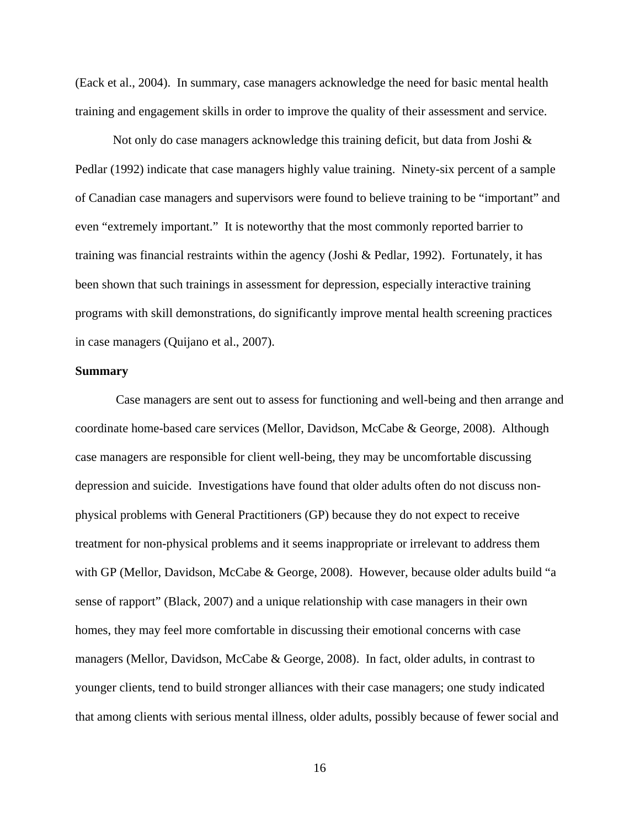(Eack et al., 2004). In summary, case managers acknowledge the need for basic mental health training and engagement skills in order to improve the quality of their assessment and service.

Not only do case managers acknowledge this training deficit, but data from Joshi  $\&$ Pedlar (1992) indicate that case managers highly value training. Ninety-six percent of a sample of Canadian case managers and supervisors were found to believe training to be "important" and even "extremely important." It is noteworthy that the most commonly reported barrier to training was financial restraints within the agency (Joshi & Pedlar, 1992). Fortunately, it has been shown that such trainings in assessment for depression, especially interactive training programs with skill demonstrations, do significantly improve mental health screening practices in case managers (Quijano et al., 2007).

#### **Summary**

 Case managers are sent out to assess for functioning and well-being and then arrange and coordinate home-based care services (Mellor, Davidson, McCabe & George, 2008). Although case managers are responsible for client well-being, they may be uncomfortable discussing depression and suicide. Investigations have found that older adults often do not discuss nonphysical problems with General Practitioners (GP) because they do not expect to receive treatment for non-physical problems and it seems inappropriate or irrelevant to address them with GP (Mellor, Davidson, McCabe & George, 2008). However, because older adults build "a sense of rapport" (Black, 2007) and a unique relationship with case managers in their own homes, they may feel more comfortable in discussing their emotional concerns with case managers (Mellor, Davidson, McCabe & George, 2008). In fact, older adults, in contrast to younger clients, tend to build stronger alliances with their case managers; one study indicated that among clients with serious mental illness, older adults, possibly because of fewer social and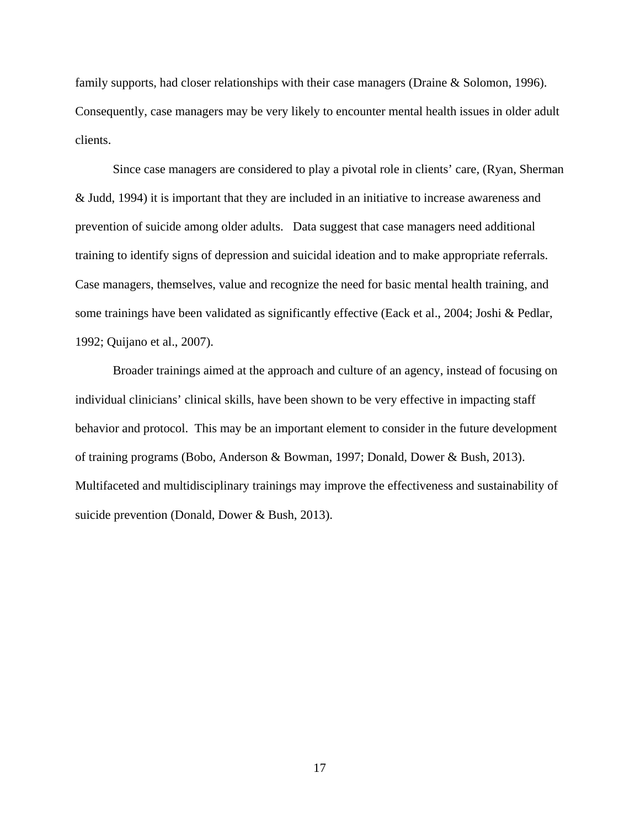family supports, had closer relationships with their case managers (Draine & Solomon, 1996). Consequently, case managers may be very likely to encounter mental health issues in older adult clients.

Since case managers are considered to play a pivotal role in clients' care, (Ryan, Sherman & Judd, 1994) it is important that they are included in an initiative to increase awareness and prevention of suicide among older adults. Data suggest that case managers need additional training to identify signs of depression and suicidal ideation and to make appropriate referrals. Case managers, themselves, value and recognize the need for basic mental health training, and some trainings have been validated as significantly effective (Eack et al., 2004; Joshi & Pedlar, 1992; Quijano et al., 2007).

Broader trainings aimed at the approach and culture of an agency, instead of focusing on individual clinicians' clinical skills, have been shown to be very effective in impacting staff behavior and protocol. This may be an important element to consider in the future development of training programs (Bobo, Anderson & Bowman, 1997; Donald, Dower & Bush, 2013). Multifaceted and multidisciplinary trainings may improve the effectiveness and sustainability of suicide prevention (Donald, Dower & Bush, 2013).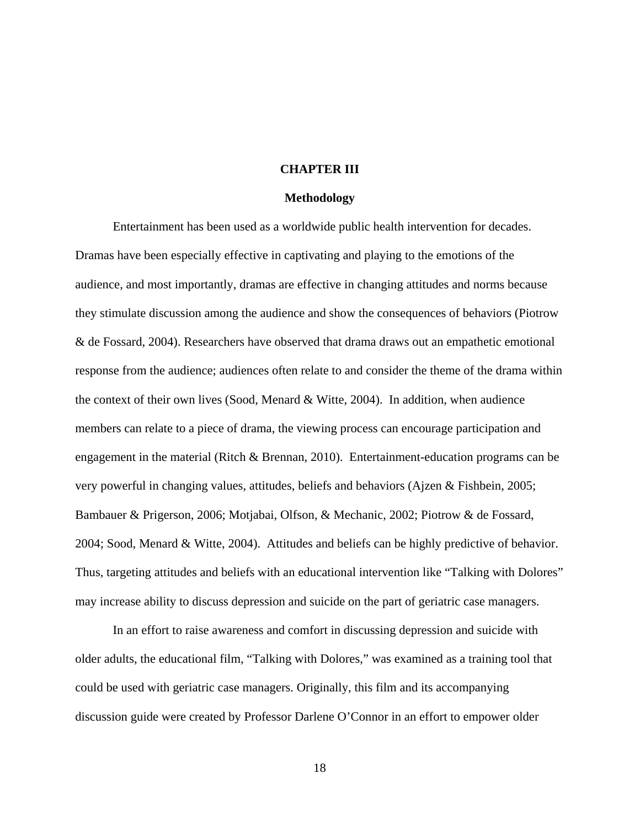#### **CHAPTER III**

#### **Methodology**

Entertainment has been used as a worldwide public health intervention for decades. Dramas have been especially effective in captivating and playing to the emotions of the audience, and most importantly, dramas are effective in changing attitudes and norms because they stimulate discussion among the audience and show the consequences of behaviors (Piotrow & de Fossard, 2004). Researchers have observed that drama draws out an empathetic emotional response from the audience; audiences often relate to and consider the theme of the drama within the context of their own lives (Sood, Menard  $\&$  Witte, 2004). In addition, when audience members can relate to a piece of drama, the viewing process can encourage participation and engagement in the material (Ritch & Brennan, 2010). Entertainment-education programs can be very powerful in changing values, attitudes, beliefs and behaviors (Ajzen & Fishbein, 2005; Bambauer & Prigerson, 2006; Motjabai, Olfson, & Mechanic, 2002; Piotrow & de Fossard, 2004; Sood, Menard & Witte, 2004). Attitudes and beliefs can be highly predictive of behavior. Thus, targeting attitudes and beliefs with an educational intervention like "Talking with Dolores" may increase ability to discuss depression and suicide on the part of geriatric case managers.

In an effort to raise awareness and comfort in discussing depression and suicide with older adults, the educational film, "Talking with Dolores," was examined as a training tool that could be used with geriatric case managers. Originally, this film and its accompanying discussion guide were created by Professor Darlene O'Connor in an effort to empower older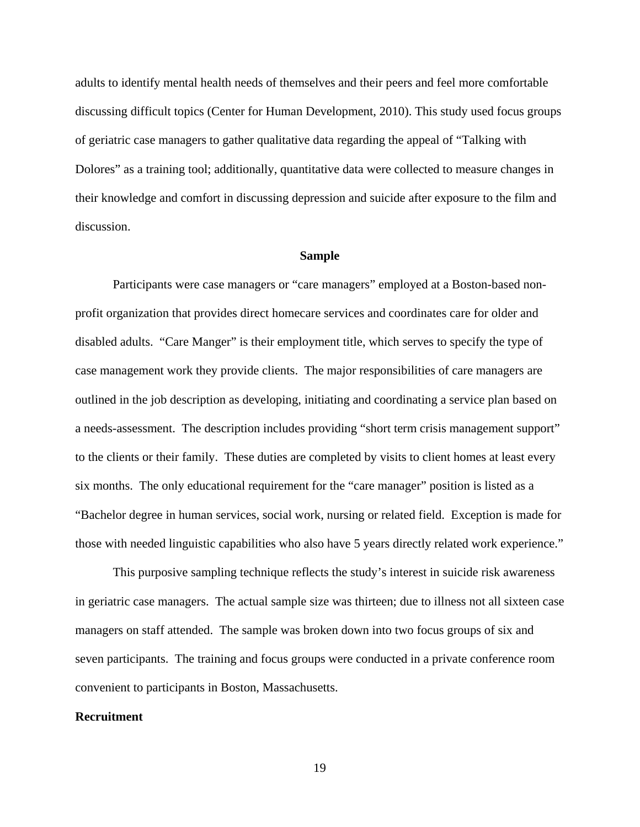adults to identify mental health needs of themselves and their peers and feel more comfortable discussing difficult topics (Center for Human Development, 2010). This study used focus groups of geriatric case managers to gather qualitative data regarding the appeal of "Talking with Dolores" as a training tool; additionally, quantitative data were collected to measure changes in their knowledge and comfort in discussing depression and suicide after exposure to the film and discussion.

#### **Sample**

Participants were case managers or "care managers" employed at a Boston-based nonprofit organization that provides direct homecare services and coordinates care for older and disabled adults. "Care Manger" is their employment title, which serves to specify the type of case management work they provide clients. The major responsibilities of care managers are outlined in the job description as developing, initiating and coordinating a service plan based on a needs-assessment. The description includes providing "short term crisis management support" to the clients or their family. These duties are completed by visits to client homes at least every six months. The only educational requirement for the "care manager" position is listed as a "Bachelor degree in human services, social work, nursing or related field. Exception is made for those with needed linguistic capabilities who also have 5 years directly related work experience."

This purposive sampling technique reflects the study's interest in suicide risk awareness in geriatric case managers. The actual sample size was thirteen; due to illness not all sixteen case managers on staff attended. The sample was broken down into two focus groups of six and seven participants. The training and focus groups were conducted in a private conference room convenient to participants in Boston, Massachusetts.

#### **Recruitment**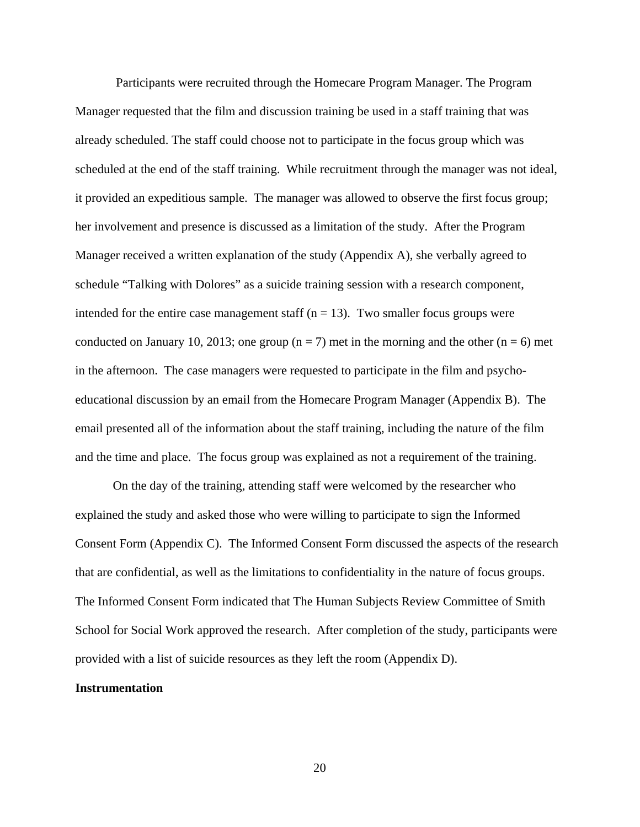Participants were recruited through the Homecare Program Manager. The Program Manager requested that the film and discussion training be used in a staff training that was already scheduled. The staff could choose not to participate in the focus group which was scheduled at the end of the staff training. While recruitment through the manager was not ideal, it provided an expeditious sample. The manager was allowed to observe the first focus group; her involvement and presence is discussed as a limitation of the study. After the Program Manager received a written explanation of the study (Appendix A), she verbally agreed to schedule "Talking with Dolores" as a suicide training session with a research component, intended for the entire case management staff ( $n = 13$ ). Two smaller focus groups were conducted on January 10, 2013; one group ( $n = 7$ ) met in the morning and the other ( $n = 6$ ) met in the afternoon. The case managers were requested to participate in the film and psychoeducational discussion by an email from the Homecare Program Manager (Appendix B). The email presented all of the information about the staff training, including the nature of the film and the time and place. The focus group was explained as not a requirement of the training.

On the day of the training, attending staff were welcomed by the researcher who explained the study and asked those who were willing to participate to sign the Informed Consent Form (Appendix C). The Informed Consent Form discussed the aspects of the research that are confidential, as well as the limitations to confidentiality in the nature of focus groups. The Informed Consent Form indicated that The Human Subjects Review Committee of Smith School for Social Work approved the research. After completion of the study, participants were provided with a list of suicide resources as they left the room (Appendix D).

#### **Instrumentation**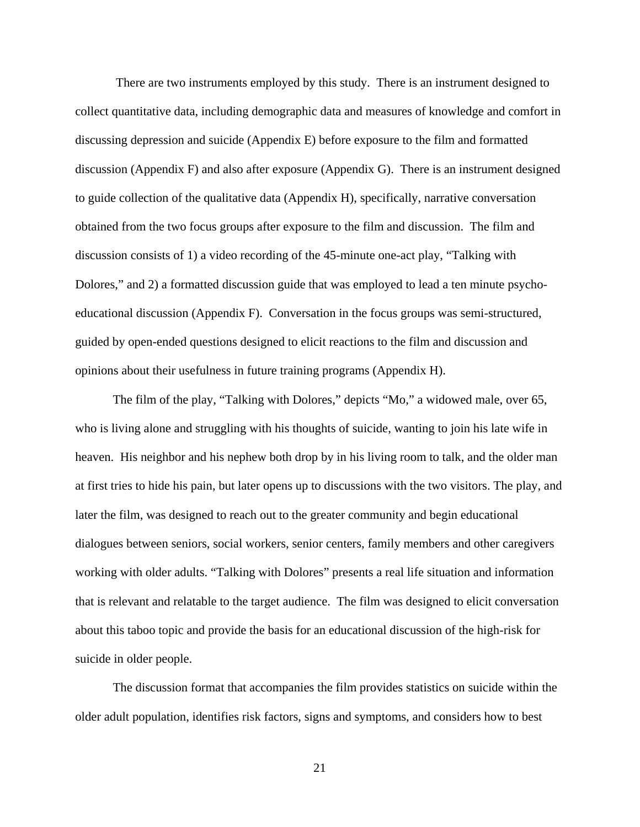There are two instruments employed by this study. There is an instrument designed to collect quantitative data, including demographic data and measures of knowledge and comfort in discussing depression and suicide (Appendix E) before exposure to the film and formatted discussion (Appendix F) and also after exposure (Appendix G). There is an instrument designed to guide collection of the qualitative data (Appendix H), specifically, narrative conversation obtained from the two focus groups after exposure to the film and discussion. The film and discussion consists of 1) a video recording of the 45-minute one-act play, "Talking with Dolores," and 2) a formatted discussion guide that was employed to lead a ten minute psychoeducational discussion (Appendix F). Conversation in the focus groups was semi-structured, guided by open-ended questions designed to elicit reactions to the film and discussion and opinions about their usefulness in future training programs (Appendix H).

The film of the play, "Talking with Dolores," depicts "Mo," a widowed male, over 65, who is living alone and struggling with his thoughts of suicide, wanting to join his late wife in heaven. His neighbor and his nephew both drop by in his living room to talk, and the older man at first tries to hide his pain, but later opens up to discussions with the two visitors. The play, and later the film, was designed to reach out to the greater community and begin educational dialogues between seniors, social workers, senior centers, family members and other caregivers working with older adults. "Talking with Dolores" presents a real life situation and information that is relevant and relatable to the target audience. The film was designed to elicit conversation about this taboo topic and provide the basis for an educational discussion of the high-risk for suicide in older people.

The discussion format that accompanies the film provides statistics on suicide within the older adult population, identifies risk factors, signs and symptoms, and considers how to best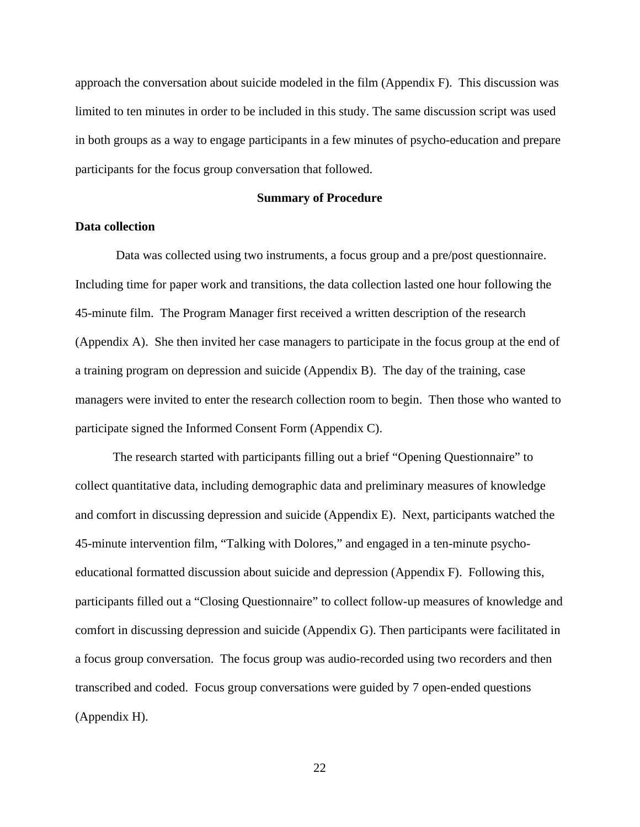approach the conversation about suicide modeled in the film (Appendix  $F$ ). This discussion was limited to ten minutes in order to be included in this study. The same discussion script was used in both groups as a way to engage participants in a few minutes of psycho-education and prepare participants for the focus group conversation that followed.

#### **Summary of Procedure**

### **Data collection**

 Data was collected using two instruments, a focus group and a pre/post questionnaire. Including time for paper work and transitions, the data collection lasted one hour following the 45-minute film. The Program Manager first received a written description of the research (Appendix A). She then invited her case managers to participate in the focus group at the end of a training program on depression and suicide (Appendix B). The day of the training, case managers were invited to enter the research collection room to begin. Then those who wanted to participate signed the Informed Consent Form (Appendix C).

The research started with participants filling out a brief "Opening Questionnaire" to collect quantitative data, including demographic data and preliminary measures of knowledge and comfort in discussing depression and suicide (Appendix E). Next, participants watched the 45-minute intervention film, "Talking with Dolores," and engaged in a ten-minute psychoeducational formatted discussion about suicide and depression (Appendix F). Following this, participants filled out a "Closing Questionnaire" to collect follow-up measures of knowledge and comfort in discussing depression and suicide (Appendix G). Then participants were facilitated in a focus group conversation. The focus group was audio-recorded using two recorders and then transcribed and coded. Focus group conversations were guided by 7 open-ended questions (Appendix H).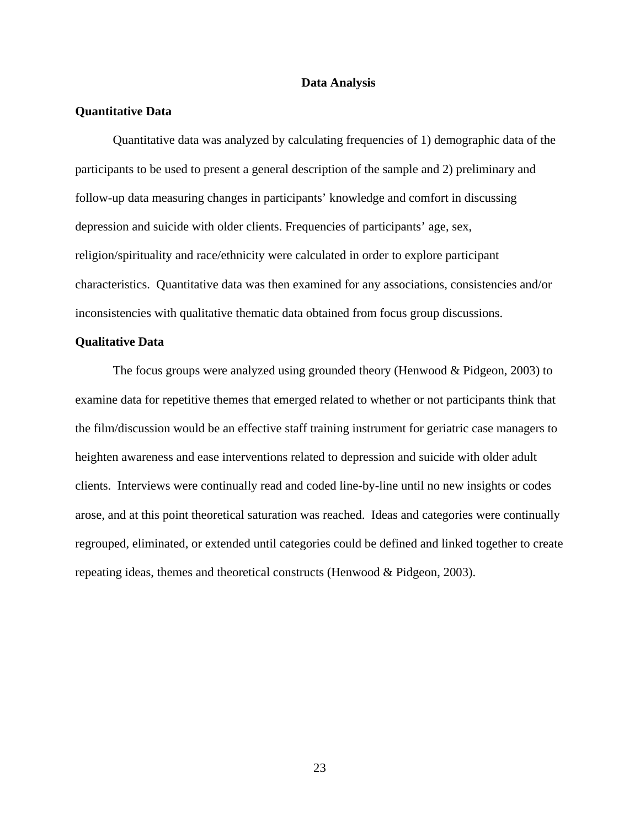#### **Data Analysis**

#### **Quantitative Data**

 Quantitative data was analyzed by calculating frequencies of 1) demographic data of the participants to be used to present a general description of the sample and 2) preliminary and follow-up data measuring changes in participants' knowledge and comfort in discussing depression and suicide with older clients. Frequencies of participants' age, sex, religion/spirituality and race/ethnicity were calculated in order to explore participant characteristics. Quantitative data was then examined for any associations, consistencies and/or inconsistencies with qualitative thematic data obtained from focus group discussions.

#### **Qualitative Data**

The focus groups were analyzed using grounded theory (Henwood & Pidgeon, 2003) to examine data for repetitive themes that emerged related to whether or not participants think that the film/discussion would be an effective staff training instrument for geriatric case managers to heighten awareness and ease interventions related to depression and suicide with older adult clients. Interviews were continually read and coded line-by-line until no new insights or codes arose, and at this point theoretical saturation was reached. Ideas and categories were continually regrouped, eliminated, or extended until categories could be defined and linked together to create repeating ideas, themes and theoretical constructs (Henwood & Pidgeon, 2003).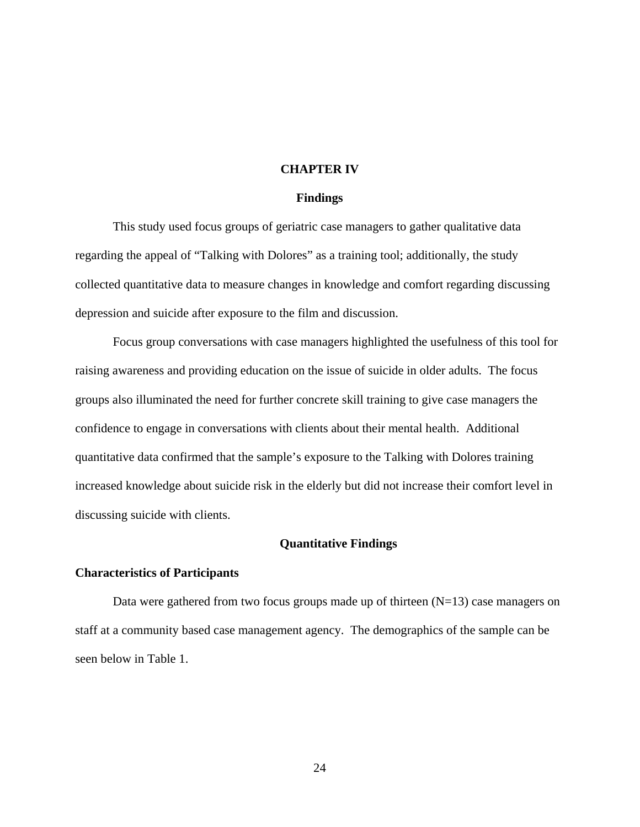#### **CHAPTER IV**

#### **Findings**

This study used focus groups of geriatric case managers to gather qualitative data regarding the appeal of "Talking with Dolores" as a training tool; additionally, the study collected quantitative data to measure changes in knowledge and comfort regarding discussing depression and suicide after exposure to the film and discussion.

Focus group conversations with case managers highlighted the usefulness of this tool for raising awareness and providing education on the issue of suicide in older adults. The focus groups also illuminated the need for further concrete skill training to give case managers the confidence to engage in conversations with clients about their mental health. Additional quantitative data confirmed that the sample's exposure to the Talking with Dolores training increased knowledge about suicide risk in the elderly but did not increase their comfort level in discussing suicide with clients.

#### **Quantitative Findings**

#### **Characteristics of Participants**

Data were gathered from two focus groups made up of thirteen  $(N=13)$  case managers on staff at a community based case management agency. The demographics of the sample can be seen below in Table 1.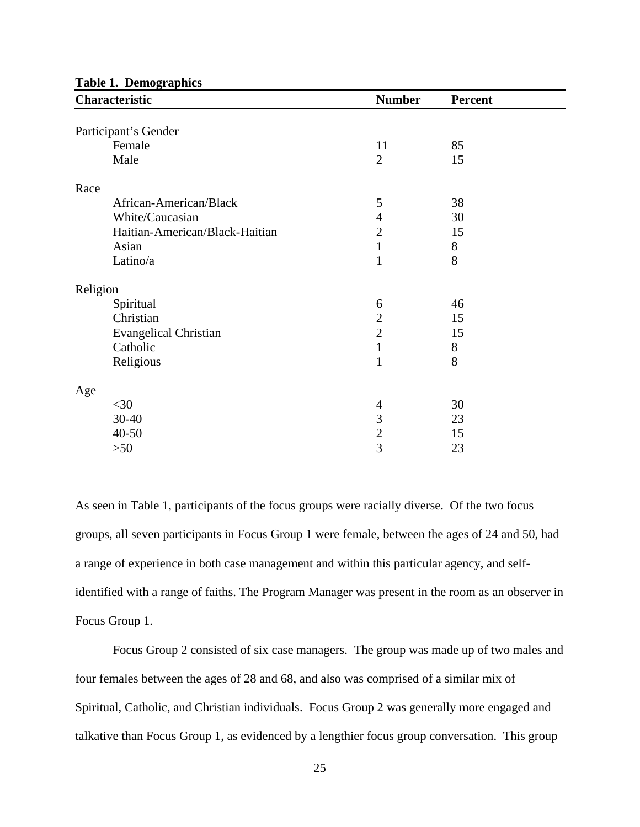| <b>Number</b><br>Characteristic |                | <b>Percent</b> |  |  |
|---------------------------------|----------------|----------------|--|--|
|                                 |                |                |  |  |
| Participant's Gender            |                |                |  |  |
| Female                          | 11             | 85             |  |  |
| Male                            | $\overline{2}$ | 15             |  |  |
| Race                            |                |                |  |  |
| African-American/Black          | 5              | 38             |  |  |
| White/Caucasian                 | $\overline{4}$ | 30             |  |  |
| Haitian-American/Black-Haitian  | $\overline{2}$ | 15             |  |  |
| Asian                           | $\mathbf{1}$   | 8              |  |  |
| Latino/a                        | $\mathbf{1}$   | 8              |  |  |
| Religion                        |                |                |  |  |
| Spiritual                       | 6              | 46             |  |  |
| Christian                       | $\overline{2}$ | 15             |  |  |
| <b>Evangelical Christian</b>    | $\overline{2}$ | 15             |  |  |
| Catholic                        | $\mathbf{1}$   | 8              |  |  |
| Religious                       | $\mathbf{1}$   | 8              |  |  |
| Age                             |                |                |  |  |
| $<$ 30                          | 4              | 30             |  |  |
| 30-40                           | 3              | 23             |  |  |
| 40-50                           | $\overline{2}$ | 15             |  |  |
| $>50$                           | $\overline{3}$ | 23             |  |  |

**Table 1. Demographics** 

As seen in Table 1, participants of the focus groups were racially diverse. Of the two focus groups, all seven participants in Focus Group 1 were female, between the ages of 24 and 50, had a range of experience in both case management and within this particular agency, and selfidentified with a range of faiths. The Program Manager was present in the room as an observer in Focus Group 1.

Focus Group 2 consisted of six case managers. The group was made up of two males and four females between the ages of 28 and 68, and also was comprised of a similar mix of Spiritual, Catholic, and Christian individuals. Focus Group 2 was generally more engaged and talkative than Focus Group 1, as evidenced by a lengthier focus group conversation. This group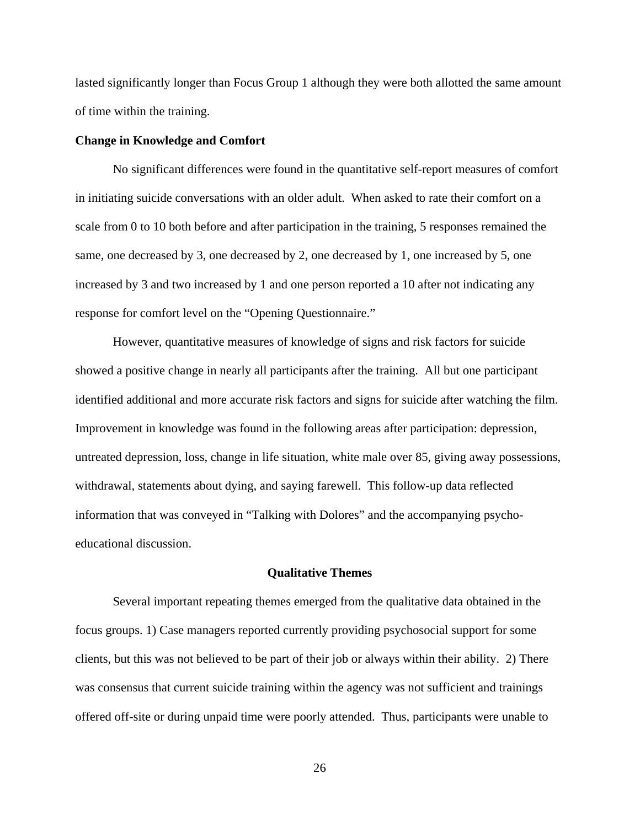lasted significantly longer than Focus Group 1 although they were both allotted the same amount of time within the training.

#### **Change in Knowledge and Comfort**

 No significant differences were found in the quantitative self-report measures of comfort in initiating suicide conversations with an older adult. When asked to rate their comfort on a scale from 0 to 10 both before and after participation in the training, 5 responses remained the same, one decreased by 3, one decreased by 2, one decreased by 1, one increased by 5, one increased by 3 and two increased by 1 and one person reported a 10 after not indicating any response for comfort level on the "Opening Questionnaire."

However, quantitative measures of knowledge of signs and risk factors for suicide showed a positive change in nearly all participants after the training. All but one participant identified additional and more accurate risk factors and signs for suicide after watching the film. Improvement in knowledge was found in the following areas after participation: depression, untreated depression, loss, change in life situation, white male over 85, giving away possessions, withdrawal, statements about dying, and saying farewell. This follow-up data reflected information that was conveyed in "Talking with Dolores" and the accompanying psychoeducational discussion.

#### **Qualitative Themes**

Several important repeating themes emerged from the qualitative data obtained in the focus groups. 1) Case managers reported currently providing psychosocial support for some clients, but this was not believed to be part of their job or always within their ability. 2) There was consensus that current suicide training within the agency was not sufficient and trainings offered off-site or during unpaid time were poorly attended. Thus, participants were unable to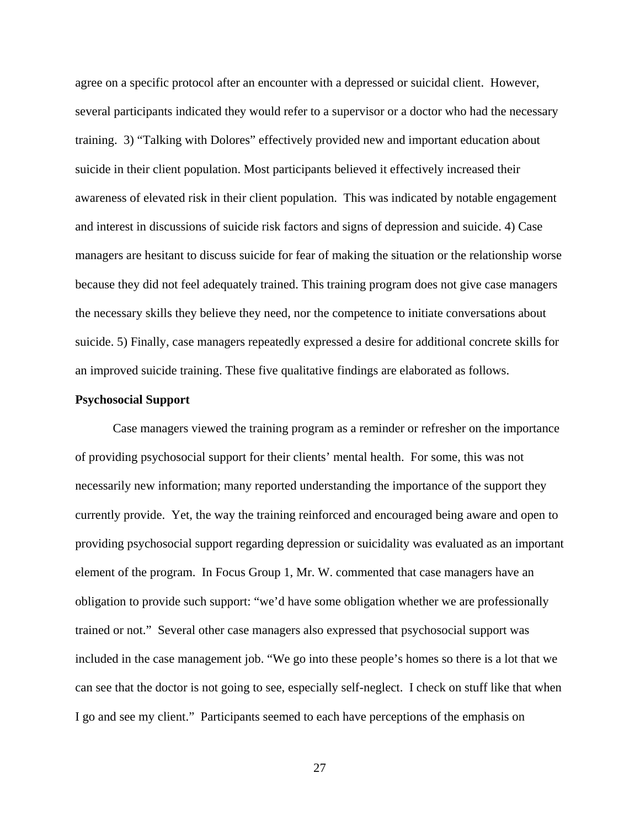agree on a specific protocol after an encounter with a depressed or suicidal client. However, several participants indicated they would refer to a supervisor or a doctor who had the necessary training. 3) "Talking with Dolores" effectively provided new and important education about suicide in their client population. Most participants believed it effectively increased their awareness of elevated risk in their client population. This was indicated by notable engagement and interest in discussions of suicide risk factors and signs of depression and suicide. 4) Case managers are hesitant to discuss suicide for fear of making the situation or the relationship worse because they did not feel adequately trained. This training program does not give case managers the necessary skills they believe they need, nor the competence to initiate conversations about suicide. 5) Finally, case managers repeatedly expressed a desire for additional concrete skills for an improved suicide training. These five qualitative findings are elaborated as follows.

## **Psychosocial Support**

Case managers viewed the training program as a reminder or refresher on the importance of providing psychosocial support for their clients' mental health. For some, this was not necessarily new information; many reported understanding the importance of the support they currently provide. Yet, the way the training reinforced and encouraged being aware and open to providing psychosocial support regarding depression or suicidality was evaluated as an important element of the program. In Focus Group 1, Mr. W. commented that case managers have an obligation to provide such support: "we'd have some obligation whether we are professionally trained or not." Several other case managers also expressed that psychosocial support was included in the case management job. "We go into these people's homes so there is a lot that we can see that the doctor is not going to see, especially self-neglect. I check on stuff like that when I go and see my client." Participants seemed to each have perceptions of the emphasis on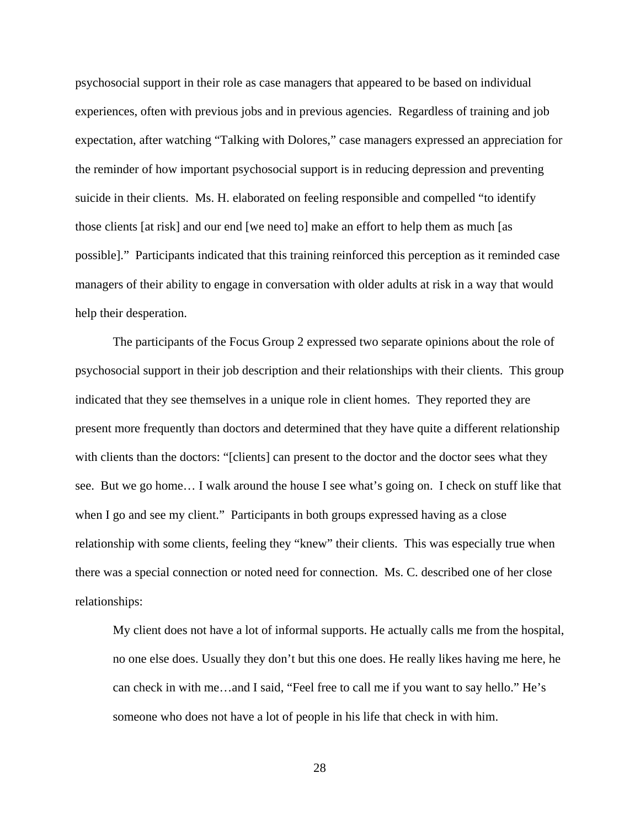psychosocial support in their role as case managers that appeared to be based on individual experiences, often with previous jobs and in previous agencies. Regardless of training and job expectation, after watching "Talking with Dolores," case managers expressed an appreciation for the reminder of how important psychosocial support is in reducing depression and preventing suicide in their clients. Ms. H. elaborated on feeling responsible and compelled "to identify those clients [at risk] and our end [we need to] make an effort to help them as much [as possible]." Participants indicated that this training reinforced this perception as it reminded case managers of their ability to engage in conversation with older adults at risk in a way that would help their desperation.

The participants of the Focus Group 2 expressed two separate opinions about the role of psychosocial support in their job description and their relationships with their clients. This group indicated that they see themselves in a unique role in client homes. They reported they are present more frequently than doctors and determined that they have quite a different relationship with clients than the doctors: "[clients] can present to the doctor and the doctor sees what they see. But we go home… I walk around the house I see what's going on. I check on stuff like that when I go and see my client." Participants in both groups expressed having as a close relationship with some clients, feeling they "knew" their clients. This was especially true when there was a special connection or noted need for connection. Ms. C. described one of her close relationships:

My client does not have a lot of informal supports. He actually calls me from the hospital, no one else does. Usually they don't but this one does. He really likes having me here, he can check in with me…and I said, "Feel free to call me if you want to say hello." He's someone who does not have a lot of people in his life that check in with him.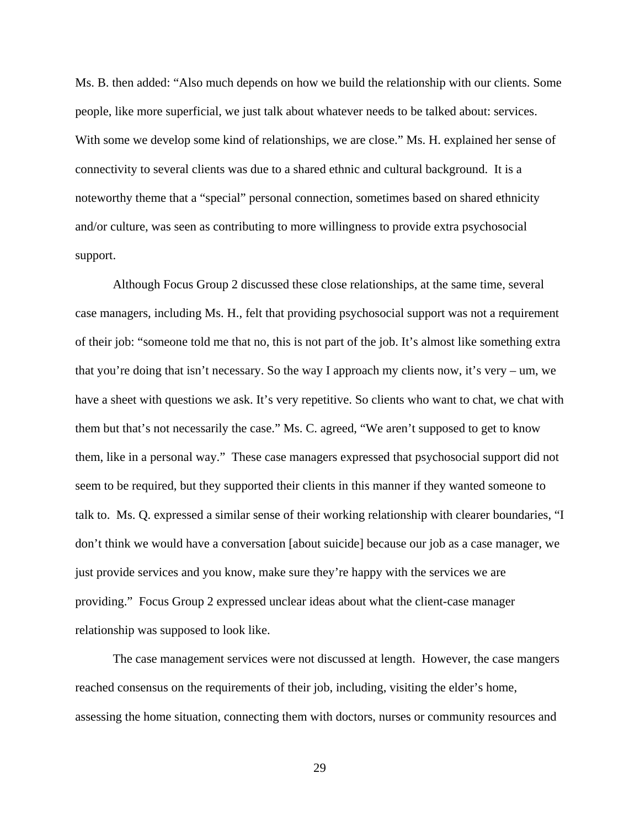Ms. B. then added: "Also much depends on how we build the relationship with our clients. Some people, like more superficial, we just talk about whatever needs to be talked about: services. With some we develop some kind of relationships, we are close." Ms. H. explained her sense of connectivity to several clients was due to a shared ethnic and cultural background. It is a noteworthy theme that a "special" personal connection, sometimes based on shared ethnicity and/or culture, was seen as contributing to more willingness to provide extra psychosocial support.

Although Focus Group 2 discussed these close relationships, at the same time, several case managers, including Ms. H., felt that providing psychosocial support was not a requirement of their job: "someone told me that no, this is not part of the job. It's almost like something extra that you're doing that isn't necessary. So the way I approach my clients now, it's very – um, we have a sheet with questions we ask. It's very repetitive. So clients who want to chat, we chat with them but that's not necessarily the case." Ms. C. agreed, "We aren't supposed to get to know them, like in a personal way." These case managers expressed that psychosocial support did not seem to be required, but they supported their clients in this manner if they wanted someone to talk to. Ms. Q. expressed a similar sense of their working relationship with clearer boundaries, "I don't think we would have a conversation [about suicide] because our job as a case manager, we just provide services and you know, make sure they're happy with the services we are providing." Focus Group 2 expressed unclear ideas about what the client-case manager relationship was supposed to look like.

The case management services were not discussed at length. However, the case mangers reached consensus on the requirements of their job, including, visiting the elder's home, assessing the home situation, connecting them with doctors, nurses or community resources and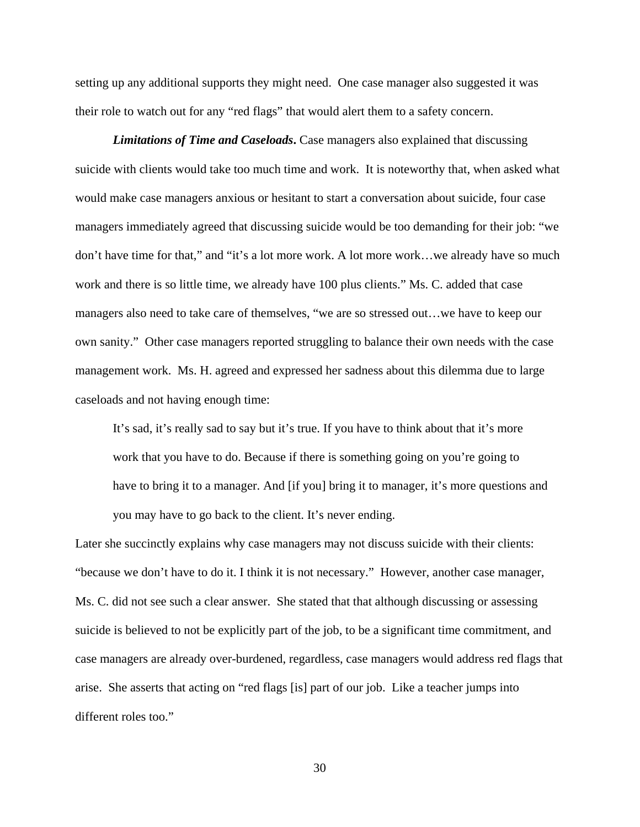setting up any additional supports they might need. One case manager also suggested it was their role to watch out for any "red flags" that would alert them to a safety concern.

*Limitations of Time and Caseloads***.** Case managers also explained that discussing suicide with clients would take too much time and work. It is noteworthy that, when asked what would make case managers anxious or hesitant to start a conversation about suicide, four case managers immediately agreed that discussing suicide would be too demanding for their job: "we don't have time for that," and "it's a lot more work. A lot more work…we already have so much work and there is so little time, we already have 100 plus clients." Ms. C. added that case managers also need to take care of themselves, "we are so stressed out…we have to keep our own sanity." Other case managers reported struggling to balance their own needs with the case management work. Ms. H. agreed and expressed her sadness about this dilemma due to large caseloads and not having enough time:

It's sad, it's really sad to say but it's true. If you have to think about that it's more work that you have to do. Because if there is something going on you're going to have to bring it to a manager. And [if you] bring it to manager, it's more questions and you may have to go back to the client. It's never ending.

Later she succinctly explains why case managers may not discuss suicide with their clients: "because we don't have to do it. I think it is not necessary." However, another case manager, Ms. C. did not see such a clear answer. She stated that that although discussing or assessing suicide is believed to not be explicitly part of the job, to be a significant time commitment, and case managers are already over-burdened, regardless, case managers would address red flags that arise. She asserts that acting on "red flags [is] part of our job. Like a teacher jumps into different roles too."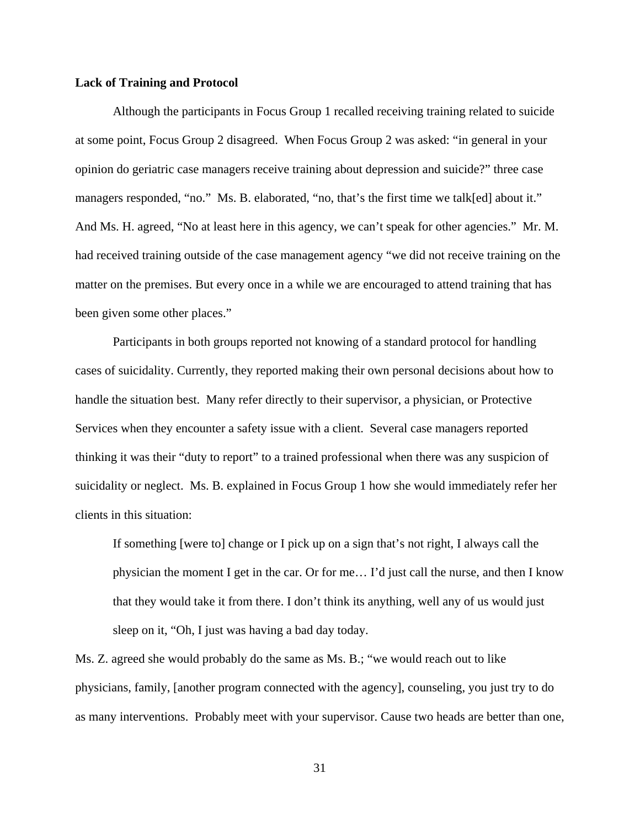## **Lack of Training and Protocol**

Although the participants in Focus Group 1 recalled receiving training related to suicide at some point, Focus Group 2 disagreed. When Focus Group 2 was asked: "in general in your opinion do geriatric case managers receive training about depression and suicide?" three case managers responded, "no." Ms. B. elaborated, "no, that's the first time we talk[ed] about it." And Ms. H. agreed, "No at least here in this agency, we can't speak for other agencies." Mr. M. had received training outside of the case management agency "we did not receive training on the matter on the premises. But every once in a while we are encouraged to attend training that has been given some other places."

Participants in both groups reported not knowing of a standard protocol for handling cases of suicidality. Currently, they reported making their own personal decisions about how to handle the situation best. Many refer directly to their supervisor, a physician, or Protective Services when they encounter a safety issue with a client. Several case managers reported thinking it was their "duty to report" to a trained professional when there was any suspicion of suicidality or neglect. Ms. B. explained in Focus Group 1 how she would immediately refer her clients in this situation:

If something [were to] change or I pick up on a sign that's not right, I always call the physician the moment I get in the car. Or for me… I'd just call the nurse, and then I know that they would take it from there. I don't think its anything, well any of us would just sleep on it, "Oh, I just was having a bad day today.

Ms. Z. agreed she would probably do the same as Ms. B.; "we would reach out to like physicians, family, [another program connected with the agency], counseling, you just try to do as many interventions. Probably meet with your supervisor. Cause two heads are better than one,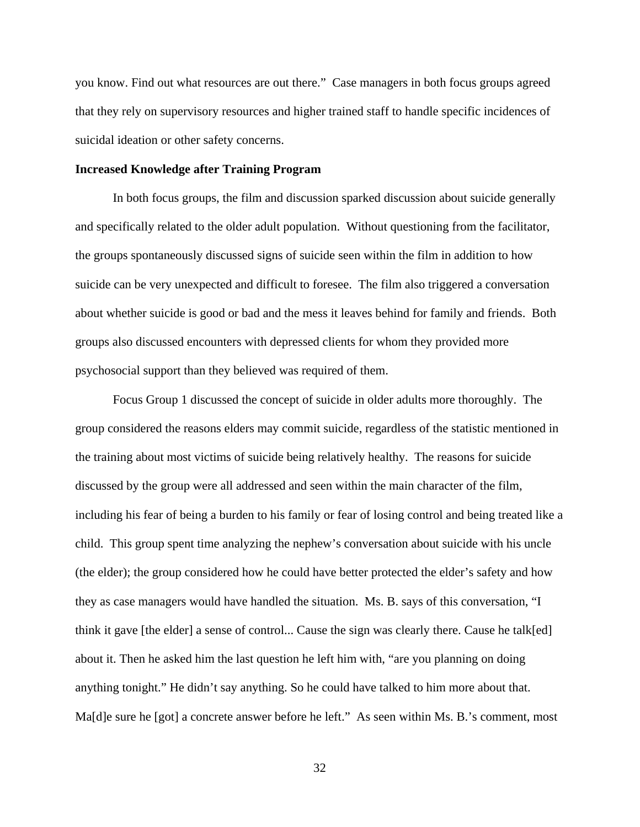you know. Find out what resources are out there." Case managers in both focus groups agreed that they rely on supervisory resources and higher trained staff to handle specific incidences of suicidal ideation or other safety concerns.

## **Increased Knowledge after Training Program**

In both focus groups, the film and discussion sparked discussion about suicide generally and specifically related to the older adult population. Without questioning from the facilitator, the groups spontaneously discussed signs of suicide seen within the film in addition to how suicide can be very unexpected and difficult to foresee. The film also triggered a conversation about whether suicide is good or bad and the mess it leaves behind for family and friends. Both groups also discussed encounters with depressed clients for whom they provided more psychosocial support than they believed was required of them.

Focus Group 1 discussed the concept of suicide in older adults more thoroughly. The group considered the reasons elders may commit suicide, regardless of the statistic mentioned in the training about most victims of suicide being relatively healthy. The reasons for suicide discussed by the group were all addressed and seen within the main character of the film, including his fear of being a burden to his family or fear of losing control and being treated like a child. This group spent time analyzing the nephew's conversation about suicide with his uncle (the elder); the group considered how he could have better protected the elder's safety and how they as case managers would have handled the situation. Ms. B. says of this conversation, "I think it gave [the elder] a sense of control... Cause the sign was clearly there. Cause he talk[ed] about it. Then he asked him the last question he left him with, "are you planning on doing anything tonight." He didn't say anything. So he could have talked to him more about that. Ma[d]e sure he [got] a concrete answer before he left." As seen within Ms. B.'s comment, most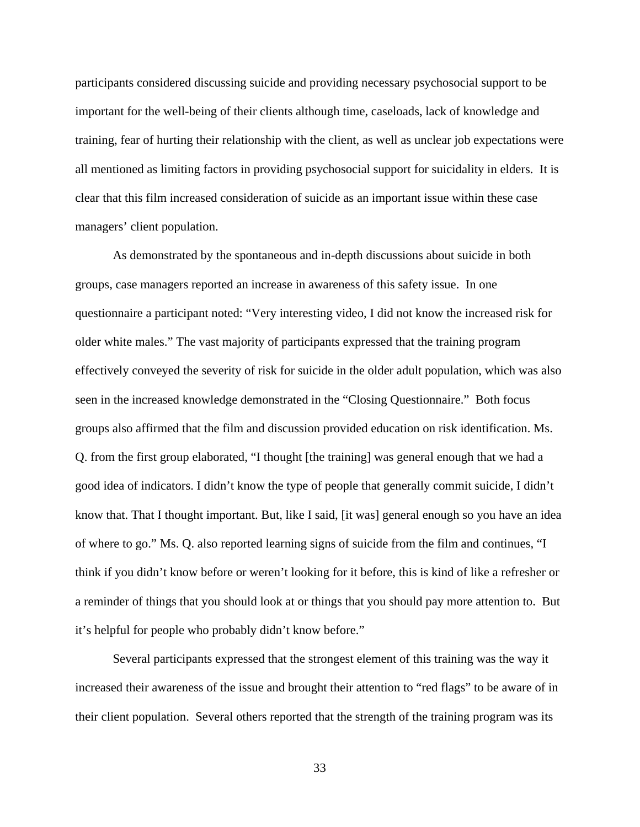participants considered discussing suicide and providing necessary psychosocial support to be important for the well-being of their clients although time, caseloads, lack of knowledge and training, fear of hurting their relationship with the client, as well as unclear job expectations were all mentioned as limiting factors in providing psychosocial support for suicidality in elders. It is clear that this film increased consideration of suicide as an important issue within these case managers' client population.

As demonstrated by the spontaneous and in-depth discussions about suicide in both groups, case managers reported an increase in awareness of this safety issue. In one questionnaire a participant noted: "Very interesting video, I did not know the increased risk for older white males." The vast majority of participants expressed that the training program effectively conveyed the severity of risk for suicide in the older adult population, which was also seen in the increased knowledge demonstrated in the "Closing Questionnaire." Both focus groups also affirmed that the film and discussion provided education on risk identification. Ms. Q. from the first group elaborated, "I thought [the training] was general enough that we had a good idea of indicators. I didn't know the type of people that generally commit suicide, I didn't know that. That I thought important. But, like I said, [it was] general enough so you have an idea of where to go." Ms. Q. also reported learning signs of suicide from the film and continues, "I think if you didn't know before or weren't looking for it before, this is kind of like a refresher or a reminder of things that you should look at or things that you should pay more attention to. But it's helpful for people who probably didn't know before."

Several participants expressed that the strongest element of this training was the way it increased their awareness of the issue and brought their attention to "red flags" to be aware of in their client population. Several others reported that the strength of the training program was its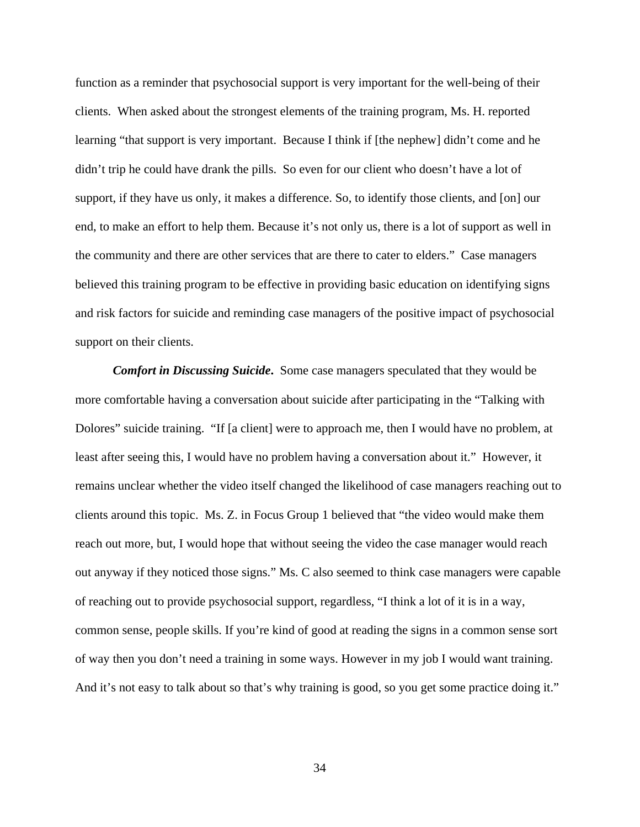function as a reminder that psychosocial support is very important for the well-being of their clients. When asked about the strongest elements of the training program, Ms. H. reported learning "that support is very important. Because I think if [the nephew] didn't come and he didn't trip he could have drank the pills. So even for our client who doesn't have a lot of support, if they have us only, it makes a difference. So, to identify those clients, and [on] our end, to make an effort to help them. Because it's not only us, there is a lot of support as well in the community and there are other services that are there to cater to elders." Case managers believed this training program to be effective in providing basic education on identifying signs and risk factors for suicide and reminding case managers of the positive impact of psychosocial support on their clients.

*Comfort in Discussing Suicide***.** Some case managers speculated that they would be more comfortable having a conversation about suicide after participating in the "Talking with Dolores" suicide training. "If [a client] were to approach me, then I would have no problem, at least after seeing this, I would have no problem having a conversation about it." However, it remains unclear whether the video itself changed the likelihood of case managers reaching out to clients around this topic. Ms. Z. in Focus Group 1 believed that "the video would make them reach out more, but, I would hope that without seeing the video the case manager would reach out anyway if they noticed those signs." Ms. C also seemed to think case managers were capable of reaching out to provide psychosocial support, regardless, "I think a lot of it is in a way, common sense, people skills. If you're kind of good at reading the signs in a common sense sort of way then you don't need a training in some ways. However in my job I would want training. And it's not easy to talk about so that's why training is good, so you get some practice doing it."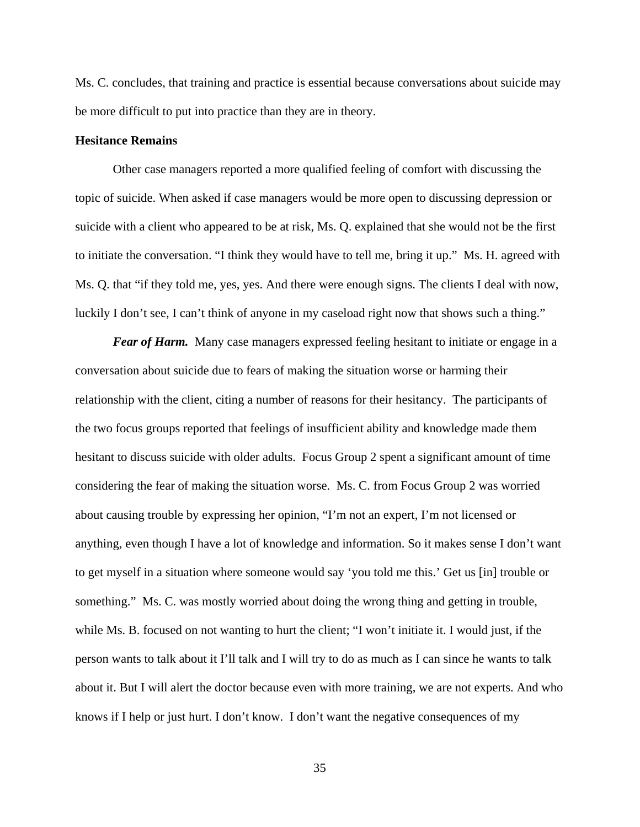Ms. C. concludes, that training and practice is essential because conversations about suicide may be more difficult to put into practice than they are in theory.

## **Hesitance Remains**

Other case managers reported a more qualified feeling of comfort with discussing the topic of suicide. When asked if case managers would be more open to discussing depression or suicide with a client who appeared to be at risk, Ms. Q. explained that she would not be the first to initiate the conversation. "I think they would have to tell me, bring it up." Ms. H. agreed with Ms. Q. that "if they told me, yes, yes. And there were enough signs. The clients I deal with now, luckily I don't see, I can't think of anyone in my caseload right now that shows such a thing."

*Fear of Harm.* Many case managers expressed feeling hesitant to initiate or engage in a conversation about suicide due to fears of making the situation worse or harming their relationship with the client, citing a number of reasons for their hesitancy. The participants of the two focus groups reported that feelings of insufficient ability and knowledge made them hesitant to discuss suicide with older adults. Focus Group 2 spent a significant amount of time considering the fear of making the situation worse. Ms. C. from Focus Group 2 was worried about causing trouble by expressing her opinion, "I'm not an expert, I'm not licensed or anything, even though I have a lot of knowledge and information. So it makes sense I don't want to get myself in a situation where someone would say 'you told me this.' Get us [in] trouble or something." Ms. C. was mostly worried about doing the wrong thing and getting in trouble, while Ms. B. focused on not wanting to hurt the client; "I won't initiate it. I would just, if the person wants to talk about it I'll talk and I will try to do as much as I can since he wants to talk about it. But I will alert the doctor because even with more training, we are not experts. And who knows if I help or just hurt. I don't know. I don't want the negative consequences of my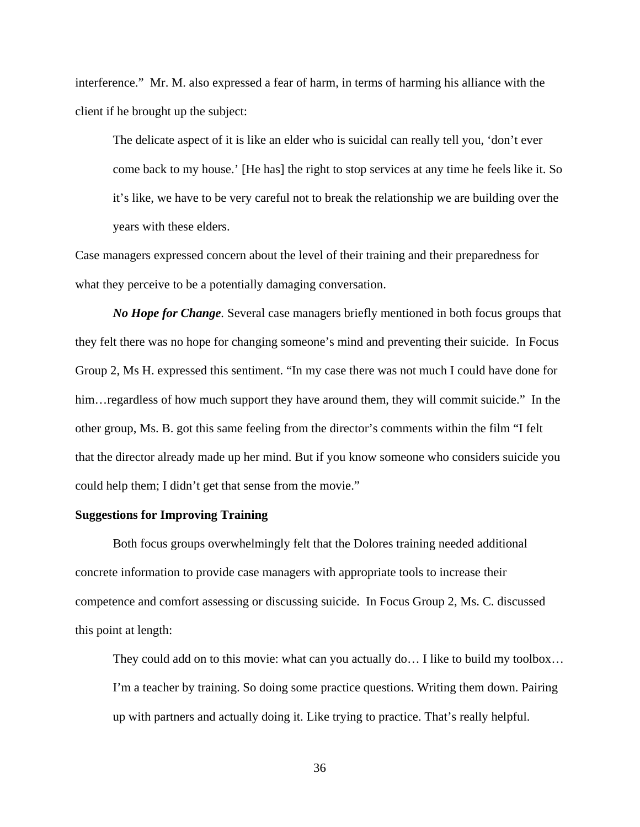interference." Mr. M. also expressed a fear of harm, in terms of harming his alliance with the client if he brought up the subject:

The delicate aspect of it is like an elder who is suicidal can really tell you, 'don't ever come back to my house.' [He has] the right to stop services at any time he feels like it. So it's like, we have to be very careful not to break the relationship we are building over the years with these elders.

Case managers expressed concern about the level of their training and their preparedness for what they perceive to be a potentially damaging conversation.

*No Hope for Change.* Several case managers briefly mentioned in both focus groups that they felt there was no hope for changing someone's mind and preventing their suicide. In Focus Group 2, Ms H. expressed this sentiment. "In my case there was not much I could have done for him... regardless of how much support they have around them, they will commit suicide." In the other group, Ms. B. got this same feeling from the director's comments within the film "I felt that the director already made up her mind. But if you know someone who considers suicide you could help them; I didn't get that sense from the movie."

## **Suggestions for Improving Training**

Both focus groups overwhelmingly felt that the Dolores training needed additional concrete information to provide case managers with appropriate tools to increase their competence and comfort assessing or discussing suicide. In Focus Group 2, Ms. C. discussed this point at length:

They could add on to this movie: what can you actually do… I like to build my toolbox… I'm a teacher by training. So doing some practice questions. Writing them down. Pairing up with partners and actually doing it. Like trying to practice. That's really helpful.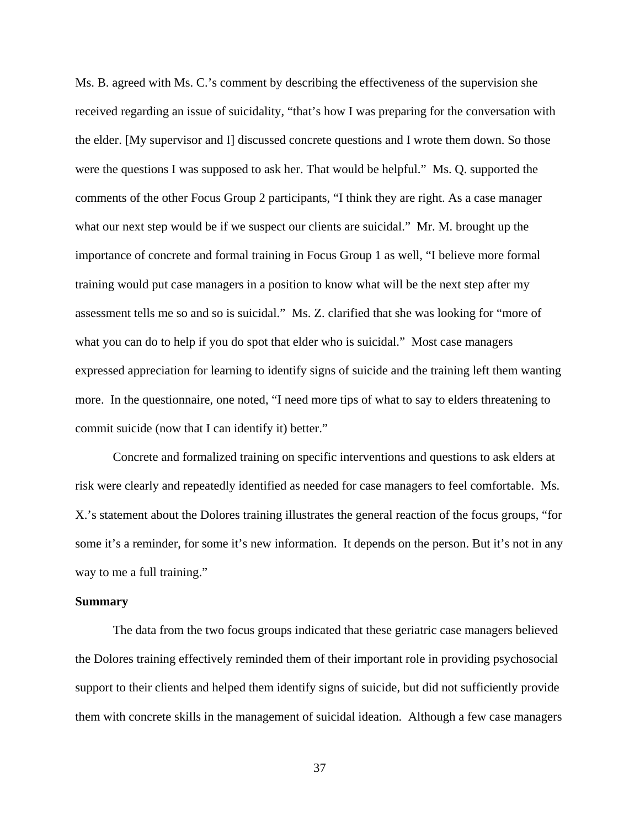Ms. B. agreed with Ms. C.'s comment by describing the effectiveness of the supervision she received regarding an issue of suicidality, "that's how I was preparing for the conversation with the elder. [My supervisor and I] discussed concrete questions and I wrote them down. So those were the questions I was supposed to ask her. That would be helpful." Ms. Q. supported the comments of the other Focus Group 2 participants, "I think they are right. As a case manager what our next step would be if we suspect our clients are suicidal." Mr. M. brought up the importance of concrete and formal training in Focus Group 1 as well, "I believe more formal training would put case managers in a position to know what will be the next step after my assessment tells me so and so is suicidal." Ms. Z. clarified that she was looking for "more of what you can do to help if you do spot that elder who is suicidal." Most case managers expressed appreciation for learning to identify signs of suicide and the training left them wanting more. In the questionnaire, one noted, "I need more tips of what to say to elders threatening to commit suicide (now that I can identify it) better."

Concrete and formalized training on specific interventions and questions to ask elders at risk were clearly and repeatedly identified as needed for case managers to feel comfortable. Ms. X.'s statement about the Dolores training illustrates the general reaction of the focus groups, "for some it's a reminder, for some it's new information. It depends on the person. But it's not in any way to me a full training."

#### **Summary**

The data from the two focus groups indicated that these geriatric case managers believed the Dolores training effectively reminded them of their important role in providing psychosocial support to their clients and helped them identify signs of suicide, but did not sufficiently provide them with concrete skills in the management of suicidal ideation. Although a few case managers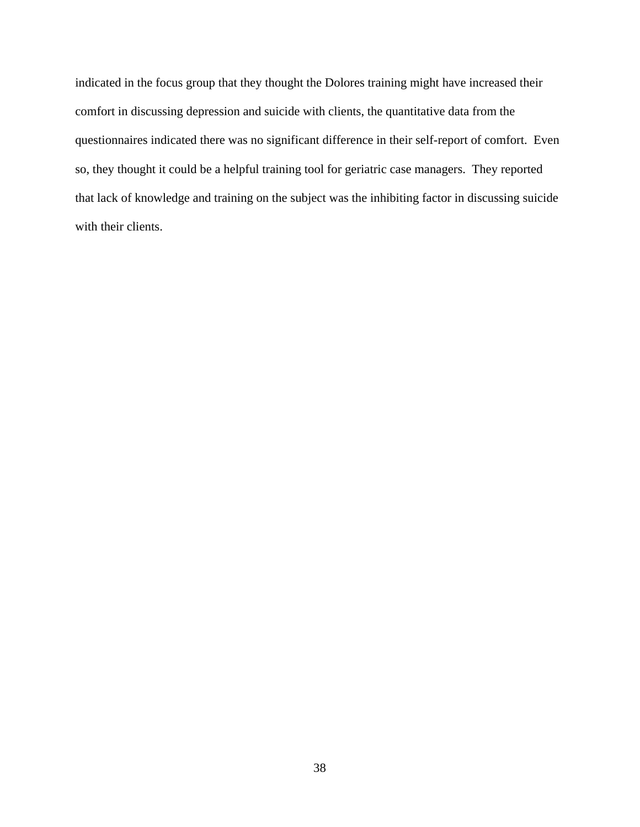indicated in the focus group that they thought the Dolores training might have increased their comfort in discussing depression and suicide with clients, the quantitative data from the questionnaires indicated there was no significant difference in their self-report of comfort. Even so, they thought it could be a helpful training tool for geriatric case managers. They reported that lack of knowledge and training on the subject was the inhibiting factor in discussing suicide with their clients.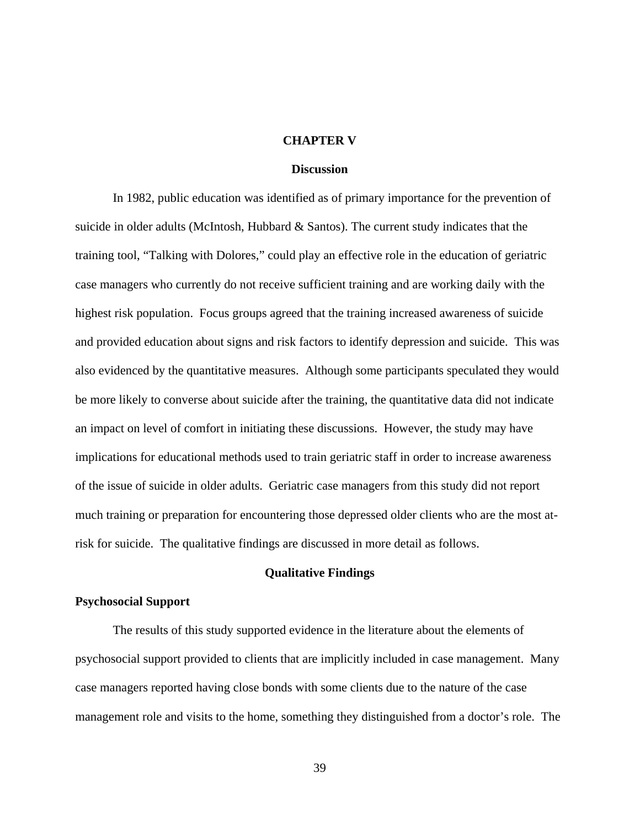#### **CHAPTER V**

### **Discussion**

In 1982, public education was identified as of primary importance for the prevention of suicide in older adults (McIntosh, Hubbard & Santos). The current study indicates that the training tool, "Talking with Dolores," could play an effective role in the education of geriatric case managers who currently do not receive sufficient training and are working daily with the highest risk population. Focus groups agreed that the training increased awareness of suicide and provided education about signs and risk factors to identify depression and suicide. This was also evidenced by the quantitative measures. Although some participants speculated they would be more likely to converse about suicide after the training, the quantitative data did not indicate an impact on level of comfort in initiating these discussions. However, the study may have implications for educational methods used to train geriatric staff in order to increase awareness of the issue of suicide in older adults. Geriatric case managers from this study did not report much training or preparation for encountering those depressed older clients who are the most atrisk for suicide. The qualitative findings are discussed in more detail as follows.

## **Qualitative Findings**

#### **Psychosocial Support**

The results of this study supported evidence in the literature about the elements of psychosocial support provided to clients that are implicitly included in case management. Many case managers reported having close bonds with some clients due to the nature of the case management role and visits to the home, something they distinguished from a doctor's role. The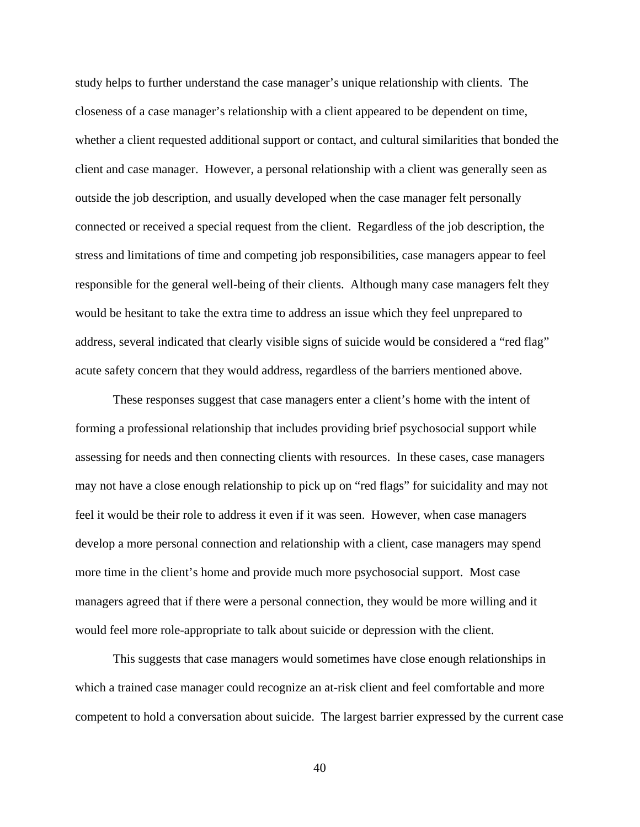study helps to further understand the case manager's unique relationship with clients. The closeness of a case manager's relationship with a client appeared to be dependent on time, whether a client requested additional support or contact, and cultural similarities that bonded the client and case manager. However, a personal relationship with a client was generally seen as outside the job description, and usually developed when the case manager felt personally connected or received a special request from the client. Regardless of the job description, the stress and limitations of time and competing job responsibilities, case managers appear to feel responsible for the general well-being of their clients. Although many case managers felt they would be hesitant to take the extra time to address an issue which they feel unprepared to address, several indicated that clearly visible signs of suicide would be considered a "red flag" acute safety concern that they would address, regardless of the barriers mentioned above.

These responses suggest that case managers enter a client's home with the intent of forming a professional relationship that includes providing brief psychosocial support while assessing for needs and then connecting clients with resources. In these cases, case managers may not have a close enough relationship to pick up on "red flags" for suicidality and may not feel it would be their role to address it even if it was seen. However, when case managers develop a more personal connection and relationship with a client, case managers may spend more time in the client's home and provide much more psychosocial support. Most case managers agreed that if there were a personal connection, they would be more willing and it would feel more role-appropriate to talk about suicide or depression with the client.

This suggests that case managers would sometimes have close enough relationships in which a trained case manager could recognize an at-risk client and feel comfortable and more competent to hold a conversation about suicide. The largest barrier expressed by the current case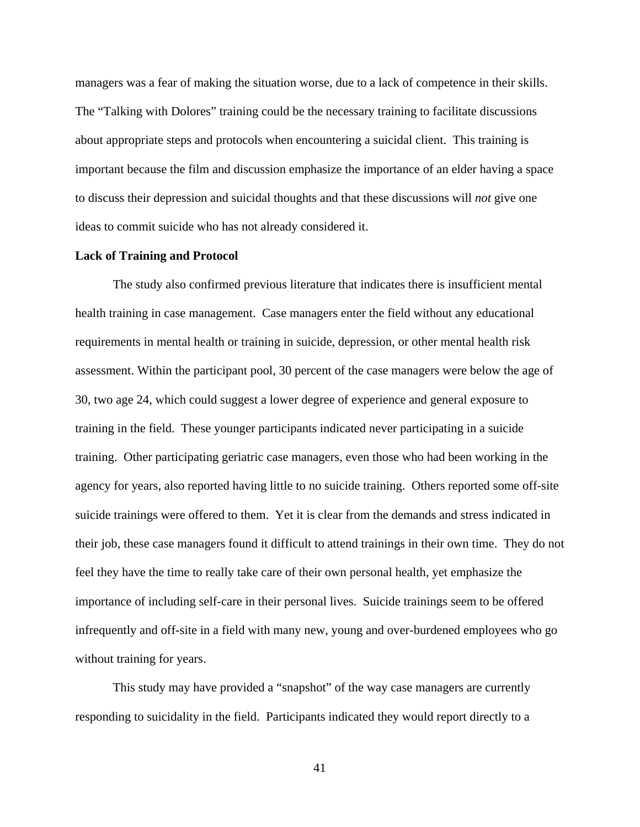managers was a fear of making the situation worse, due to a lack of competence in their skills. The "Talking with Dolores" training could be the necessary training to facilitate discussions about appropriate steps and protocols when encountering a suicidal client. This training is important because the film and discussion emphasize the importance of an elder having a space to discuss their depression and suicidal thoughts and that these discussions will *not* give one ideas to commit suicide who has not already considered it.

#### **Lack of Training and Protocol**

The study also confirmed previous literature that indicates there is insufficient mental health training in case management. Case managers enter the field without any educational requirements in mental health or training in suicide, depression, or other mental health risk assessment. Within the participant pool, 30 percent of the case managers were below the age of 30, two age 24, which could suggest a lower degree of experience and general exposure to training in the field. These younger participants indicated never participating in a suicide training. Other participating geriatric case managers, even those who had been working in the agency for years, also reported having little to no suicide training. Others reported some off-site suicide trainings were offered to them. Yet it is clear from the demands and stress indicated in their job, these case managers found it difficult to attend trainings in their own time. They do not feel they have the time to really take care of their own personal health, yet emphasize the importance of including self-care in their personal lives. Suicide trainings seem to be offered infrequently and off-site in a field with many new, young and over-burdened employees who go without training for years.

This study may have provided a "snapshot" of the way case managers are currently responding to suicidality in the field. Participants indicated they would report directly to a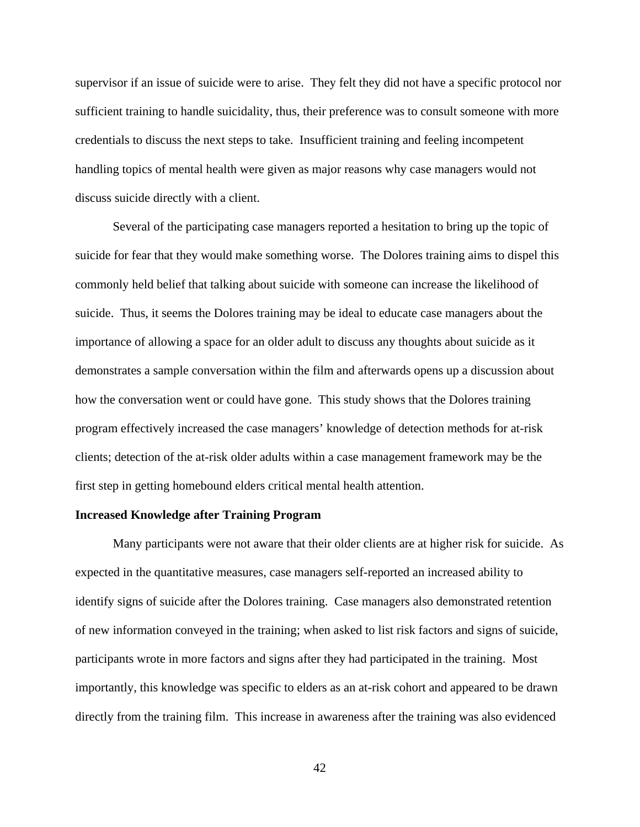supervisor if an issue of suicide were to arise. They felt they did not have a specific protocol nor sufficient training to handle suicidality, thus, their preference was to consult someone with more credentials to discuss the next steps to take. Insufficient training and feeling incompetent handling topics of mental health were given as major reasons why case managers would not discuss suicide directly with a client.

Several of the participating case managers reported a hesitation to bring up the topic of suicide for fear that they would make something worse. The Dolores training aims to dispel this commonly held belief that talking about suicide with someone can increase the likelihood of suicide. Thus, it seems the Dolores training may be ideal to educate case managers about the importance of allowing a space for an older adult to discuss any thoughts about suicide as it demonstrates a sample conversation within the film and afterwards opens up a discussion about how the conversation went or could have gone. This study shows that the Dolores training program effectively increased the case managers' knowledge of detection methods for at-risk clients; detection of the at-risk older adults within a case management framework may be the first step in getting homebound elders critical mental health attention.

#### **Increased Knowledge after Training Program**

Many participants were not aware that their older clients are at higher risk for suicide. As expected in the quantitative measures, case managers self-reported an increased ability to identify signs of suicide after the Dolores training. Case managers also demonstrated retention of new information conveyed in the training; when asked to list risk factors and signs of suicide, participants wrote in more factors and signs after they had participated in the training. Most importantly, this knowledge was specific to elders as an at-risk cohort and appeared to be drawn directly from the training film. This increase in awareness after the training was also evidenced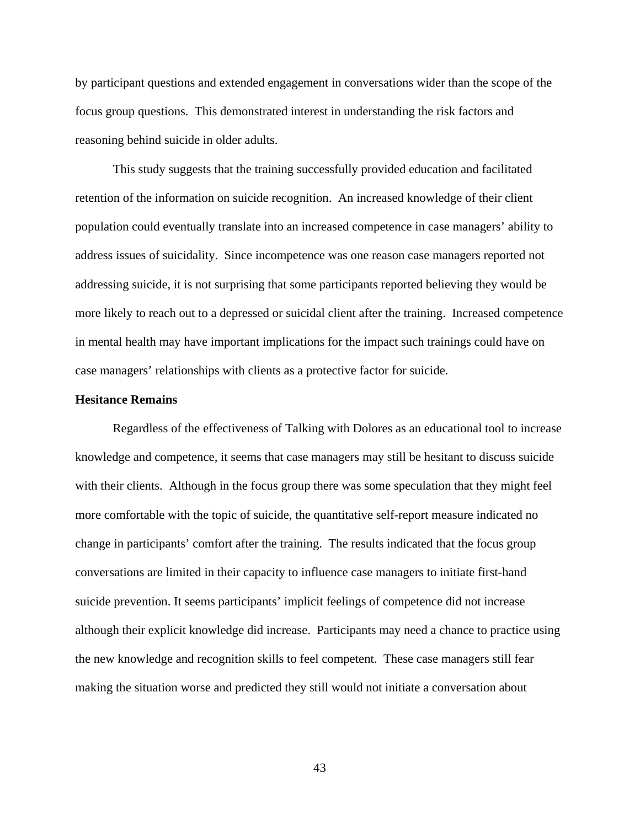by participant questions and extended engagement in conversations wider than the scope of the focus group questions. This demonstrated interest in understanding the risk factors and reasoning behind suicide in older adults.

This study suggests that the training successfully provided education and facilitated retention of the information on suicide recognition. An increased knowledge of their client population could eventually translate into an increased competence in case managers' ability to address issues of suicidality. Since incompetence was one reason case managers reported not addressing suicide, it is not surprising that some participants reported believing they would be more likely to reach out to a depressed or suicidal client after the training. Increased competence in mental health may have important implications for the impact such trainings could have on case managers' relationships with clients as a protective factor for suicide.

### **Hesitance Remains**

Regardless of the effectiveness of Talking with Dolores as an educational tool to increase knowledge and competence, it seems that case managers may still be hesitant to discuss suicide with their clients. Although in the focus group there was some speculation that they might feel more comfortable with the topic of suicide, the quantitative self-report measure indicated no change in participants' comfort after the training. The results indicated that the focus group conversations are limited in their capacity to influence case managers to initiate first-hand suicide prevention. It seems participants' implicit feelings of competence did not increase although their explicit knowledge did increase. Participants may need a chance to practice using the new knowledge and recognition skills to feel competent. These case managers still fear making the situation worse and predicted they still would not initiate a conversation about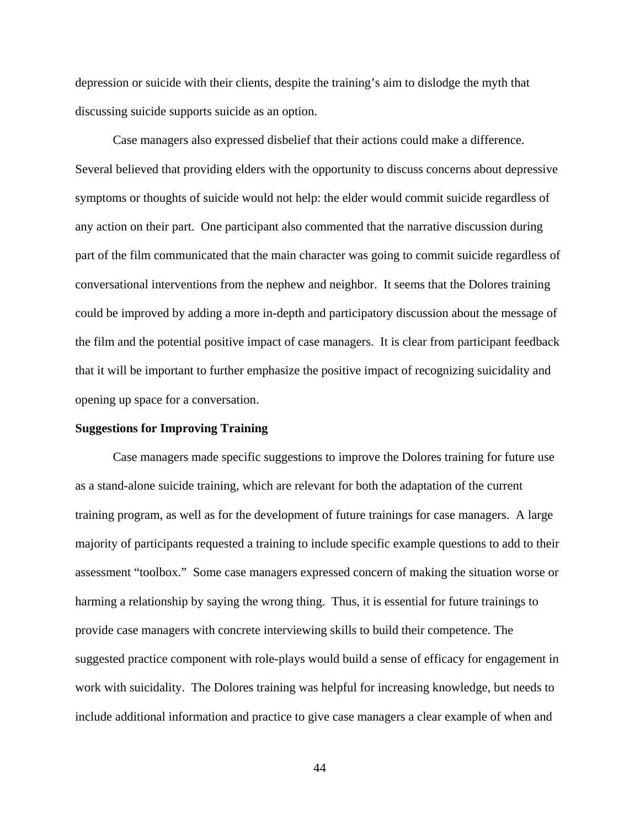depression or suicide with their clients, despite the training's aim to dislodge the myth that discussing suicide supports suicide as an option.

Case managers also expressed disbelief that their actions could make a difference. Several believed that providing elders with the opportunity to discuss concerns about depressive symptoms or thoughts of suicide would not help: the elder would commit suicide regardless of any action on their part. One participant also commented that the narrative discussion during part of the film communicated that the main character was going to commit suicide regardless of conversational interventions from the nephew and neighbor. It seems that the Dolores training could be improved by adding a more in-depth and participatory discussion about the message of the film and the potential positive impact of case managers. It is clear from participant feedback that it will be important to further emphasize the positive impact of recognizing suicidality and opening up space for a conversation.

#### **Suggestions for Improving Training**

Case managers made specific suggestions to improve the Dolores training for future use as a stand-alone suicide training, which are relevant for both the adaptation of the current training program, as well as for the development of future trainings for case managers. A large majority of participants requested a training to include specific example questions to add to their assessment "toolbox." Some case managers expressed concern of making the situation worse or harming a relationship by saying the wrong thing. Thus, it is essential for future trainings to provide case managers with concrete interviewing skills to build their competence. The suggested practice component with role-plays would build a sense of efficacy for engagement in work with suicidality. The Dolores training was helpful for increasing knowledge, but needs to include additional information and practice to give case managers a clear example of when and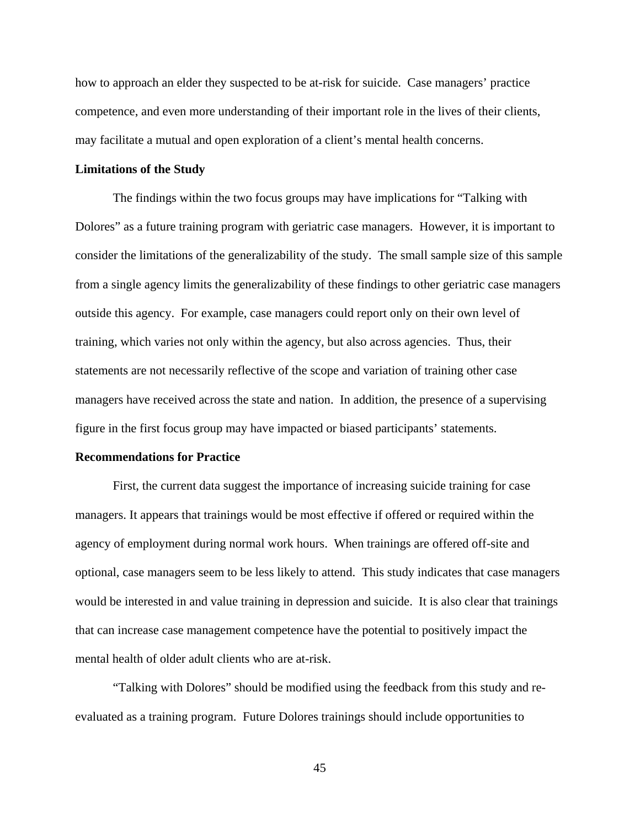how to approach an elder they suspected to be at-risk for suicide. Case managers' practice competence, and even more understanding of their important role in the lives of their clients, may facilitate a mutual and open exploration of a client's mental health concerns.

#### **Limitations of the Study**

 The findings within the two focus groups may have implications for "Talking with Dolores" as a future training program with geriatric case managers. However, it is important to consider the limitations of the generalizability of the study. The small sample size of this sample from a single agency limits the generalizability of these findings to other geriatric case managers outside this agency. For example, case managers could report only on their own level of training, which varies not only within the agency, but also across agencies. Thus, their statements are not necessarily reflective of the scope and variation of training other case managers have received across the state and nation. In addition, the presence of a supervising figure in the first focus group may have impacted or biased participants' statements.

### **Recommendations for Practice**

 First, the current data suggest the importance of increasing suicide training for case managers. It appears that trainings would be most effective if offered or required within the agency of employment during normal work hours. When trainings are offered off-site and optional, case managers seem to be less likely to attend. This study indicates that case managers would be interested in and value training in depression and suicide. It is also clear that trainings that can increase case management competence have the potential to positively impact the mental health of older adult clients who are at-risk.

 "Talking with Dolores" should be modified using the feedback from this study and reevaluated as a training program. Future Dolores trainings should include opportunities to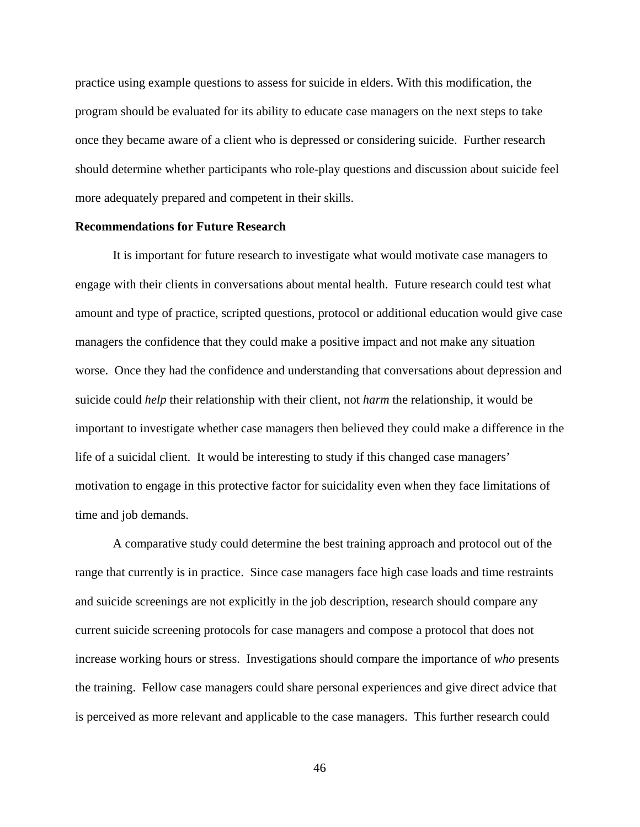practice using example questions to assess for suicide in elders. With this modification, the program should be evaluated for its ability to educate case managers on the next steps to take once they became aware of a client who is depressed or considering suicide. Further research should determine whether participants who role-play questions and discussion about suicide feel more adequately prepared and competent in their skills.

## **Recommendations for Future Research**

It is important for future research to investigate what would motivate case managers to engage with their clients in conversations about mental health. Future research could test what amount and type of practice, scripted questions, protocol or additional education would give case managers the confidence that they could make a positive impact and not make any situation worse. Once they had the confidence and understanding that conversations about depression and suicide could *help* their relationship with their client, not *harm* the relationship, it would be important to investigate whether case managers then believed they could make a difference in the life of a suicidal client. It would be interesting to study if this changed case managers' motivation to engage in this protective factor for suicidality even when they face limitations of time and job demands.

 A comparative study could determine the best training approach and protocol out of the range that currently is in practice. Since case managers face high case loads and time restraints and suicide screenings are not explicitly in the job description, research should compare any current suicide screening protocols for case managers and compose a protocol that does not increase working hours or stress. Investigations should compare the importance of *who* presents the training. Fellow case managers could share personal experiences and give direct advice that is perceived as more relevant and applicable to the case managers. This further research could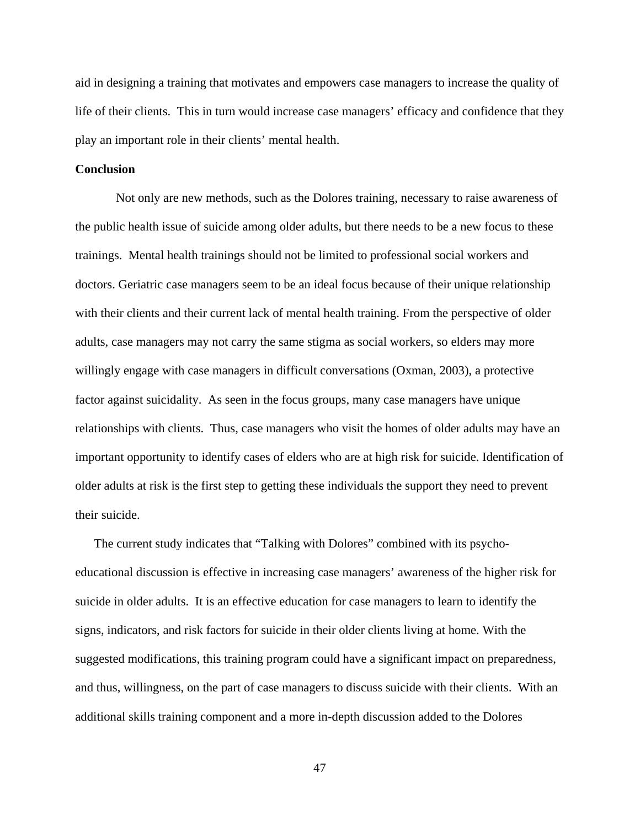aid in designing a training that motivates and empowers case managers to increase the quality of life of their clients. This in turn would increase case managers' efficacy and confidence that they play an important role in their clients' mental health.

## **Conclusion**

 Not only are new methods, such as the Dolores training, necessary to raise awareness of the public health issue of suicide among older adults, but there needs to be a new focus to these trainings. Mental health trainings should not be limited to professional social workers and doctors. Geriatric case managers seem to be an ideal focus because of their unique relationship with their clients and their current lack of mental health training. From the perspective of older adults, case managers may not carry the same stigma as social workers, so elders may more willingly engage with case managers in difficult conversations (Oxman, 2003), a protective factor against suicidality. As seen in the focus groups, many case managers have unique relationships with clients. Thus, case managers who visit the homes of older adults may have an important opportunity to identify cases of elders who are at high risk for suicide. Identification of older adults at risk is the first step to getting these individuals the support they need to prevent their suicide.

The current study indicates that "Talking with Dolores" combined with its psychoeducational discussion is effective in increasing case managers' awareness of the higher risk for suicide in older adults. It is an effective education for case managers to learn to identify the signs, indicators, and risk factors for suicide in their older clients living at home. With the suggested modifications, this training program could have a significant impact on preparedness, and thus, willingness, on the part of case managers to discuss suicide with their clients. With an additional skills training component and a more in-depth discussion added to the Dolores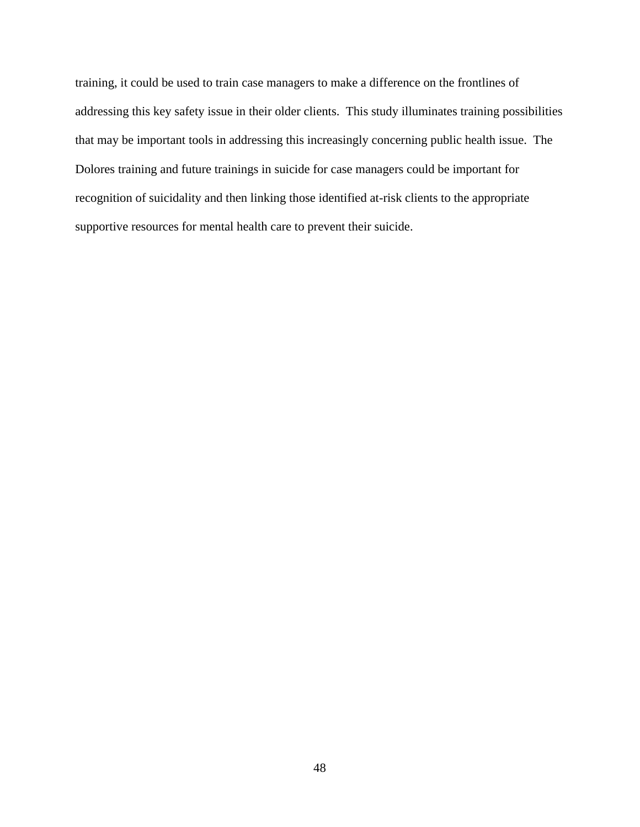training, it could be used to train case managers to make a difference on the frontlines of addressing this key safety issue in their older clients. This study illuminates training possibilities that may be important tools in addressing this increasingly concerning public health issue. The Dolores training and future trainings in suicide for case managers could be important for recognition of suicidality and then linking those identified at-risk clients to the appropriate supportive resources for mental health care to prevent their suicide.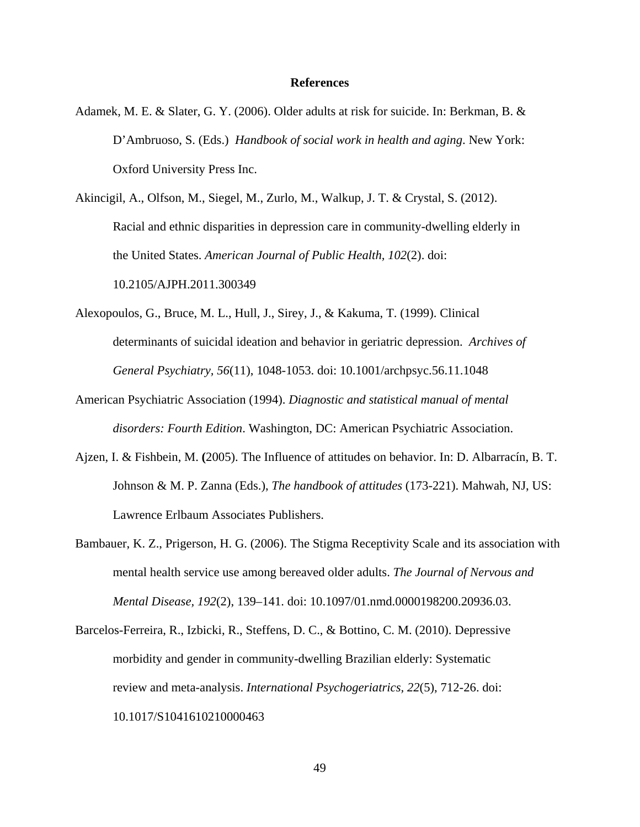#### **References**

Adamek, M. E. & Slater, G. Y. (2006). Older adults at risk for suicide. In: Berkman, B. & D'Ambruoso, S. (Eds.) *Handbook of social work in health and aging*. New York: Oxford University Press Inc.

Akincigil, A., Olfson, M., Siegel, M., Zurlo, M., Walkup, J. T. & Crystal, S. (2012). Racial and ethnic disparities in depression care in community-dwelling elderly in the United States. *American Journal of Public Health, 102*(2). doi: 10.2105/AJPH.2011.300349

- Alexopoulos, G., Bruce, M. L., Hull, J., Sirey, J., & Kakuma, T. (1999). Clinical determinants of suicidal ideation and behavior in geriatric depression. *Archives of General Psychiatry, 56*(11), 1048-1053. doi: 10.1001/archpsyc.56.11.1048
- American Psychiatric Association (1994). *Diagnostic and statistical manual of mental disorders: Fourth Edition*. Washington, DC: American Psychiatric Association.
- Ajzen, I. & Fishbein, M. **(**2005). The Influence of attitudes on behavior. In: D. Albarracín, B. T. Johnson & M. P. Zanna (Eds.), *The handbook of attitudes* (173-221). Mahwah, NJ, US: Lawrence Erlbaum Associates Publishers.
- Bambauer, K. Z., Prigerson, H. G. (2006). The Stigma Receptivity Scale and its association with mental health service use among bereaved older adults. *The Journal of Nervous and Mental Disease, 192*(2), 139–141. doi: 10.1097/01.nmd.0000198200.20936.03.
- Barcelos-Ferreira, R., Izbicki, R., Steffens, D. C., & Bottino, C. M. (2010). Depressive morbidity and gender in community-dwelling Brazilian elderly: Systematic review and meta-analysis. *International Psychogeriatrics, 22*(5), 712-26. doi: 10.1017/S1041610210000463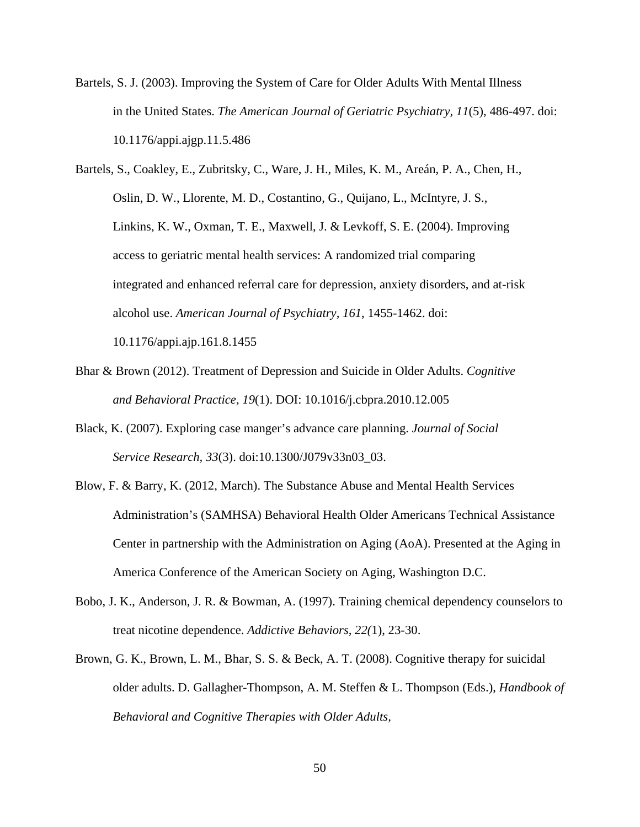Bartels, S. J. (2003). Improving the System of Care for Older Adults With Mental Illness in the United States. *The American Journal of Geriatric Psychiatry, 11*(5), 486-497. doi: 10.1176/appi.ajgp.11.5.486

Bartels, S., Coakley, E., Zubritsky, C., Ware, J. H., Miles, K. M., Areán, P. A., Chen, H., Oslin, D. W., Llorente, M. D., Costantino, G., Quijano, L., McIntyre, J. S., Linkins, K. W., Oxman, T. E., Maxwell, J. & Levkoff, S. E. (2004). Improving access to geriatric mental health services: A randomized trial comparing integrated and enhanced referral care for depression, anxiety disorders, and at-risk alcohol use. *American Journal of Psychiatry, 161*, 1455-1462. doi:

10.1176/appi.ajp.161.8.1455

- Bhar & Brown (2012). Treatment of Depression and Suicide in Older Adults. *Cognitive and Behavioral Practice, 19*(1). DOI: 10.1016/j.cbpra.2010.12.005
- Black, K. (2007). Exploring case manger's advance care planning. *Journal of Social Service Research, 33*(3). doi:10.1300/J079v33n03\_03.
- Blow, F. & Barry, K. (2012, March). The Substance Abuse and Mental Health Services Administration's (SAMHSA) Behavioral Health Older Americans Technical Assistance Center in partnership with the Administration on Aging (AoA). Presented at the Aging in America Conference of the American Society on Aging, Washington D.C.
- Bobo, J. K., Anderson, J. R. & Bowman, A. (1997). Training chemical dependency counselors to treat nicotine dependence. *Addictive Behaviors, 22(*1), 23-30.
- Brown, G. K., Brown, L. M., Bhar, S. S. & Beck, A. T. (2008). Cognitive therapy for suicidal older adults. D. Gallagher-Thompson, A. M. Steffen & L. Thompson (Eds.), *Handbook of Behavioral and Cognitive Therapies with Older Adults,*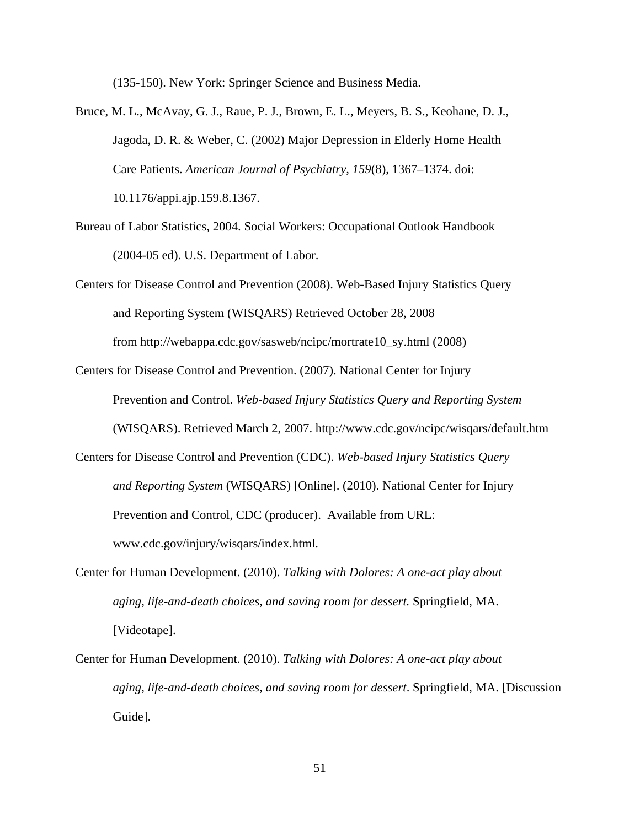(135-150). New York: Springer Science and Business Media.

- Bruce, M. L., McAvay, G. J., Raue, P. J., Brown, E. L., Meyers, B. S., Keohane, D. J., Jagoda, D. R. & Weber, C. (2002) Major Depression in Elderly Home Health Care Patients. *American Journal of Psychiatry, 159*(8), 1367–1374. doi: 10.1176/appi.ajp.159.8.1367.
- Bureau of Labor Statistics, 2004. Social Workers: Occupational Outlook Handbook (2004-05 ed). U.S. Department of Labor.
- Centers for Disease Control and Prevention (2008). Web-Based Injury Statistics Query and Reporting System (WISQARS) Retrieved October 28, 2008 from http://webappa.cdc.gov/sasweb/ncipc/mortrate10\_sy.html (2008)
- Centers for Disease Control and Prevention. (2007). National Center for Injury Prevention and Control. *Web-based Injury Statistics Query and Reporting System* (WISQARS). Retrieved March 2, 2007. http://www.cdc.gov/ncipc/wisqars/default.htm
- Centers for Disease Control and Prevention (CDC). *Web-based Injury Statistics Query and Reporting System* (WISQARS) [Online]. (2010). National Center for Injury Prevention and Control, CDC (producer). Available from URL: www.cdc.gov/injury/wisqars/index.html.
- Center for Human Development. (2010). *Talking with Dolores: A one-act play about aging, life-and-death choices, and saving room for dessert.* Springfield, MA. [Videotape].
- Center for Human Development. (2010). *Talking with Dolores: A one-act play about aging, life-and-death choices, and saving room for dessert*. Springfield, MA. [Discussion Guide].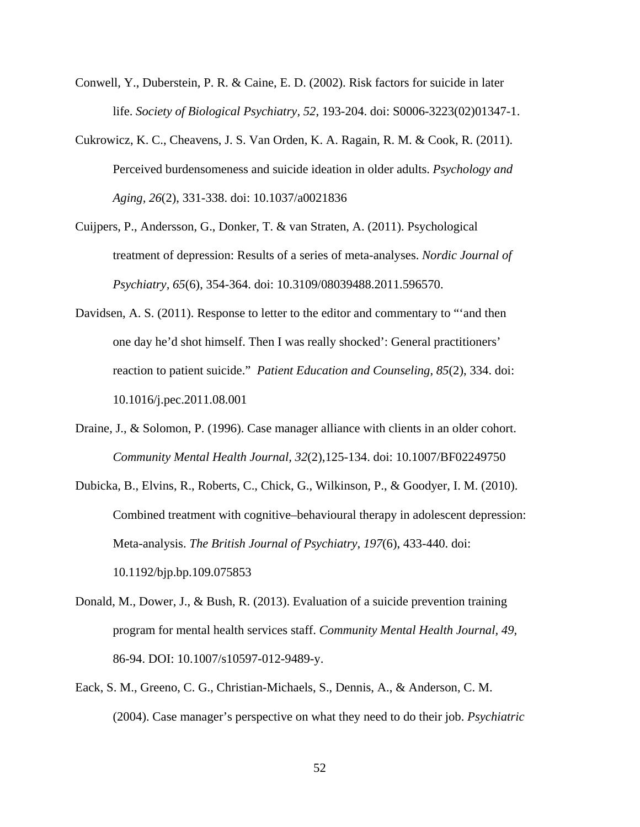- Conwell, Y., Duberstein, P. R. & Caine, E. D. (2002). Risk factors for suicide in later life. *Society of Biological Psychiatry, 52*, 193-204. doi: S0006-3223(02)01347-1.
- Cukrowicz, K. C., Cheavens, J. S. Van Orden, K. A. Ragain, R. M. & Cook, R. (2011). Perceived burdensomeness and suicide ideation in older adults. *Psychology and Aging, 26*(2), 331-338. doi: 10.1037/a0021836
- Cuijpers, P., Andersson, G., Donker, T. & van Straten, A. (2011). Psychological treatment of depression: Results of a series of meta-analyses. *Nordic Journal of Psychiatry, 65*(6), 354-364. doi: 10.3109/08039488.2011.596570.
- Davidsen, A. S. (2011). Response to letter to the editor and commentary to "'and then one day he'd shot himself. Then I was really shocked': General practitioners' reaction to patient suicide." *Patient Education and Counseling, 85*(2), 334. doi: 10.1016/j.pec.2011.08.001
- Draine, J., & Solomon, P. (1996). Case manager alliance with clients in an older cohort. *Community Mental Health Journal, 32*(2),125-134. doi: 10.1007/BF02249750
- Dubicka, B., Elvins, R., Roberts, C., Chick, G., Wilkinson, P., & Goodyer, I. M. (2010). Combined treatment with cognitive–behavioural therapy in adolescent depression: Meta-analysis. *The British Journal of Psychiatry, 197*(6), 433-440. doi: 10.1192/bjp.bp.109.075853
- Donald, M., Dower, J., & Bush, R. (2013). Evaluation of a suicide prevention training program for mental health services staff. *Community Mental Health Journal, 49*, 86-94. DOI: 10.1007/s10597-012-9489-y.
- Eack, S. M., Greeno, C. G., Christian-Michaels, S., Dennis, A., & Anderson, C. M. (2004). Case manager's perspective on what they need to do their job. *Psychiatric*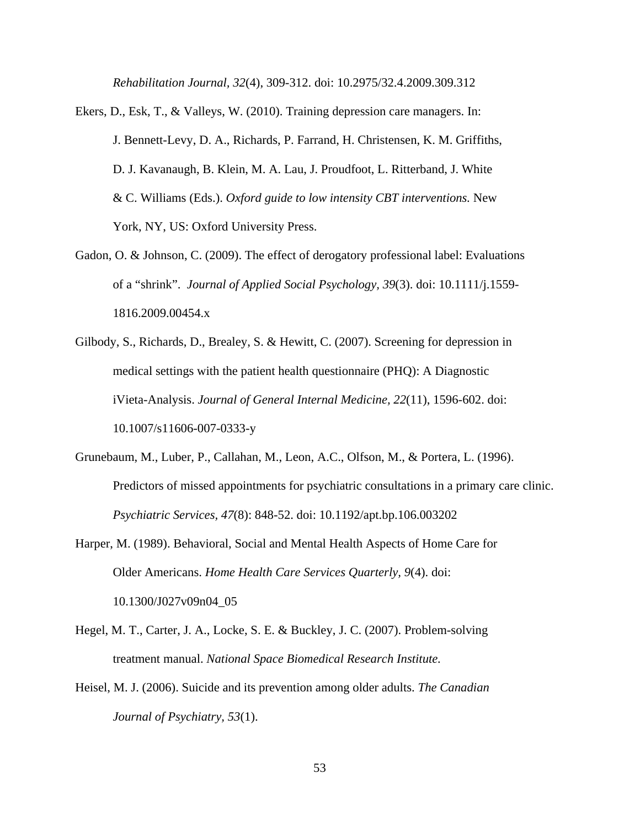*Rehabilitation Journal, 32*(4), 309-312. doi: 10.2975/32.4.2009.309.312

- Ekers, D., Esk, T., & Valleys, W. (2010). Training depression care managers. In: J. Bennett-Levy, D. A., Richards, P. Farrand, H. Christensen, K. M. Griffiths, D. J. Kavanaugh, B. Klein, M. A. Lau, J. Proudfoot, L. Ritterband, J. White & C. Williams (Eds.). *Oxford guide to low intensity CBT interventions.* New York, NY, US: Oxford University Press.
- Gadon, O. & Johnson, C. (2009). The effect of derogatory professional label: Evaluations of a "shrink". *Journal of Applied Social Psychology, 39*(3). doi: 10.1111/j.1559- 1816.2009.00454.x
- Gilbody, S., Richards, D., Brealey, S. & Hewitt, C. (2007). Screening for depression in medical settings with the patient health questionnaire (PHQ): A Diagnostic iVieta-Analysis. *Journal of General Internal Medicine, 22*(11), 1596-602. doi: 10.1007/s11606-007-0333-y
- Grunebaum, M., Luber, P., Callahan, M., Leon, A.C., Olfson, M., & Portera, L. (1996). Predictors of missed appointments for psychiatric consultations in a primary care clinic. *Psychiatric Services, 47*(8): 848-52. doi: 10.1192/apt.bp.106.003202
- Harper, M. (1989). Behavioral, Social and Mental Health Aspects of Home Care for Older Americans. *Home Health Care Services Quarterly, 9*(4). doi: 10.1300/J027v09n04\_05
- Hegel, M. T., Carter, J. A., Locke, S. E. & Buckley, J. C. (2007). Problem-solving treatment manual. *National Space Biomedical Research Institute.*
- Heisel, M. J. (2006). Suicide and its prevention among older adults. *The Canadian Journal of Psychiatry, 53*(1).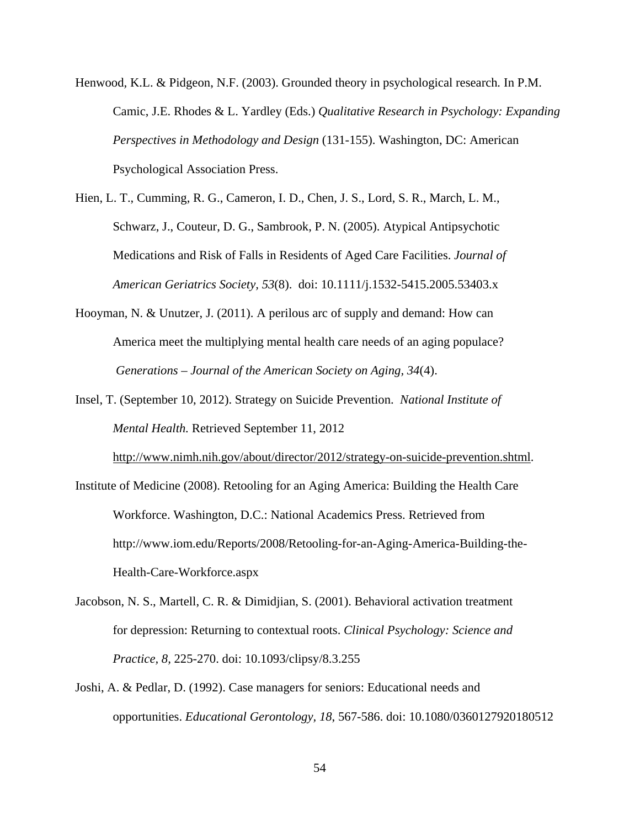- Henwood*,* K.L. & Pidgeon, N.F. (2003). Grounded theory in psychological research*.* In P.M. Camic, J.E. Rhodes & L. Yardley (Eds.) *Qualitative Research in Psychology: Expanding Perspectives in Methodology and Design* (131-155). Washington, DC: American Psychological Association Press.
- Hien, L. T., Cumming, R. G., Cameron, I. D., Chen, J. S., Lord, S. R., March, L. M., Schwarz, J., Couteur, D. G., Sambrook, P. N. (2005). Atypical Antipsychotic Medications and Risk of Falls in Residents of Aged Care Facilities. *Journal of American Geriatrics Society, 53*(8). doi: 10.1111/j.1532-5415.2005.53403.x
- Hooyman, N. & Unutzer, J. (2011). A perilous arc of supply and demand: How can America meet the multiplying mental health care needs of an aging populace? *Generations* – *Journal of the American Society on Aging, 34*(4).
- Insel, T. (September 10, 2012). Strategy on Suicide Prevention. *National Institute of Mental Health.* Retrieved September 11, 2012

http://www.nimh.nih.gov/about/director/2012/strategy-on-suicide-prevention.shtml.

- Institute of Medicine (2008). Retooling for an Aging America: Building the Health Care Workforce. Washington, D.C.: National Academics Press. Retrieved from http://www.iom.edu/Reports/2008/Retooling-for-an-Aging-America-Building-the-Health-Care-Workforce.aspx
- Jacobson, N. S., Martell, C. R. & Dimidjian, S. (2001). Behavioral activation treatment for depression: Returning to contextual roots. *Clinical Psychology: Science and Practice, 8,* 225-270. doi: 10.1093/clipsy/8.3.255
- Joshi, A. & Pedlar, D. (1992). Case managers for seniors: Educational needs and opportunities. *Educational Gerontology, 18*, 567-586. doi: 10.1080/0360127920180512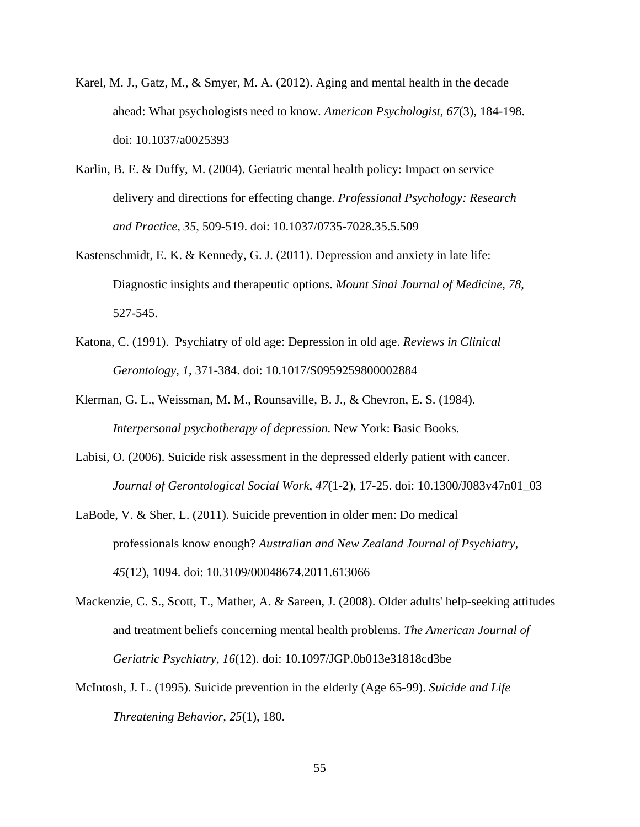- Karel, M. J., Gatz, M., & Smyer, M. A. (2012). Aging and mental health in the decade ahead: What psychologists need to know. *American Psychologist, 67*(3), 184-198. doi: 10.1037/a0025393
- Karlin, B. E. & Duffy, M. (2004). Geriatric mental health policy: Impact on service delivery and directions for effecting change. *Professional Psychology: Research and Practice, 35*, 509-519. doi: 10.1037/0735-7028.35.5.509
- Kastenschmidt, E. K. & Kennedy, G. J. (2011). Depression and anxiety in late life: Diagnostic insights and therapeutic options. *Mount Sinai Journal of Medicine, 78*, 527-545.
- Katona, C. (1991). Psychiatry of old age: Depression in old age. *Reviews in Clinical Gerontology, 1*, 371-384. doi: 10.1017/S0959259800002884
- Klerman, G. L., Weissman, M. M., Rounsaville, B. J., & Chevron, E. S. (1984). *Interpersonal psychotherapy of depression.* New York: Basic Books.
- Labisi, O. (2006). Suicide risk assessment in the depressed elderly patient with cancer. *Journal of Gerontological Social Work, 47*(1-2), 17-25. doi: 10.1300/J083v47n01\_03
- LaBode, V. & Sher, L. (2011). Suicide prevention in older men: Do medical professionals know enough? *Australian and New Zealand Journal of Psychiatry, 45*(12), 1094. doi: 10.3109/00048674.2011.613066
- Mackenzie, C. S., Scott, T., Mather, A. & Sareen, J. (2008). Older adults' help-seeking attitudes and treatment beliefs concerning mental health problems. *The American Journal of Geriatric Psychiatry, 16*(12). doi: 10.1097/JGP.0b013e31818cd3be
- McIntosh, J. L. (1995). Suicide prevention in the elderly (Age 65-99). *Suicide and Life Threatening Behavior, 25*(1), 180.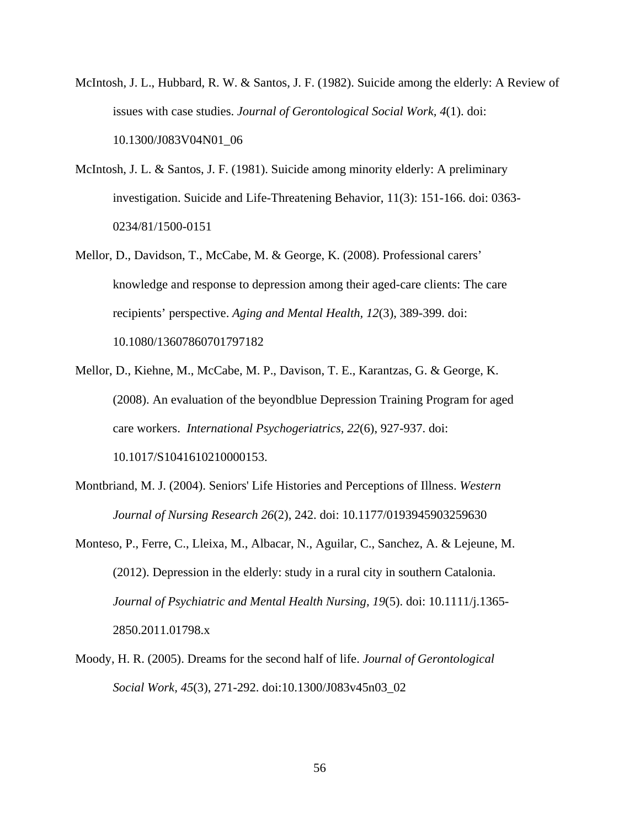- McIntosh, J. L., Hubbard, R. W. & Santos, J. F. (1982). Suicide among the elderly: A Review of issues with case studies. *Journal of Gerontological Social Work, 4*(1). doi: 10.1300/J083V04N01\_06
- McIntosh, J. L. & Santos, J. F. (1981). Suicide among minority elderly: A preliminary investigation. Suicide and Life-Threatening Behavior, 11(3): 151-166. doi: 0363- 0234/81/1500-0151
- Mellor, D., Davidson, T., McCabe, M. & George, K. (2008). Professional carers' knowledge and response to depression among their aged-care clients: The care recipients' perspective. *Aging and Mental Health, 12*(3), 389-399. doi: 10.1080/13607860701797182
- Mellor, D., Kiehne, M., McCabe, M. P., Davison, T. E., Karantzas, G. & George, K. (2008). An evaluation of the beyondblue Depression Training Program for aged care workers. *International Psychogeriatrics, 22*(6), 927-937. doi: 10.1017/S1041610210000153.
- Montbriand, M. J. (2004). Seniors' Life Histories and Perceptions of Illness. *Western Journal of Nursing Research 26*(2), 242. doi: 10.1177/0193945903259630
- Monteso, P., Ferre, C., Lleixa, M., Albacar, N., Aguilar, C., Sanchez, A. & Lejeune, M. (2012). Depression in the elderly: study in a rural city in southern Catalonia. *Journal of Psychiatric and Mental Health Nursing, 19*(5). doi: 10.1111/j.1365- 2850.2011.01798.x
- Moody, H. R. (2005). Dreams for the second half of life. *Journal of Gerontological Social Work, 45*(3), 271-292. doi:10.1300/J083v45n03\_02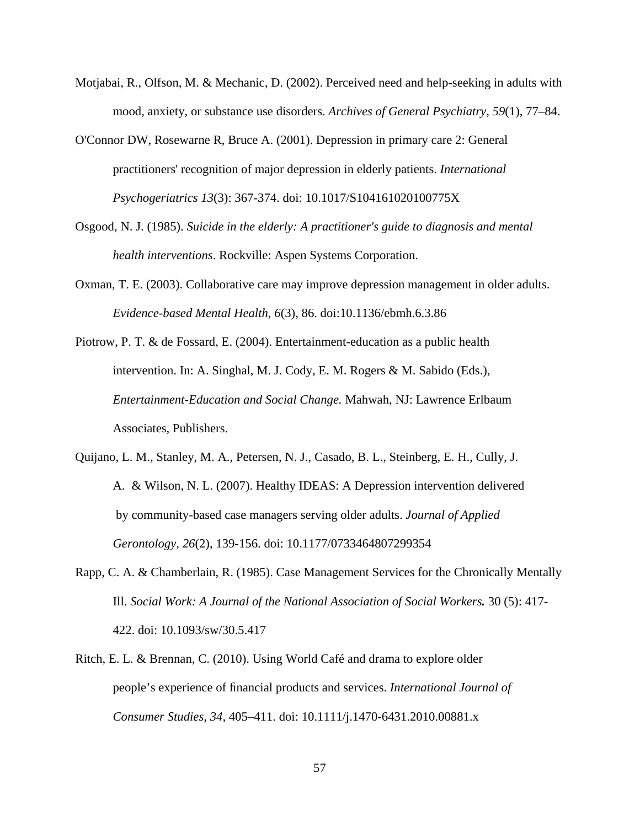- Motjabai, R., Olfson, M. & Mechanic, D. (2002). Perceived need and help-seeking in adults with mood, anxiety, or substance use disorders. *Archives of General Psychiatry, 59*(1), 77–84.
- O'Connor DW, Rosewarne R, Bruce A. (2001). Depression in primary care 2: General practitioners' recognition of major depression in elderly patients. *International Psychogeriatrics 13*(3): 367-374. doi: 10.1017/S104161020100775X
- Osgood, N. J. (1985). *Suicide in the elderly: A practitioner's guide to diagnosis and mental health interventions*. Rockville: Aspen Systems Corporation.
- Oxman, T. E. (2003). Collaborative care may improve depression management in older adults. *Evidence-based Mental Health, 6*(3), 86. doi:10.1136/ebmh.6.3.86
- Piotrow, P. T. & de Fossard, E. (2004). Entertainment-education as a public health intervention. In: A. Singhal, M. J. Cody, E. M. Rogers & M. Sabido (Eds.), *Entertainment-Education and Social Change.* Mahwah, NJ: Lawrence Erlbaum Associates, Publishers.
- Quijano, L. M., Stanley, M. A., Petersen, N. J., Casado, B. L., Steinberg, E. H., Cully, J. A. & Wilson, N. L. (2007). Healthy IDEAS: A Depression intervention delivered by community-based case managers serving older adults. *Journal of Applied Gerontology, 26*(2), 139-156. doi: 10.1177/0733464807299354
- Rapp, C. A. & Chamberlain, R. (1985). Case Management Services for the Chronically Mentally Ill. *Social Work: A Journal of the National Association of Social Workers.* 30 (5): 417- 422. doi: 10.1093/sw/30.5.417
- Ritch, E. L. & Brennan, C. (2010). Using World Café and drama to explore older people's experience of financial products and services. *International Journal of Consumer Studies, 34*, 405–411. doi: 10.1111/j.1470-6431.2010.00881.x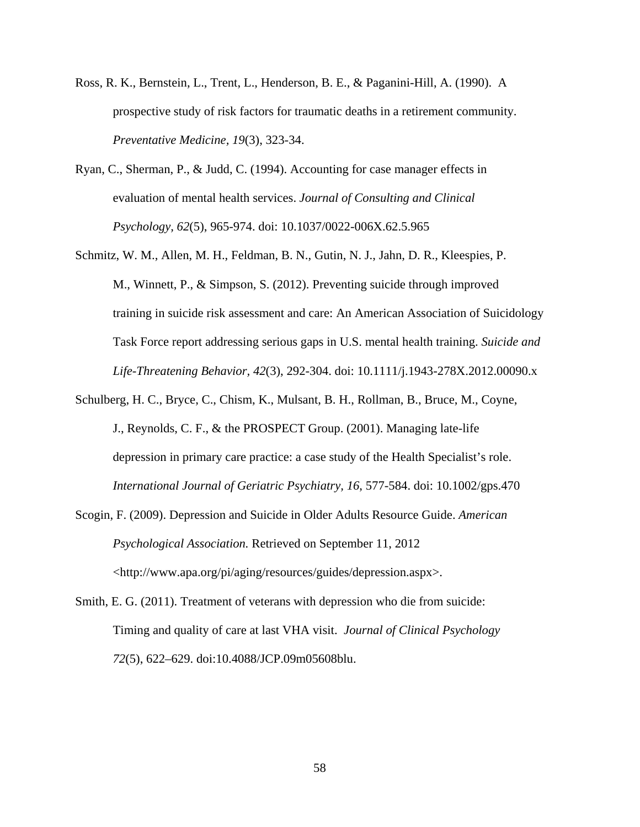- Ross, R. K., Bernstein, L., Trent, L., Henderson, B. E., & Paganini-Hill, A. (1990). A prospective study of risk factors for traumatic deaths in a retirement community. *Preventative Medicine, 19*(3), 323-34.
- Ryan, C., Sherman, P., & Judd, C. (1994). Accounting for case manager effects in evaluation of mental health services. *Journal of Consulting and Clinical Psychology, 62*(5), 965-974. doi: 10.1037/0022-006X.62.5.965
- Schmitz, W. M., Allen, M. H., Feldman, B. N., Gutin, N. J., Jahn, D. R., Kleespies, P. M., Winnett, P., & Simpson, S. (2012). Preventing suicide through improved training in suicide risk assessment and care: An American Association of Suicidology Task Force report addressing serious gaps in U.S. mental health training. *Suicide and Life-Threatening Behavior, 42*(3), 292-304. doi: 10.1111/j.1943-278X.2012.00090.x
- Schulberg, H. C., Bryce, C., Chism, K., Mulsant, B. H., Rollman, B., Bruce, M., Coyne, J., Reynolds, C. F., & the PROSPECT Group. (2001). Managing late-life depression in primary care practice: a case study of the Health Specialist's role. *International Journal of Geriatric Psychiatry, 16*, 577-584. doi: 10.1002/gps.470
- Scogin, F. (2009). Depression and Suicide in Older Adults Resource Guide. *American Psychological Association.* Retrieved on September 11, 2012 <http://www.apa.org/pi/aging/resources/guides/depression.aspx>.
- Smith, E. G. (2011). Treatment of veterans with depression who die from suicide: Timing and quality of care at last VHA visit. *Journal of Clinical Psychology 72*(5), 622–629. doi:10.4088/JCP.09m05608blu.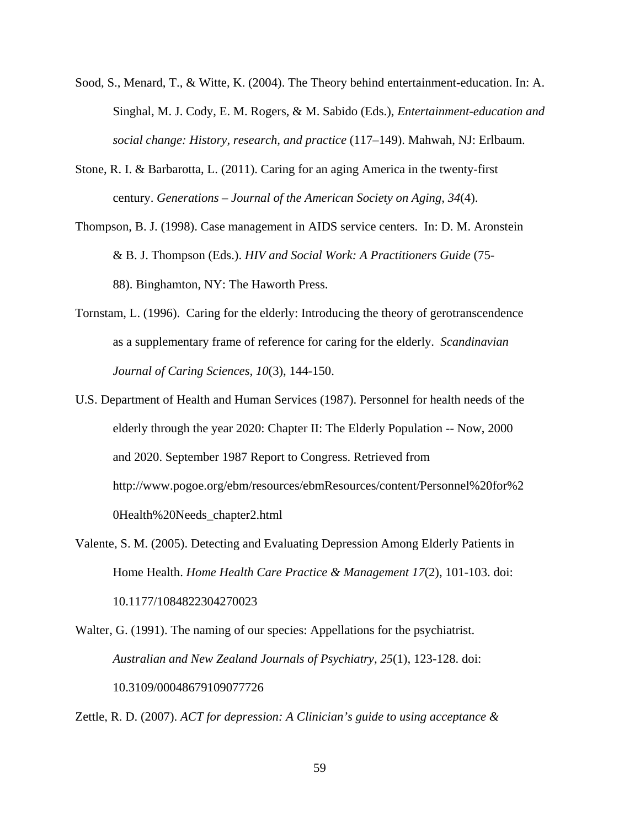- Sood, S., Menard, T., & Witte, K. (2004). The Theory behind entertainment-education. In: A. Singhal, M. J. Cody, E. M. Rogers, & M. Sabido (Eds.), *Entertainment-education and social change: History, research, and practice* (117–149). Mahwah, NJ: Erlbaum.
- Stone, R. I. & Barbarotta, L. (2011). Caring for an aging America in the twenty-first century. *Generations – Journal of the American Society on Aging, 34*(4).
- Thompson, B. J. (1998). Case management in AIDS service centers. In: D. M. Aronstein & B. J. Thompson (Eds.). *HIV and Social Work: A Practitioners Guide* (75- 88). Binghamton, NY: The Haworth Press.
- Tornstam, L. (1996). Caring for the elderly: Introducing the theory of gerotranscendence as a supplementary frame of reference for caring for the elderly. *Scandinavian Journal of Caring Sciences, 10*(3), 144-150.
- U.S. Department of Health and Human Services (1987). Personnel for health needs of the elderly through the year 2020: Chapter II: The Elderly Population -- Now, 2000 and 2020. September 1987 Report to Congress. Retrieved from http://www.pogoe.org/ebm/resources/ebmResources/content/Personnel%20for%2 0Health%20Needs\_chapter2.html
- Valente, S. M. (2005). Detecting and Evaluating Depression Among Elderly Patients in Home Health. *Home Health Care Practice & Management 17*(2), 101-103. doi: 10.1177/1084822304270023
- Walter, G. (1991). The naming of our species: Appellations for the psychiatrist. *Australian and New Zealand Journals of Psychiatry, 25*(1), 123-128. doi: 10.3109/00048679109077726

Zettle, R. D. (2007). *ACT for depression: A Clinician's guide to using acceptance &*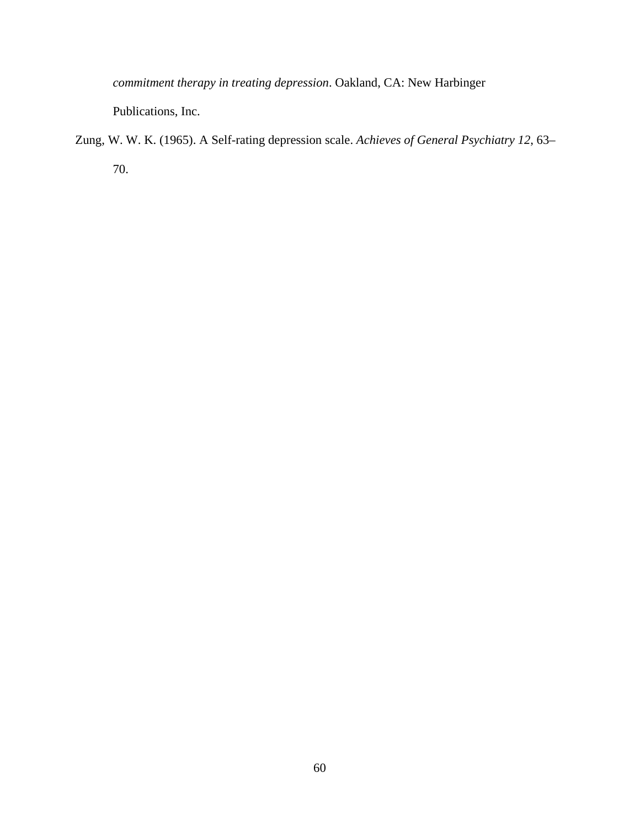*commitment therapy in treating depression*. Oakland, CA: New Harbinger

Publications, Inc.

Zung, W. W. K. (1965). A Self-rating depression scale. *Achieves of General Psychiatry 12*, 63– 70.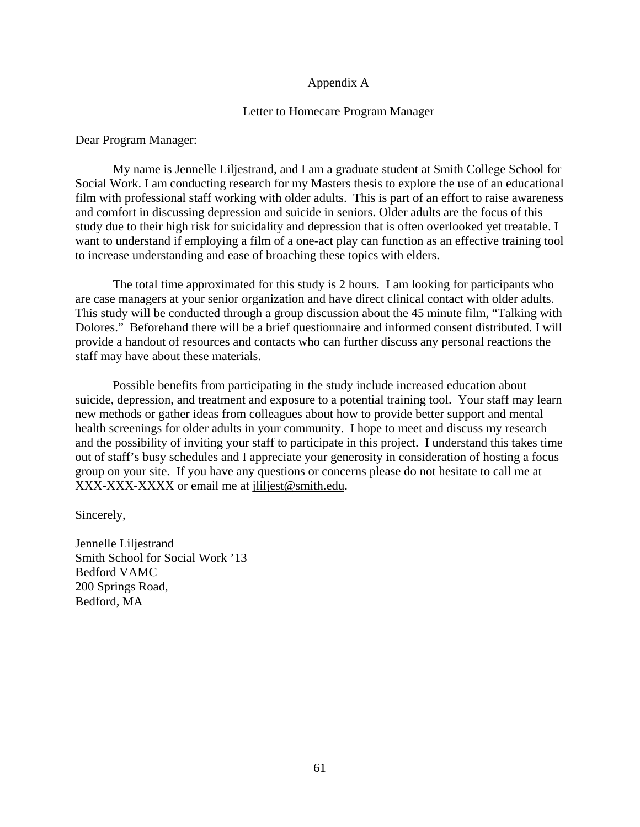# Appendix A

## Letter to Homecare Program Manager

Dear Program Manager:

My name is Jennelle Liljestrand, and I am a graduate student at Smith College School for Social Work. I am conducting research for my Masters thesis to explore the use of an educational film with professional staff working with older adults. This is part of an effort to raise awareness and comfort in discussing depression and suicide in seniors. Older adults are the focus of this study due to their high risk for suicidality and depression that is often overlooked yet treatable. I want to understand if employing a film of a one-act play can function as an effective training tool to increase understanding and ease of broaching these topics with elders.

The total time approximated for this study is 2 hours. I am looking for participants who are case managers at your senior organization and have direct clinical contact with older adults. This study will be conducted through a group discussion about the 45 minute film, "Talking with Dolores." Beforehand there will be a brief questionnaire and informed consent distributed. I will provide a handout of resources and contacts who can further discuss any personal reactions the staff may have about these materials.

Possible benefits from participating in the study include increased education about suicide, depression, and treatment and exposure to a potential training tool. Your staff may learn new methods or gather ideas from colleagues about how to provide better support and mental health screenings for older adults in your community. I hope to meet and discuss my research and the possibility of inviting your staff to participate in this project. I understand this takes time out of staff's busy schedules and I appreciate your generosity in consideration of hosting a focus group on your site. If you have any questions or concerns please do not hesitate to call me at XXX-XXX-XXXX or email me at jliljest@smith.edu.

Sincerely,

Jennelle Liljestrand Smith School for Social Work '13 Bedford VAMC 200 Springs Road, Bedford, MA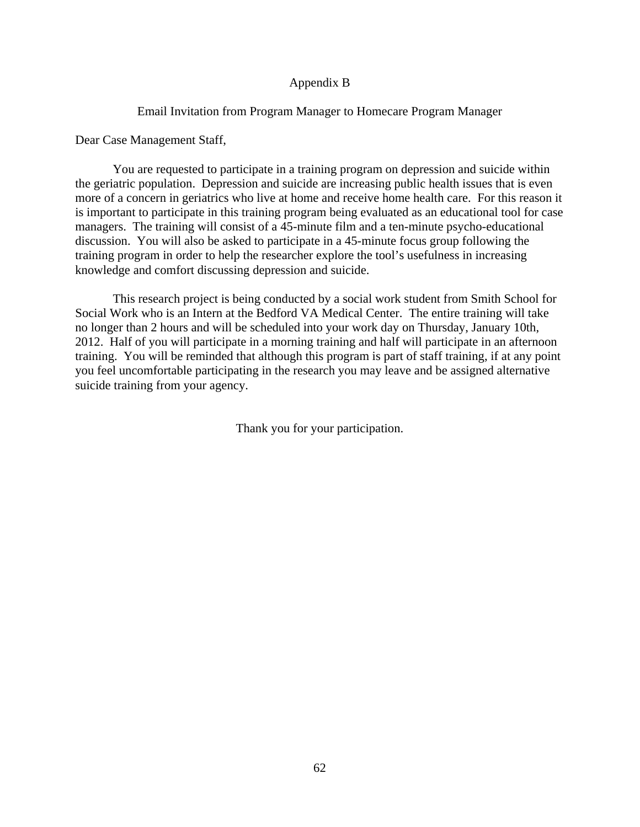# Appendix B

# Email Invitation from Program Manager to Homecare Program Manager

Dear Case Management Staff,

You are requested to participate in a training program on depression and suicide within the geriatric population. Depression and suicide are increasing public health issues that is even more of a concern in geriatrics who live at home and receive home health care. For this reason it is important to participate in this training program being evaluated as an educational tool for case managers. The training will consist of a 45-minute film and a ten-minute psycho-educational discussion. You will also be asked to participate in a 45-minute focus group following the training program in order to help the researcher explore the tool's usefulness in increasing knowledge and comfort discussing depression and suicide.

This research project is being conducted by a social work student from Smith School for Social Work who is an Intern at the Bedford VA Medical Center. The entire training will take no longer than 2 hours and will be scheduled into your work day on Thursday, January 10th, 2012. Half of you will participate in a morning training and half will participate in an afternoon training. You will be reminded that although this program is part of staff training, if at any point you feel uncomfortable participating in the research you may leave and be assigned alternative suicide training from your agency.

Thank you for your participation.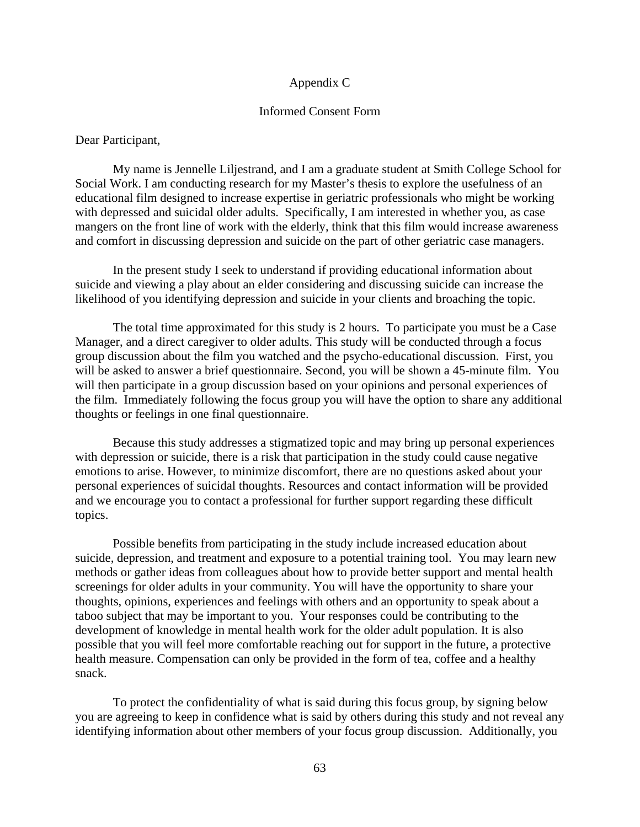## Appendix C

## Informed Consent Form

Dear Participant,

My name is Jennelle Liljestrand, and I am a graduate student at Smith College School for Social Work. I am conducting research for my Master's thesis to explore the usefulness of an educational film designed to increase expertise in geriatric professionals who might be working with depressed and suicidal older adults. Specifically, I am interested in whether you, as case mangers on the front line of work with the elderly, think that this film would increase awareness and comfort in discussing depression and suicide on the part of other geriatric case managers.

In the present study I seek to understand if providing educational information about suicide and viewing a play about an elder considering and discussing suicide can increase the likelihood of you identifying depression and suicide in your clients and broaching the topic.

The total time approximated for this study is 2 hours. To participate you must be a Case Manager, and a direct caregiver to older adults. This study will be conducted through a focus group discussion about the film you watched and the psycho-educational discussion. First, you will be asked to answer a brief questionnaire. Second, you will be shown a 45-minute film. You will then participate in a group discussion based on your opinions and personal experiences of the film. Immediately following the focus group you will have the option to share any additional thoughts or feelings in one final questionnaire.

Because this study addresses a stigmatized topic and may bring up personal experiences with depression or suicide, there is a risk that participation in the study could cause negative emotions to arise. However, to minimize discomfort, there are no questions asked about your personal experiences of suicidal thoughts. Resources and contact information will be provided and we encourage you to contact a professional for further support regarding these difficult topics.

Possible benefits from participating in the study include increased education about suicide, depression, and treatment and exposure to a potential training tool. You may learn new methods or gather ideas from colleagues about how to provide better support and mental health screenings for older adults in your community. You will have the opportunity to share your thoughts, opinions, experiences and feelings with others and an opportunity to speak about a taboo subject that may be important to you. Your responses could be contributing to the development of knowledge in mental health work for the older adult population. It is also possible that you will feel more comfortable reaching out for support in the future, a protective health measure. Compensation can only be provided in the form of tea, coffee and a healthy snack.

To protect the confidentiality of what is said during this focus group, by signing below you are agreeing to keep in confidence what is said by others during this study and not reveal any identifying information about other members of your focus group discussion. Additionally, you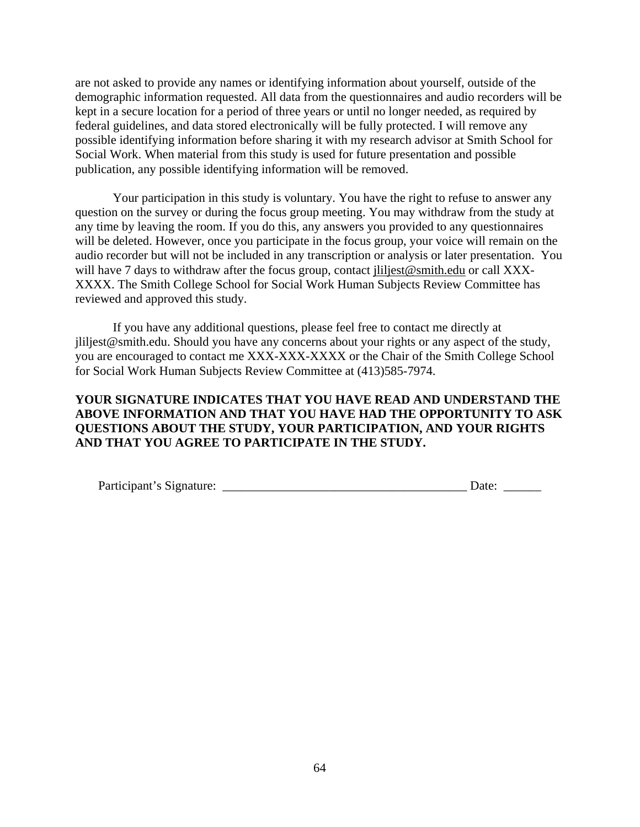are not asked to provide any names or identifying information about yourself, outside of the demographic information requested. All data from the questionnaires and audio recorders will be kept in a secure location for a period of three years or until no longer needed, as required by federal guidelines, and data stored electronically will be fully protected. I will remove any possible identifying information before sharing it with my research advisor at Smith School for Social Work. When material from this study is used for future presentation and possible publication, any possible identifying information will be removed.

Your participation in this study is voluntary. You have the right to refuse to answer any question on the survey or during the focus group meeting. You may withdraw from the study at any time by leaving the room. If you do this, any answers you provided to any questionnaires will be deleted. However, once you participate in the focus group, your voice will remain on the audio recorder but will not be included in any transcription or analysis or later presentation. You will have 7 days to withdraw after the focus group, contact jliljest@smith.edu or call XXX-XXXX. The Smith College School for Social Work Human Subjects Review Committee has reviewed and approved this study.

If you have any additional questions, please feel free to contact me directly at jliljest@smith.edu. Should you have any concerns about your rights or any aspect of the study, you are encouraged to contact me XXX-XXX-XXXX or the Chair of the Smith College School for Social Work Human Subjects Review Committee at (413)585-7974.

# **YOUR SIGNATURE INDICATES THAT YOU HAVE READ AND UNDERSTAND THE ABOVE INFORMATION AND THAT YOU HAVE HAD THE OPPORTUNITY TO ASK QUESTIONS ABOUT THE STUDY, YOUR PARTICIPATION, AND YOUR RIGHTS AND THAT YOU AGREE TO PARTICIPATE IN THE STUDY.**

| Participant's Signature: | Jate |
|--------------------------|------|
|--------------------------|------|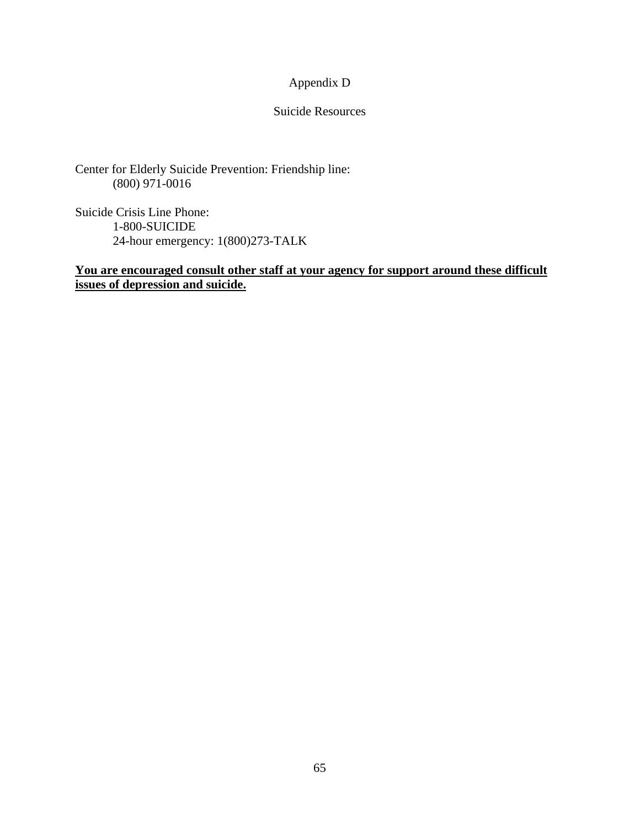# Appendix D

# Suicide Resources

Center for Elderly Suicide Prevention: Friendship line: (800) 971-0016

Suicide Crisis Line Phone: 1-800-SUICIDE 24-hour emergency: 1(800)273-TALK

# **You are encouraged consult other staff at your agency for support around these difficult issues of depression and suicide.**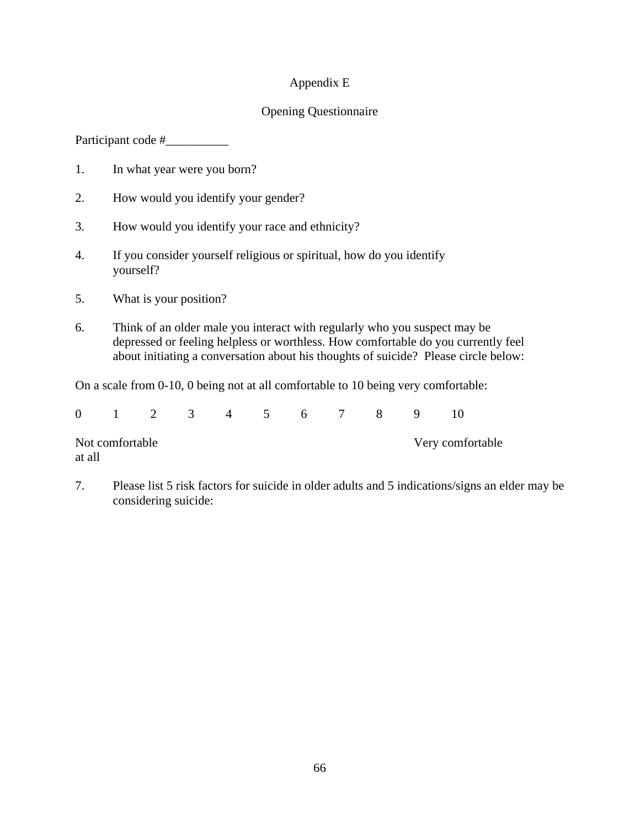## Appendix E

# Opening Questionnaire

Participant code #

- 1. In what year were you born?
- 2. How would you identify your gender?
- 3. How would you identify your race and ethnicity?
- 4. If you consider yourself religious or spiritual, how do you identify yourself?
- 5. What is your position?
- 6. Think of an older male you interact with regularly who you suspect may be depressed or feeling helpless or worthless. How comfortable do you currently feel about initiating a conversation about his thoughts of suicide? Please circle below:

On a scale from 0-10, 0 being not at all comfortable to 10 being very comfortable:

|                           |  | 0 1 2 3 4 5 6 7 8 9 |  |  |  |  |                  |  |  |  |
|---------------------------|--|---------------------|--|--|--|--|------------------|--|--|--|
| Not comfortable<br>at all |  |                     |  |  |  |  | Very comfortable |  |  |  |

7. Please list 5 risk factors for suicide in older adults and 5 indications/signs an elder may be considering suicide: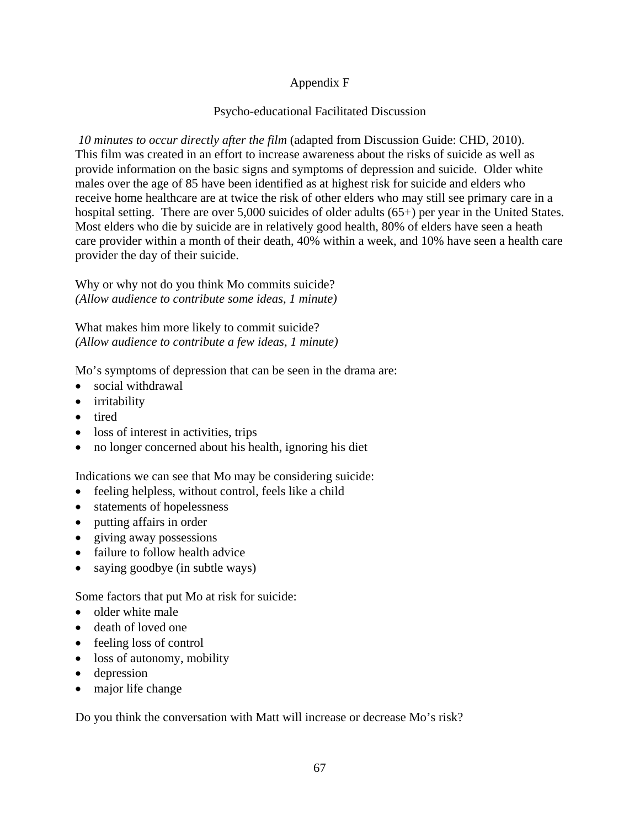# Appendix F

## Psycho-educational Facilitated Discussion

*10 minutes to occur directly after the film* (adapted from Discussion Guide: CHD, 2010). This film was created in an effort to increase awareness about the risks of suicide as well as provide information on the basic signs and symptoms of depression and suicide. Older white males over the age of 85 have been identified as at highest risk for suicide and elders who receive home healthcare are at twice the risk of other elders who may still see primary care in a hospital setting. There are over 5,000 suicides of older adults (65+) per year in the United States. Most elders who die by suicide are in relatively good health, 80% of elders have seen a heath care provider within a month of their death, 40% within a week, and 10% have seen a health care provider the day of their suicide.

Why or why not do you think Mo commits suicide? *(Allow audience to contribute some ideas, 1 minute)* 

What makes him more likely to commit suicide? *(Allow audience to contribute a few ideas, 1 minute)* 

Mo's symptoms of depression that can be seen in the drama are:

- social withdrawal
- irritability
- tired
- loss of interest in activities, trips
- no longer concerned about his health, ignoring his diet

Indications we can see that Mo may be considering suicide:

- feeling helpless, without control, feels like a child
- statements of hopelessness
- putting affairs in order
- giving away possessions
- failure to follow health advice
- saying goodbye (in subtle ways)

Some factors that put Mo at risk for suicide:

- $\bullet$  older white male
- death of loved one
- feeling loss of control
- loss of autonomy, mobility
- depression
- major life change

Do you think the conversation with Matt will increase or decrease Mo's risk?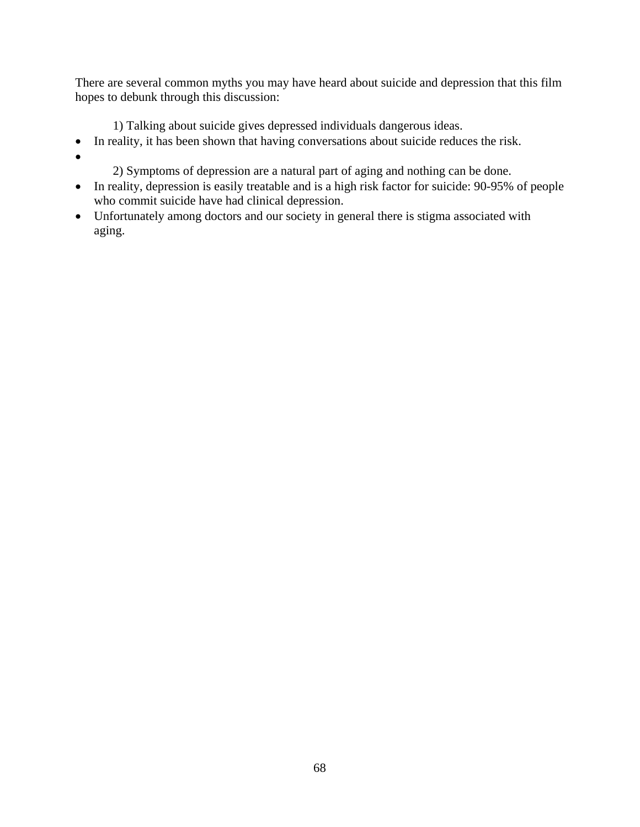There are several common myths you may have heard about suicide and depression that this film hopes to debunk through this discussion:

1) Talking about suicide gives depressed individuals dangerous ideas.

- In reality, it has been shown that having conversations about suicide reduces the risk.
- $\bullet$
- 2) Symptoms of depression are a natural part of aging and nothing can be done.
- In reality, depression is easily treatable and is a high risk factor for suicide: 90-95% of people who commit suicide have had clinical depression.
- Unfortunately among doctors and our society in general there is stigma associated with aging.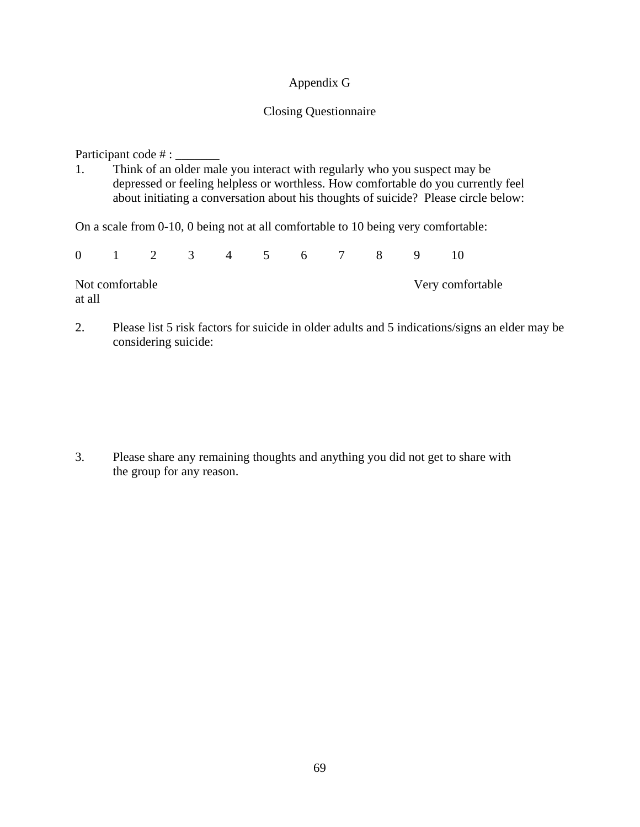## Appendix G

### Closing Questionnaire

Participant code # : \_\_\_\_\_\_\_

1. Think of an older male you interact with regularly who you suspect may be depressed or feeling helpless or worthless. How comfortable do you currently feel about initiating a conversation about his thoughts of suicide? Please circle below:

On a scale from 0-10, 0 being not at all comfortable to 10 being very comfortable:

|        |                 | 0 1 2 3 4 5 6 7 8 9 |  |  |  |  |                  |  |  |  |
|--------|-----------------|---------------------|--|--|--|--|------------------|--|--|--|
| at all | Not comfortable |                     |  |  |  |  | Very comfortable |  |  |  |

2. Please list 5 risk factors for suicide in older adults and 5 indications/signs an elder may be considering suicide:

3. Please share any remaining thoughts and anything you did not get to share with the group for any reason.